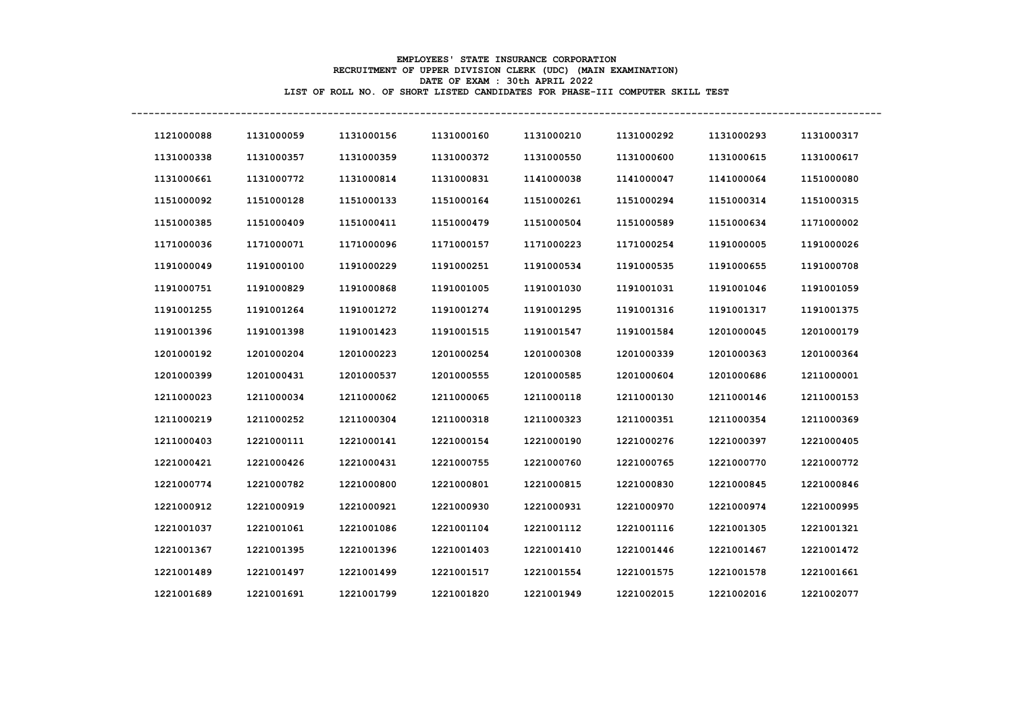## **EMPLOYEES' STATE INSURANCE CORPORATION RECRUITMENT OF UPPER DIVISION CLERK (UDC) (MAIN EXAMINATION) DATE OF EXAM : 30th APRIL 2022 LIST OF ROLL NO. OF SHORT LISTED CANDIDATES FOR PHASE-III COMPUTER SKILL TEST**

**----------------------------------------------------------------------------------------------------------------------------------**

| 1121000088 | 1131000059 | 1131000156 | 1131000160 | 1131000210 | 1131000292 | 1131000293 | 1131000317 |
|------------|------------|------------|------------|------------|------------|------------|------------|
| 1131000338 | 1131000357 | 1131000359 | 1131000372 | 1131000550 | 1131000600 | 1131000615 | 1131000617 |
| 1131000661 | 1131000772 | 1131000814 | 1131000831 | 1141000038 | 1141000047 | 1141000064 | 1151000080 |
| 1151000092 | 1151000128 | 1151000133 | 1151000164 | 1151000261 | 1151000294 | 1151000314 | 1151000315 |
| 1151000385 | 1151000409 | 1151000411 | 1151000479 | 1151000504 | 1151000589 | 1151000634 | 1171000002 |
| 1171000036 | 1171000071 | 1171000096 | 1171000157 | 1171000223 | 1171000254 | 1191000005 | 1191000026 |
| 1191000049 | 1191000100 | 1191000229 | 1191000251 | 1191000534 | 1191000535 | 1191000655 | 1191000708 |
| 1191000751 | 1191000829 | 1191000868 | 1191001005 | 1191001030 | 1191001031 | 1191001046 | 1191001059 |
| 1191001255 | 1191001264 | 1191001272 | 1191001274 | 1191001295 | 1191001316 | 1191001317 | 1191001375 |
| 1191001396 | 1191001398 | 1191001423 | 1191001515 | 1191001547 | 1191001584 | 1201000045 | 1201000179 |
| 1201000192 | 1201000204 | 1201000223 | 1201000254 | 1201000308 | 1201000339 | 1201000363 | 1201000364 |
| 1201000399 | 1201000431 | 1201000537 | 1201000555 | 1201000585 | 1201000604 | 1201000686 | 1211000001 |
| 1211000023 | 1211000034 | 1211000062 | 1211000065 | 1211000118 | 1211000130 | 1211000146 | 1211000153 |
| 1211000219 | 1211000252 | 1211000304 | 1211000318 | 1211000323 | 1211000351 | 1211000354 | 1211000369 |
| 1211000403 | 1221000111 | 1221000141 | 1221000154 | 1221000190 | 1221000276 | 1221000397 | 1221000405 |
| 1221000421 | 1221000426 | 1221000431 | 1221000755 | 1221000760 | 1221000765 | 1221000770 | 1221000772 |
| 1221000774 | 1221000782 | 1221000800 | 1221000801 | 1221000815 | 1221000830 | 1221000845 | 1221000846 |
| 1221000912 | 1221000919 | 1221000921 | 1221000930 | 1221000931 | 1221000970 | 1221000974 | 1221000995 |
| 1221001037 | 1221001061 | 1221001086 | 1221001104 | 1221001112 | 1221001116 | 1221001305 | 1221001321 |
| 1221001367 | 1221001395 | 1221001396 | 1221001403 | 1221001410 | 1221001446 | 1221001467 | 1221001472 |
| 1221001489 | 1221001497 | 1221001499 | 1221001517 | 1221001554 | 1221001575 | 1221001578 | 1221001661 |
| 1221001689 | 1221001691 | 1221001799 | 1221001820 | 1221001949 | 1221002015 | 1221002016 | 1221002077 |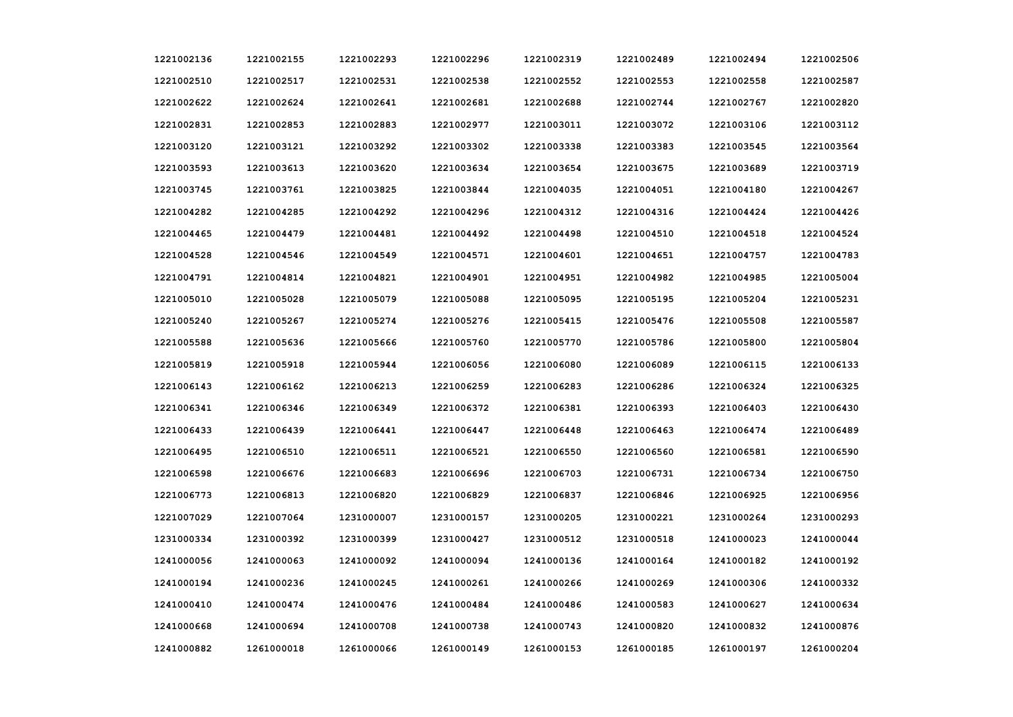| 1221002136 | 1221002155 | 1221002293 | 1221002296 | 1221002319 | 1221002489 | 1221002494 | 1221002506 |
|------------|------------|------------|------------|------------|------------|------------|------------|
| 1221002510 | 1221002517 | 1221002531 | 1221002538 | 1221002552 | 1221002553 | 1221002558 | 1221002587 |
| 1221002622 | 1221002624 | 1221002641 | 1221002681 | 1221002688 | 1221002744 | 1221002767 | 1221002820 |
| 1221002831 | 1221002853 | 1221002883 | 1221002977 | 1221003011 | 1221003072 | 1221003106 | 1221003112 |
| 1221003120 | 1221003121 | 1221003292 | 1221003302 | 1221003338 | 1221003383 | 1221003545 | 1221003564 |
| 1221003593 | 1221003613 | 1221003620 | 1221003634 | 1221003654 | 1221003675 | 1221003689 | 1221003719 |
| 1221003745 | 1221003761 | 1221003825 | 1221003844 | 1221004035 | 1221004051 | 1221004180 | 1221004267 |
| 1221004282 | 1221004285 | 1221004292 | 1221004296 | 1221004312 | 1221004316 | 1221004424 | 1221004426 |
| 1221004465 | 1221004479 | 1221004481 | 1221004492 | 1221004498 | 1221004510 | 1221004518 | 1221004524 |
| 1221004528 | 1221004546 | 1221004549 | 1221004571 | 1221004601 | 1221004651 | 1221004757 | 1221004783 |
| 1221004791 | 1221004814 | 1221004821 | 1221004901 | 1221004951 | 1221004982 | 1221004985 | 1221005004 |
| 1221005010 | 1221005028 | 1221005079 | 1221005088 | 1221005095 | 1221005195 | 1221005204 | 1221005231 |
| 1221005240 | 1221005267 | 1221005274 | 1221005276 | 1221005415 | 1221005476 | 1221005508 | 1221005587 |
| 1221005588 | 1221005636 | 1221005666 | 1221005760 | 1221005770 | 1221005786 | 1221005800 | 1221005804 |
| 1221005819 | 1221005918 | 1221005944 | 1221006056 | 1221006080 | 1221006089 | 1221006115 | 1221006133 |
| 1221006143 | 1221006162 | 1221006213 | 1221006259 | 1221006283 | 1221006286 | 1221006324 | 1221006325 |
| 1221006341 | 1221006346 | 1221006349 | 1221006372 | 1221006381 | 1221006393 | 1221006403 | 1221006430 |
| 1221006433 | 1221006439 | 1221006441 | 1221006447 | 1221006448 | 1221006463 | 1221006474 | 1221006489 |
| 1221006495 | 1221006510 | 1221006511 | 1221006521 | 1221006550 | 1221006560 | 1221006581 | 1221006590 |
| 1221006598 | 1221006676 | 1221006683 | 1221006696 | 1221006703 | 1221006731 | 1221006734 | 1221006750 |
| 1221006773 | 1221006813 | 1221006820 | 1221006829 | 1221006837 | 1221006846 | 1221006925 | 1221006956 |
| 1221007029 | 1221007064 | 1231000007 | 1231000157 | 1231000205 | 1231000221 | 1231000264 | 1231000293 |
| 1231000334 | 1231000392 | 1231000399 | 1231000427 | 1231000512 | 1231000518 | 1241000023 | 1241000044 |
| 1241000056 | 1241000063 | 1241000092 | 1241000094 | 1241000136 | 1241000164 | 1241000182 | 1241000192 |
| 1241000194 | 1241000236 | 1241000245 | 1241000261 | 1241000266 | 1241000269 | 1241000306 | 1241000332 |
| 1241000410 | 1241000474 | 1241000476 | 1241000484 | 1241000486 | 1241000583 | 1241000627 | 1241000634 |
| 1241000668 | 1241000694 | 1241000708 | 1241000738 | 1241000743 | 1241000820 | 1241000832 | 1241000876 |
| 1241000882 | 1261000018 | 1261000066 | 1261000149 | 1261000153 | 1261000185 | 1261000197 | 1261000204 |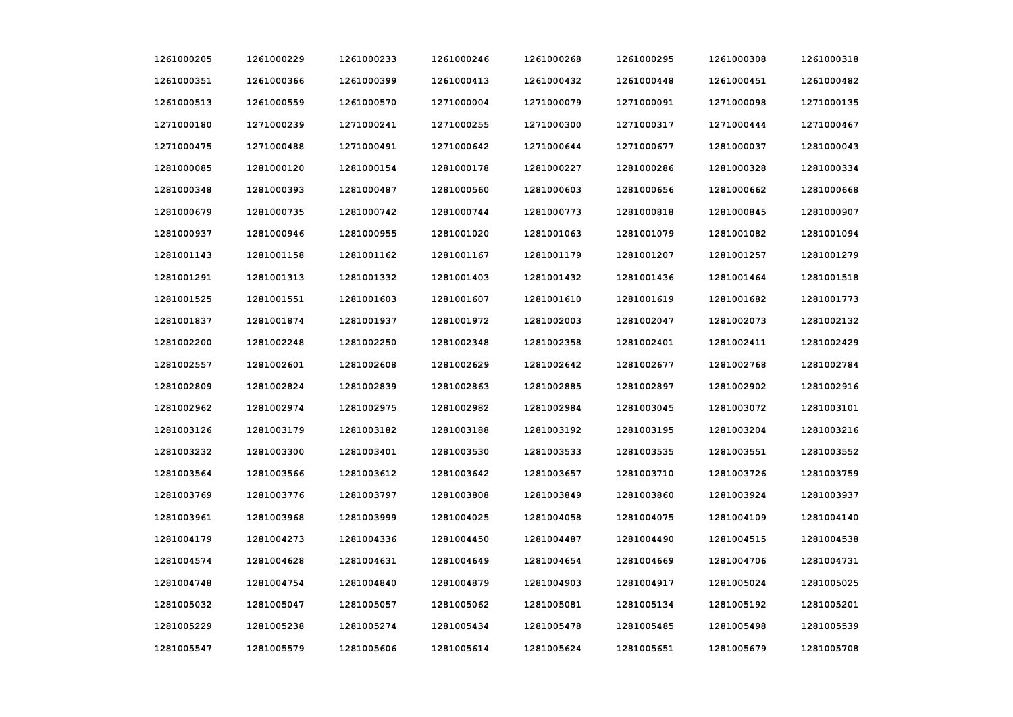| 1261000205 | 1261000229 | 1261000233 | 1261000246 | 1261000268 | 1261000295 | 1261000308 | 1261000318 |
|------------|------------|------------|------------|------------|------------|------------|------------|
| 1261000351 | 1261000366 | 1261000399 | 1261000413 | 1261000432 | 1261000448 | 1261000451 | 1261000482 |
| 1261000513 | 1261000559 | 1261000570 | 1271000004 | 1271000079 | 1271000091 | 1271000098 | 1271000135 |
| 1271000180 | 1271000239 | 1271000241 | 1271000255 | 1271000300 | 1271000317 | 1271000444 | 1271000467 |
| 1271000475 | 1271000488 | 1271000491 | 1271000642 | 1271000644 | 1271000677 | 1281000037 | 1281000043 |
| 1281000085 | 1281000120 | 1281000154 | 1281000178 | 1281000227 | 1281000286 | 1281000328 | 1281000334 |
| 1281000348 | 1281000393 | 1281000487 | 1281000560 | 1281000603 | 1281000656 | 1281000662 | 1281000668 |
| 1281000679 | 1281000735 | 1281000742 | 1281000744 | 1281000773 | 1281000818 | 1281000845 | 1281000907 |
| 1281000937 | 1281000946 | 1281000955 | 1281001020 | 1281001063 | 1281001079 | 1281001082 | 1281001094 |
| 1281001143 | 1281001158 | 1281001162 | 1281001167 | 1281001179 | 1281001207 | 1281001257 | 1281001279 |
| 1281001291 | 1281001313 | 1281001332 | 1281001403 | 1281001432 | 1281001436 | 1281001464 | 1281001518 |
| 1281001525 | 1281001551 | 1281001603 | 1281001607 | 1281001610 | 1281001619 | 1281001682 | 1281001773 |
| 1281001837 | 1281001874 | 1281001937 | 1281001972 | 1281002003 | 1281002047 | 1281002073 | 1281002132 |
| 1281002200 | 1281002248 | 1281002250 | 1281002348 | 1281002358 | 1281002401 | 1281002411 | 1281002429 |
| 1281002557 | 1281002601 | 1281002608 | 1281002629 | 1281002642 | 1281002677 | 1281002768 | 1281002784 |
| 1281002809 | 1281002824 | 1281002839 | 1281002863 | 1281002885 | 1281002897 | 1281002902 | 1281002916 |
| 1281002962 | 1281002974 | 1281002975 | 1281002982 | 1281002984 | 1281003045 | 1281003072 | 1281003101 |
| 1281003126 | 1281003179 | 1281003182 | 1281003188 | 1281003192 | 1281003195 | 1281003204 | 1281003216 |
| 1281003232 | 1281003300 | 1281003401 | 1281003530 | 1281003533 | 1281003535 | 1281003551 | 1281003552 |
| 1281003564 | 1281003566 | 1281003612 | 1281003642 | 1281003657 | 1281003710 | 1281003726 | 1281003759 |
| 1281003769 | 1281003776 | 1281003797 | 1281003808 | 1281003849 | 1281003860 | 1281003924 | 1281003937 |
| 1281003961 | 1281003968 | 1281003999 | 1281004025 | 1281004058 | 1281004075 | 1281004109 | 1281004140 |
| 1281004179 | 1281004273 | 1281004336 | 1281004450 | 1281004487 | 1281004490 | 1281004515 | 1281004538 |
| 1281004574 | 1281004628 | 1281004631 | 1281004649 | 1281004654 | 1281004669 | 1281004706 | 1281004731 |
| 1281004748 | 1281004754 | 1281004840 | 1281004879 | 1281004903 | 1281004917 | 1281005024 | 1281005025 |
| 1281005032 | 1281005047 | 1281005057 | 1281005062 | 1281005081 | 1281005134 | 1281005192 | 1281005201 |
| 1281005229 | 1281005238 | 1281005274 | 1281005434 | 1281005478 | 1281005485 | 1281005498 | 1281005539 |
| 1281005547 | 1281005579 | 1281005606 | 1281005614 | 1281005624 | 1281005651 | 1281005679 | 1281005708 |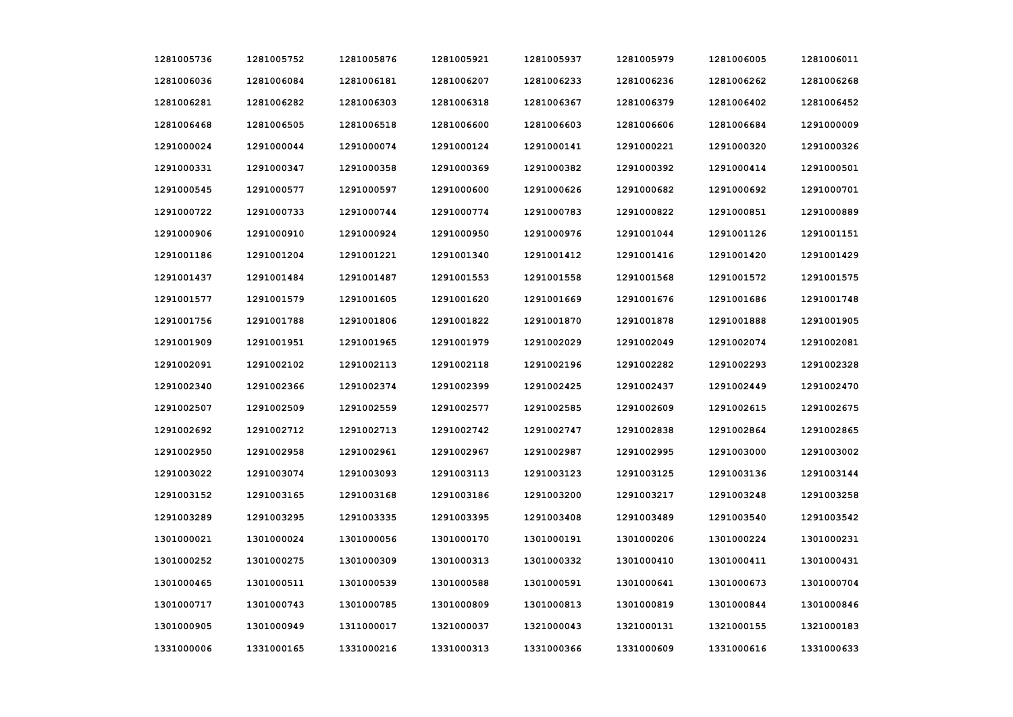| 1281005736 | 1281005752 | 1281005876 | 1281005921 | 1281005937 | 1281005979 | 1281006005 | 1281006011 |
|------------|------------|------------|------------|------------|------------|------------|------------|
| 1281006036 | 1281006084 | 1281006181 | 1281006207 | 1281006233 | 1281006236 | 1281006262 | 1281006268 |
| 1281006281 | 1281006282 | 1281006303 | 1281006318 | 1281006367 | 1281006379 | 1281006402 | 1281006452 |
| 1281006468 | 1281006505 | 1281006518 | 1281006600 | 1281006603 | 1281006606 | 1281006684 | 1291000009 |
| 1291000024 | 1291000044 | 1291000074 | 1291000124 | 1291000141 | 1291000221 | 1291000320 | 1291000326 |
| 1291000331 | 1291000347 | 1291000358 | 1291000369 | 1291000382 | 1291000392 | 1291000414 | 1291000501 |
| 1291000545 | 1291000577 | 1291000597 | 1291000600 | 1291000626 | 1291000682 | 1291000692 | 1291000701 |
| 1291000722 | 1291000733 | 1291000744 | 1291000774 | 1291000783 | 1291000822 | 1291000851 | 1291000889 |
| 1291000906 | 1291000910 | 1291000924 | 1291000950 | 1291000976 | 1291001044 | 1291001126 | 1291001151 |
| 1291001186 | 1291001204 | 1291001221 | 1291001340 | 1291001412 | 1291001416 | 1291001420 | 1291001429 |
| 1291001437 | 1291001484 | 1291001487 | 1291001553 | 1291001558 | 1291001568 | 1291001572 | 1291001575 |
| 1291001577 | 1291001579 | 1291001605 | 1291001620 | 1291001669 | 1291001676 | 1291001686 | 1291001748 |
| 1291001756 | 1291001788 | 1291001806 | 1291001822 | 1291001870 | 1291001878 | 1291001888 | 1291001905 |
| 1291001909 | 1291001951 | 1291001965 | 1291001979 | 1291002029 | 1291002049 | 1291002074 | 1291002081 |
| 1291002091 | 1291002102 | 1291002113 | 1291002118 | 1291002196 | 1291002282 | 1291002293 | 1291002328 |
| 1291002340 | 1291002366 | 1291002374 | 1291002399 | 1291002425 | 1291002437 | 1291002449 | 1291002470 |
| 1291002507 | 1291002509 | 1291002559 | 1291002577 | 1291002585 | 1291002609 | 1291002615 | 1291002675 |
| 1291002692 | 1291002712 | 1291002713 | 1291002742 | 1291002747 | 1291002838 | 1291002864 | 1291002865 |
| 1291002950 | 1291002958 | 1291002961 | 1291002967 | 1291002987 | 1291002995 | 1291003000 | 1291003002 |
| 1291003022 | 1291003074 | 1291003093 | 1291003113 | 1291003123 | 1291003125 | 1291003136 | 1291003144 |
| 1291003152 | 1291003165 | 1291003168 | 1291003186 | 1291003200 | 1291003217 | 1291003248 | 1291003258 |
| 1291003289 | 1291003295 | 1291003335 | 1291003395 | 1291003408 | 1291003489 | 1291003540 | 1291003542 |
| 1301000021 | 1301000024 | 1301000056 | 1301000170 | 1301000191 | 1301000206 | 1301000224 | 1301000231 |
| 1301000252 | 1301000275 | 1301000309 | 1301000313 | 1301000332 | 1301000410 | 1301000411 | 1301000431 |
| 1301000465 | 1301000511 | 1301000539 | 1301000588 | 1301000591 | 1301000641 | 1301000673 | 1301000704 |
| 1301000717 | 1301000743 | 1301000785 | 1301000809 | 1301000813 | 1301000819 | 1301000844 | 1301000846 |
| 1301000905 | 1301000949 | 1311000017 | 1321000037 | 1321000043 | 1321000131 | 1321000155 | 1321000183 |
| 1331000006 | 1331000165 | 1331000216 | 1331000313 | 1331000366 | 1331000609 | 1331000616 | 1331000633 |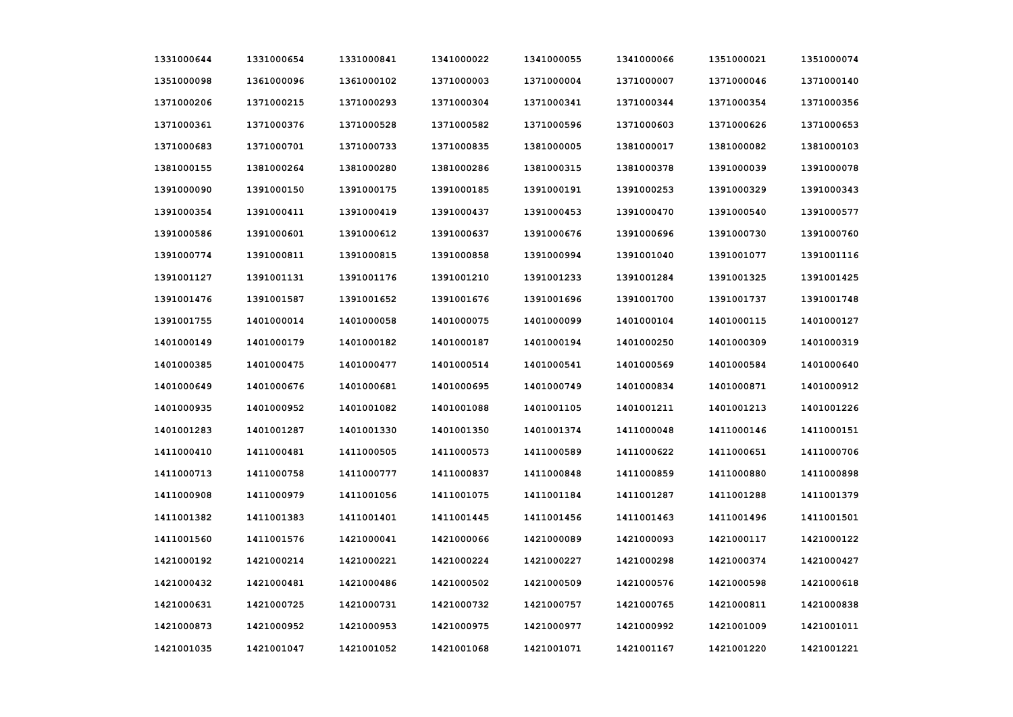| 1331000644 | 1331000654 | 1331000841 | 1341000022 | 1341000055 | 1341000066 | 1351000021 | 1351000074 |
|------------|------------|------------|------------|------------|------------|------------|------------|
| 1351000098 | 1361000096 | 1361000102 | 1371000003 | 1371000004 | 1371000007 | 1371000046 | 1371000140 |
| 1371000206 | 1371000215 | 1371000293 | 1371000304 | 1371000341 | 1371000344 | 1371000354 | 1371000356 |
| 1371000361 | 1371000376 | 1371000528 | 1371000582 | 1371000596 | 1371000603 | 1371000626 | 1371000653 |
| 1371000683 | 1371000701 | 1371000733 | 1371000835 | 1381000005 | 1381000017 | 1381000082 | 1381000103 |
| 1381000155 | 1381000264 | 1381000280 | 1381000286 | 1381000315 | 1381000378 | 1391000039 | 1391000078 |
| 1391000090 | 1391000150 | 1391000175 | 1391000185 | 1391000191 | 1391000253 | 1391000329 | 1391000343 |
| 1391000354 | 1391000411 | 1391000419 | 1391000437 | 1391000453 | 1391000470 | 1391000540 | 1391000577 |
| 1391000586 | 1391000601 | 1391000612 | 1391000637 | 1391000676 | 1391000696 | 1391000730 | 1391000760 |
| 1391000774 | 1391000811 | 1391000815 | 1391000858 | 1391000994 | 1391001040 | 1391001077 | 1391001116 |
| 1391001127 | 1391001131 | 1391001176 | 1391001210 | 1391001233 | 1391001284 | 1391001325 | 1391001425 |
| 1391001476 | 1391001587 | 1391001652 | 1391001676 | 1391001696 | 1391001700 | 1391001737 | 1391001748 |
| 1391001755 | 1401000014 | 1401000058 | 1401000075 | 1401000099 | 1401000104 | 1401000115 | 1401000127 |
| 1401000149 | 1401000179 | 1401000182 | 1401000187 | 1401000194 | 1401000250 | 1401000309 | 1401000319 |
| 1401000385 | 1401000475 | 1401000477 | 1401000514 | 1401000541 | 1401000569 | 1401000584 | 1401000640 |
| 1401000649 | 1401000676 | 1401000681 | 1401000695 | 1401000749 | 1401000834 | 1401000871 | 1401000912 |
| 1401000935 | 1401000952 | 1401001082 | 1401001088 | 1401001105 | 1401001211 | 1401001213 | 1401001226 |
| 1401001283 | 1401001287 | 1401001330 | 1401001350 | 1401001374 | 1411000048 | 1411000146 | 1411000151 |
| 1411000410 | 1411000481 | 1411000505 | 1411000573 | 1411000589 | 1411000622 | 1411000651 | 1411000706 |
| 1411000713 | 1411000758 | 1411000777 | 1411000837 | 1411000848 | 1411000859 | 1411000880 | 1411000898 |
| 1411000908 | 1411000979 | 1411001056 | 1411001075 | 1411001184 | 1411001287 | 1411001288 | 1411001379 |
| 1411001382 | 1411001383 | 1411001401 | 1411001445 | 1411001456 | 1411001463 | 1411001496 | 1411001501 |
| 1411001560 | 1411001576 | 1421000041 | 1421000066 | 1421000089 | 1421000093 | 1421000117 | 1421000122 |
| 1421000192 | 1421000214 | 1421000221 | 1421000224 | 1421000227 | 1421000298 | 1421000374 | 1421000427 |
| 1421000432 | 1421000481 | 1421000486 | 1421000502 | 1421000509 | 1421000576 | 1421000598 | 1421000618 |
| 1421000631 | 1421000725 | 1421000731 | 1421000732 | 1421000757 | 1421000765 | 1421000811 | 1421000838 |
| 1421000873 | 1421000952 | 1421000953 | 1421000975 | 1421000977 | 1421000992 | 1421001009 | 1421001011 |
| 1421001035 | 1421001047 | 1421001052 | 1421001068 | 1421001071 | 1421001167 | 1421001220 | 1421001221 |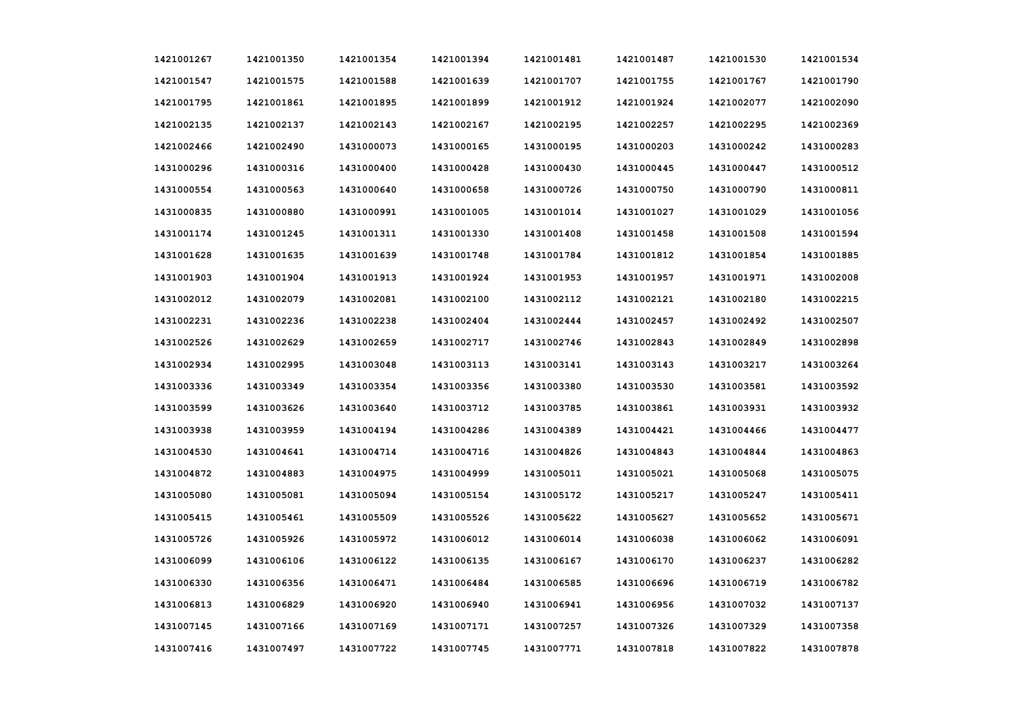| 1421001267 | 1421001350 | 1421001354 | 1421001394 | 1421001481 | 1421001487 | 1421001530 | 1421001534 |
|------------|------------|------------|------------|------------|------------|------------|------------|
| 1421001547 | 1421001575 | 1421001588 | 1421001639 | 1421001707 | 1421001755 | 1421001767 | 1421001790 |
| 1421001795 | 1421001861 | 1421001895 | 1421001899 | 1421001912 | 1421001924 | 1421002077 | 1421002090 |
| 1421002135 | 1421002137 | 1421002143 | 1421002167 | 1421002195 | 1421002257 | 1421002295 | 1421002369 |
| 1421002466 | 1421002490 | 1431000073 | 1431000165 | 1431000195 | 1431000203 | 1431000242 | 1431000283 |
| 1431000296 | 1431000316 | 1431000400 | 1431000428 | 1431000430 | 1431000445 | 1431000447 | 1431000512 |
| 1431000554 | 1431000563 | 1431000640 | 1431000658 | 1431000726 | 1431000750 | 1431000790 | 1431000811 |
| 1431000835 | 1431000880 | 1431000991 | 1431001005 | 1431001014 | 1431001027 | 1431001029 | 1431001056 |
| 1431001174 | 1431001245 | 1431001311 | 1431001330 | 1431001408 | 1431001458 | 1431001508 | 1431001594 |
| 1431001628 | 1431001635 | 1431001639 | 1431001748 | 1431001784 | 1431001812 | 1431001854 | 1431001885 |
| 1431001903 | 1431001904 | 1431001913 | 1431001924 | 1431001953 | 1431001957 | 1431001971 | 1431002008 |
| 1431002012 | 1431002079 | 1431002081 | 1431002100 | 1431002112 | 1431002121 | 1431002180 | 1431002215 |
| 1431002231 | 1431002236 | 1431002238 | 1431002404 | 1431002444 | 1431002457 | 1431002492 | 1431002507 |
| 1431002526 | 1431002629 | 1431002659 | 1431002717 | 1431002746 | 1431002843 | 1431002849 | 1431002898 |
| 1431002934 | 1431002995 | 1431003048 | 1431003113 | 1431003141 | 1431003143 | 1431003217 | 1431003264 |
| 1431003336 | 1431003349 | 1431003354 | 1431003356 | 1431003380 | 1431003530 | 1431003581 | 1431003592 |
| 1431003599 | 1431003626 | 1431003640 | 1431003712 | 1431003785 | 1431003861 | 1431003931 | 1431003932 |
| 1431003938 | 1431003959 | 1431004194 | 1431004286 | 1431004389 | 1431004421 | 1431004466 | 1431004477 |
| 1431004530 | 1431004641 | 1431004714 | 1431004716 | 1431004826 | 1431004843 | 1431004844 | 1431004863 |
| 1431004872 | 1431004883 | 1431004975 | 1431004999 | 1431005011 | 1431005021 | 1431005068 | 1431005075 |
| 1431005080 | 1431005081 | 1431005094 | 1431005154 | 1431005172 | 1431005217 | 1431005247 | 1431005411 |
| 1431005415 | 1431005461 | 1431005509 | 1431005526 | 1431005622 | 1431005627 | 1431005652 | 1431005671 |
| 1431005726 | 1431005926 | 1431005972 | 1431006012 | 1431006014 | 1431006038 | 1431006062 | 1431006091 |
| 1431006099 | 1431006106 | 1431006122 | 1431006135 | 1431006167 | 1431006170 | 1431006237 | 1431006282 |
| 1431006330 | 1431006356 | 1431006471 | 1431006484 | 1431006585 | 1431006696 | 1431006719 | 1431006782 |
| 1431006813 | 1431006829 | 1431006920 | 1431006940 | 1431006941 | 1431006956 | 1431007032 | 1431007137 |
| 1431007145 | 1431007166 | 1431007169 | 1431007171 | 1431007257 | 1431007326 | 1431007329 | 1431007358 |
| 1431007416 | 1431007497 | 1431007722 | 1431007745 | 1431007771 | 1431007818 | 1431007822 | 1431007878 |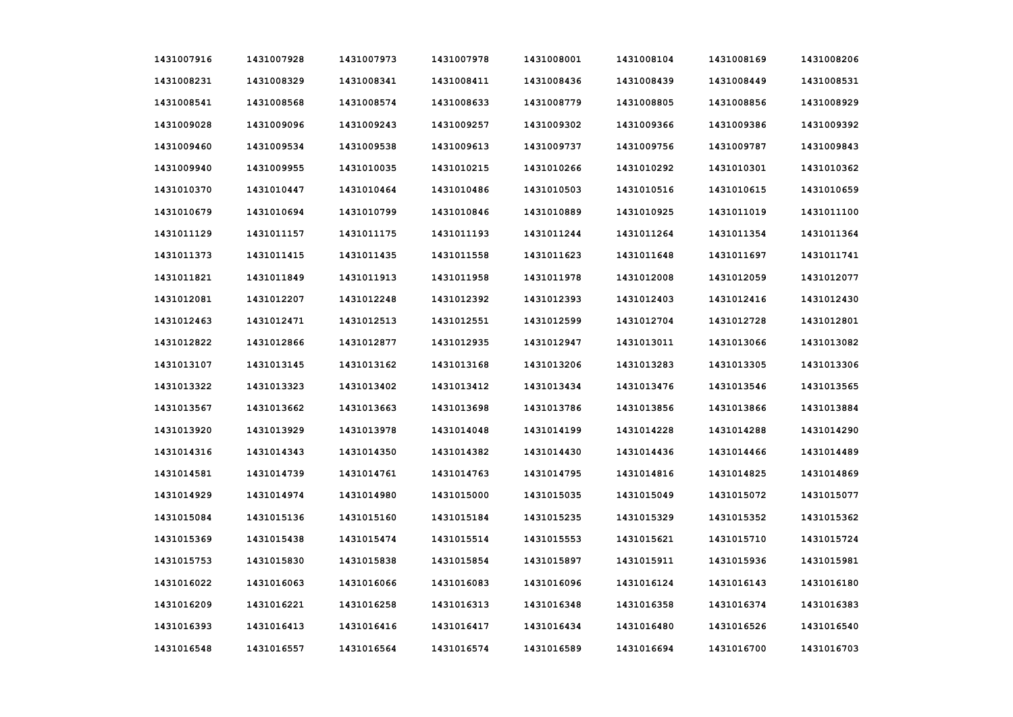| 1431007916 | 1431007928 | 1431007973 | 1431007978 | 1431008001 | 1431008104 | 1431008169 | 1431008206 |
|------------|------------|------------|------------|------------|------------|------------|------------|
| 1431008231 | 1431008329 | 1431008341 | 1431008411 | 1431008436 | 1431008439 | 1431008449 | 1431008531 |
| 1431008541 | 1431008568 | 1431008574 | 1431008633 | 1431008779 | 1431008805 | 1431008856 | 1431008929 |
| 1431009028 | 1431009096 | 1431009243 | 1431009257 | 1431009302 | 1431009366 | 1431009386 | 1431009392 |
| 1431009460 | 1431009534 | 1431009538 | 1431009613 | 1431009737 | 1431009756 | 1431009787 | 1431009843 |
| 1431009940 | 1431009955 | 1431010035 | 1431010215 | 1431010266 | 1431010292 | 1431010301 | 1431010362 |
| 1431010370 | 1431010447 | 1431010464 | 1431010486 | 1431010503 | 1431010516 | 1431010615 | 1431010659 |
| 1431010679 | 1431010694 | 1431010799 | 1431010846 | 1431010889 | 1431010925 | 1431011019 | 1431011100 |
| 1431011129 | 1431011157 | 1431011175 | 1431011193 | 1431011244 | 1431011264 | 1431011354 | 1431011364 |
| 1431011373 | 1431011415 | 1431011435 | 1431011558 | 1431011623 | 1431011648 | 1431011697 | 1431011741 |
| 1431011821 | 1431011849 | 1431011913 | 1431011958 | 1431011978 | 1431012008 | 1431012059 | 1431012077 |
| 1431012081 | 1431012207 | 1431012248 | 1431012392 | 1431012393 | 1431012403 | 1431012416 | 1431012430 |
| 1431012463 | 1431012471 | 1431012513 | 1431012551 | 1431012599 | 1431012704 | 1431012728 | 1431012801 |
| 1431012822 | 1431012866 | 1431012877 | 1431012935 | 1431012947 | 1431013011 | 1431013066 | 1431013082 |
| 1431013107 | 1431013145 | 1431013162 | 1431013168 | 1431013206 | 1431013283 | 1431013305 | 1431013306 |
| 1431013322 | 1431013323 | 1431013402 | 1431013412 | 1431013434 | 1431013476 | 1431013546 | 1431013565 |
| 1431013567 | 1431013662 | 1431013663 | 1431013698 | 1431013786 | 1431013856 | 1431013866 | 1431013884 |
| 1431013920 | 1431013929 | 1431013978 | 1431014048 | 1431014199 | 1431014228 | 1431014288 | 1431014290 |
| 1431014316 | 1431014343 | 1431014350 | 1431014382 | 1431014430 | 1431014436 | 1431014466 | 1431014489 |
| 1431014581 | 1431014739 | 1431014761 | 1431014763 | 1431014795 | 1431014816 | 1431014825 | 1431014869 |
| 1431014929 | 1431014974 | 1431014980 | 1431015000 | 1431015035 | 1431015049 | 1431015072 | 1431015077 |
| 1431015084 | 1431015136 | 1431015160 | 1431015184 | 1431015235 | 1431015329 | 1431015352 | 1431015362 |
| 1431015369 | 1431015438 | 1431015474 | 1431015514 | 1431015553 | 1431015621 | 1431015710 | 1431015724 |
| 1431015753 | 1431015830 | 1431015838 | 1431015854 | 1431015897 | 1431015911 | 1431015936 | 1431015981 |
| 1431016022 | 1431016063 | 1431016066 | 1431016083 | 1431016096 | 1431016124 | 1431016143 | 1431016180 |
| 1431016209 | 1431016221 | 1431016258 | 1431016313 | 1431016348 | 1431016358 | 1431016374 | 1431016383 |
| 1431016393 | 1431016413 | 1431016416 | 1431016417 | 1431016434 | 1431016480 | 1431016526 | 1431016540 |
| 1431016548 | 1431016557 | 1431016564 | 1431016574 | 1431016589 | 1431016694 | 1431016700 | 1431016703 |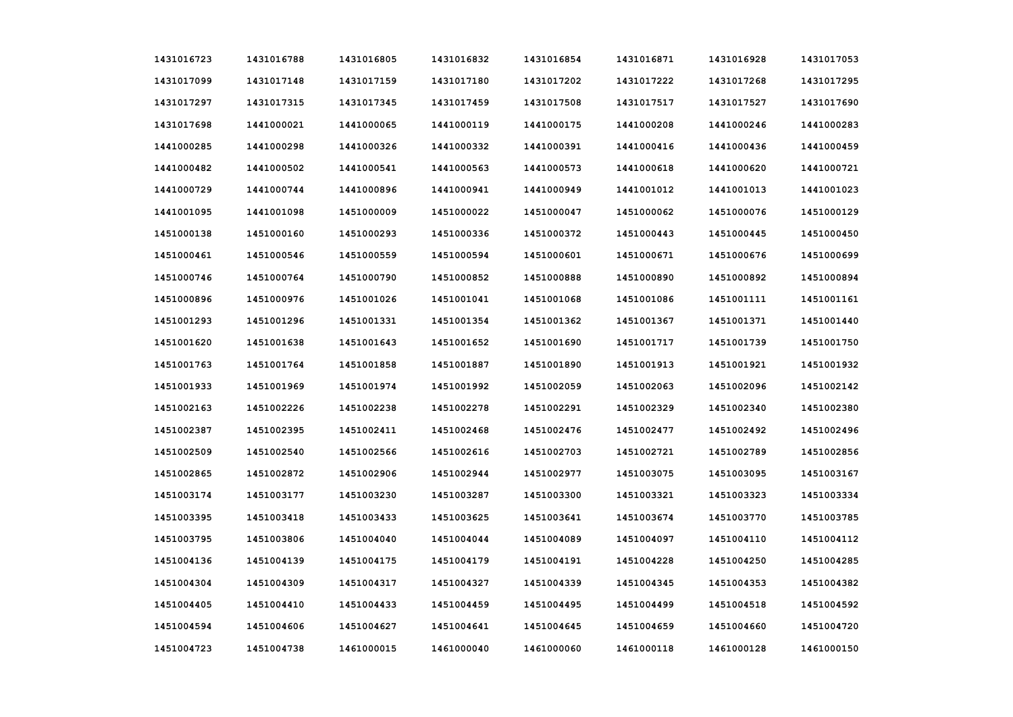| 1431016723 | 1431016788 | 1431016805 | 1431016832 | 1431016854 | 1431016871 | 1431016928 | 1431017053 |
|------------|------------|------------|------------|------------|------------|------------|------------|
| 1431017099 | 1431017148 | 1431017159 | 1431017180 | 1431017202 | 1431017222 | 1431017268 | 1431017295 |
| 1431017297 | 1431017315 | 1431017345 | 1431017459 | 1431017508 | 1431017517 | 1431017527 | 1431017690 |
| 1431017698 | 1441000021 | 1441000065 | 1441000119 | 1441000175 | 1441000208 | 1441000246 | 1441000283 |
| 1441000285 | 1441000298 | 1441000326 | 1441000332 | 1441000391 | 1441000416 | 1441000436 | 1441000459 |
| 1441000482 | 1441000502 | 1441000541 | 1441000563 | 1441000573 | 1441000618 | 1441000620 | 1441000721 |
| 1441000729 | 1441000744 | 1441000896 | 1441000941 | 1441000949 | 1441001012 | 1441001013 | 1441001023 |
| 1441001095 | 1441001098 | 1451000009 | 1451000022 | 1451000047 | 1451000062 | 1451000076 | 1451000129 |
| 1451000138 | 1451000160 | 1451000293 | 1451000336 | 1451000372 | 1451000443 | 1451000445 | 1451000450 |
| 1451000461 | 1451000546 | 1451000559 | 1451000594 | 1451000601 | 1451000671 | 1451000676 | 1451000699 |
| 1451000746 | 1451000764 | 1451000790 | 1451000852 | 1451000888 | 1451000890 | 1451000892 | 1451000894 |
| 1451000896 | 1451000976 | 1451001026 | 1451001041 | 1451001068 | 1451001086 | 1451001111 | 1451001161 |
| 1451001293 | 1451001296 | 1451001331 | 1451001354 | 1451001362 | 1451001367 | 1451001371 | 1451001440 |
| 1451001620 | 1451001638 | 1451001643 | 1451001652 | 1451001690 | 1451001717 | 1451001739 | 1451001750 |
| 1451001763 | 1451001764 | 1451001858 | 1451001887 | 1451001890 | 1451001913 | 1451001921 | 1451001932 |
| 1451001933 | 1451001969 | 1451001974 | 1451001992 | 1451002059 | 1451002063 | 1451002096 | 1451002142 |
| 1451002163 | 1451002226 | 1451002238 | 1451002278 | 1451002291 | 1451002329 | 1451002340 | 1451002380 |
| 1451002387 | 1451002395 | 1451002411 | 1451002468 | 1451002476 | 1451002477 | 1451002492 | 1451002496 |
| 1451002509 | 1451002540 | 1451002566 | 1451002616 | 1451002703 | 1451002721 | 1451002789 | 1451002856 |
| 1451002865 | 1451002872 | 1451002906 | 1451002944 | 1451002977 | 1451003075 | 1451003095 | 1451003167 |
| 1451003174 | 1451003177 | 1451003230 | 1451003287 | 1451003300 | 1451003321 | 1451003323 | 1451003334 |
| 1451003395 | 1451003418 | 1451003433 | 1451003625 | 1451003641 | 1451003674 | 1451003770 | 1451003785 |
| 1451003795 | 1451003806 | 1451004040 | 1451004044 | 1451004089 | 1451004097 | 1451004110 | 1451004112 |
| 1451004136 | 1451004139 | 1451004175 | 1451004179 | 1451004191 | 1451004228 | 1451004250 | 1451004285 |
| 1451004304 | 1451004309 | 1451004317 | 1451004327 | 1451004339 | 1451004345 | 1451004353 | 1451004382 |
| 1451004405 | 1451004410 | 1451004433 | 1451004459 | 1451004495 | 1451004499 | 1451004518 | 1451004592 |
| 1451004594 | 1451004606 | 1451004627 | 1451004641 | 1451004645 | 1451004659 | 1451004660 | 1451004720 |
| 1451004723 | 1451004738 | 1461000015 | 1461000040 | 1461000060 | 1461000118 | 1461000128 | 1461000150 |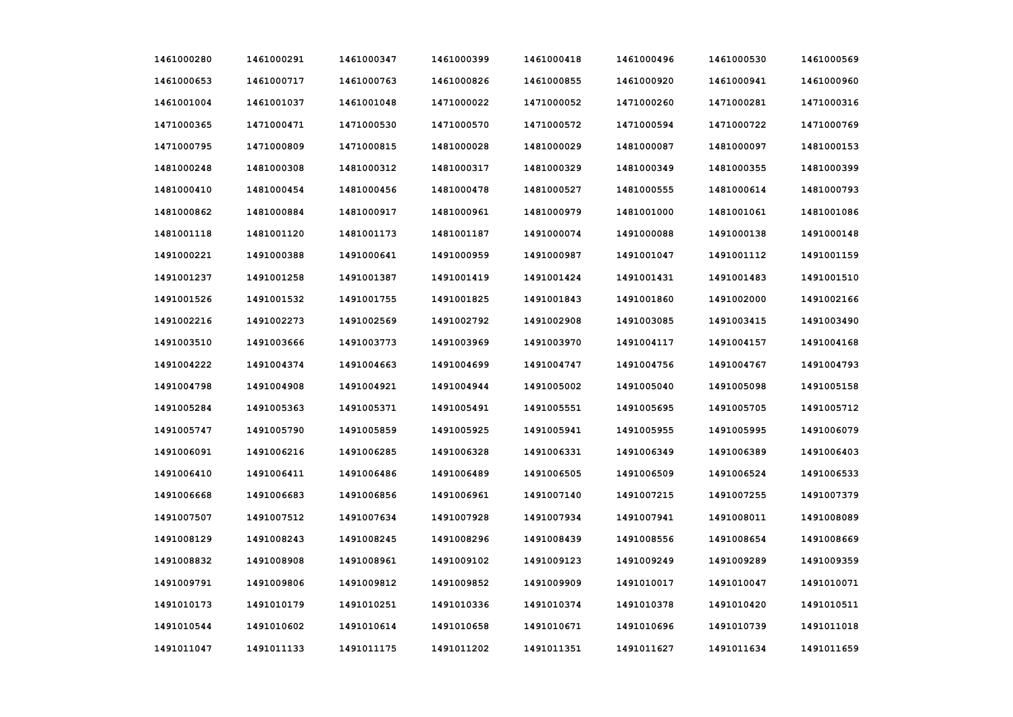| 1461000280 | 1461000291 | 1461000347 | 1461000399 | 1461000418 | 1461000496 | 1461000530 | 1461000569 |
|------------|------------|------------|------------|------------|------------|------------|------------|
| 1461000653 | 1461000717 | 1461000763 | 1461000826 | 1461000855 | 1461000920 | 1461000941 | 1461000960 |
| 1461001004 | 1461001037 | 1461001048 | 1471000022 | 1471000052 | 1471000260 | 1471000281 | 1471000316 |
| 1471000365 | 1471000471 | 1471000530 | 1471000570 | 1471000572 | 1471000594 | 1471000722 | 1471000769 |
| 1471000795 | 1471000809 | 1471000815 | 1481000028 | 1481000029 | 1481000087 | 1481000097 | 1481000153 |
| 1481000248 | 1481000308 | 1481000312 | 1481000317 | 1481000329 | 1481000349 | 1481000355 | 1481000399 |
| 1481000410 | 1481000454 | 1481000456 | 1481000478 | 1481000527 | 1481000555 | 1481000614 | 1481000793 |
| 1481000862 | 1481000884 | 1481000917 | 1481000961 | 1481000979 | 1481001000 | 1481001061 | 1481001086 |
| 1481001118 | 1481001120 | 1481001173 | 1481001187 | 1491000074 | 1491000088 | 1491000138 | 1491000148 |
| 1491000221 | 1491000388 | 1491000641 | 1491000959 | 1491000987 | 1491001047 | 1491001112 | 1491001159 |
| 1491001237 | 1491001258 | 1491001387 | 1491001419 | 1491001424 | 1491001431 | 1491001483 | 1491001510 |
| 1491001526 | 1491001532 | 1491001755 | 1491001825 | 1491001843 | 1491001860 | 1491002000 | 1491002166 |
| 1491002216 | 1491002273 | 1491002569 | 1491002792 | 1491002908 | 1491003085 | 1491003415 | 1491003490 |
| 1491003510 | 1491003666 | 1491003773 | 1491003969 | 1491003970 | 1491004117 | 1491004157 | 1491004168 |
| 1491004222 | 1491004374 | 1491004663 | 1491004699 | 1491004747 | 1491004756 | 1491004767 | 1491004793 |
| 1491004798 | 1491004908 | 1491004921 | 1491004944 | 1491005002 | 1491005040 | 1491005098 | 1491005158 |
| 1491005284 | 1491005363 | 1491005371 | 1491005491 | 1491005551 | 1491005695 | 1491005705 | 1491005712 |
| 1491005747 | 1491005790 | 1491005859 | 1491005925 | 1491005941 | 1491005955 | 1491005995 | 1491006079 |
| 1491006091 | 1491006216 | 1491006285 | 1491006328 | 1491006331 | 1491006349 | 1491006389 | 1491006403 |
| 1491006410 | 1491006411 | 1491006486 | 1491006489 | 1491006505 | 1491006509 | 1491006524 | 1491006533 |
| 1491006668 | 1491006683 | 1491006856 | 1491006961 | 1491007140 | 1491007215 | 1491007255 | 1491007379 |
| 1491007507 | 1491007512 | 1491007634 | 1491007928 | 1491007934 | 1491007941 | 1491008011 | 1491008089 |
| 1491008129 | 1491008243 | 1491008245 | 1491008296 | 1491008439 | 1491008556 | 1491008654 | 1491008669 |
| 1491008832 | 1491008908 | 1491008961 | 1491009102 | 1491009123 | 1491009249 | 1491009289 | 1491009359 |
| 1491009791 | 1491009806 | 1491009812 | 1491009852 | 1491009909 | 1491010017 | 1491010047 | 1491010071 |
| 1491010173 | 1491010179 | 1491010251 | 1491010336 | 1491010374 | 1491010378 | 1491010420 | 1491010511 |
| 1491010544 | 1491010602 | 1491010614 | 1491010658 | 1491010671 | 1491010696 | 1491010739 | 1491011018 |
| 1491011047 | 1491011133 | 1491011175 | 1491011202 | 1491011351 | 1491011627 | 1491011634 | 1491011659 |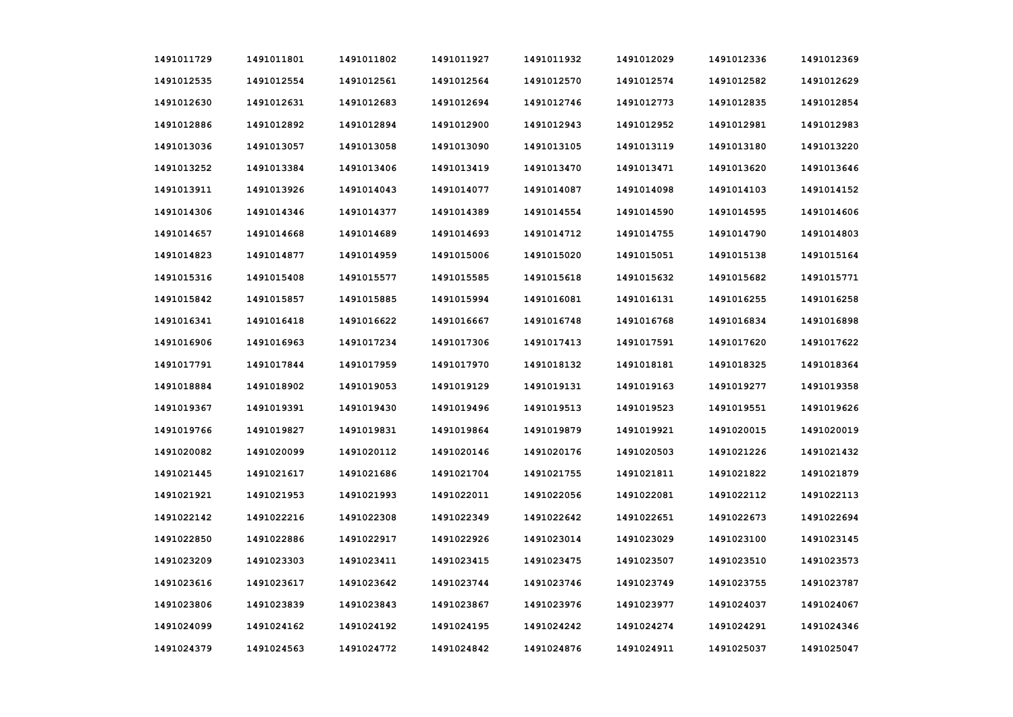| 1491011729 | 1491011801 | 1491011802 | 1491011927 | 1491011932 | 1491012029 | 1491012336 | 1491012369 |
|------------|------------|------------|------------|------------|------------|------------|------------|
| 1491012535 | 1491012554 | 1491012561 | 1491012564 | 1491012570 | 1491012574 | 1491012582 | 1491012629 |
| 1491012630 | 1491012631 | 1491012683 | 1491012694 | 1491012746 | 1491012773 | 1491012835 | 1491012854 |
| 1491012886 | 1491012892 | 1491012894 | 1491012900 | 1491012943 | 1491012952 | 1491012981 | 1491012983 |
| 1491013036 | 1491013057 | 1491013058 | 1491013090 | 1491013105 | 1491013119 | 1491013180 | 1491013220 |
| 1491013252 | 1491013384 | 1491013406 | 1491013419 | 1491013470 | 1491013471 | 1491013620 | 1491013646 |
| 1491013911 | 1491013926 | 1491014043 | 1491014077 | 1491014087 | 1491014098 | 1491014103 | 1491014152 |
| 1491014306 | 1491014346 | 1491014377 | 1491014389 | 1491014554 | 1491014590 | 1491014595 | 1491014606 |
| 1491014657 | 1491014668 | 1491014689 | 1491014693 | 1491014712 | 1491014755 | 1491014790 | 1491014803 |
| 1491014823 | 1491014877 | 1491014959 | 1491015006 | 1491015020 | 1491015051 | 1491015138 | 1491015164 |
| 1491015316 | 1491015408 | 1491015577 | 1491015585 | 1491015618 | 1491015632 | 1491015682 | 1491015771 |
| 1491015842 | 1491015857 | 1491015885 | 1491015994 | 1491016081 | 1491016131 | 1491016255 | 1491016258 |
| 1491016341 | 1491016418 | 1491016622 | 1491016667 | 1491016748 | 1491016768 | 1491016834 | 1491016898 |
| 1491016906 | 1491016963 | 1491017234 | 1491017306 | 1491017413 | 1491017591 | 1491017620 | 1491017622 |
| 1491017791 | 1491017844 | 1491017959 | 1491017970 | 1491018132 | 1491018181 | 1491018325 | 1491018364 |
| 1491018884 | 1491018902 | 1491019053 | 1491019129 | 1491019131 | 1491019163 | 1491019277 | 1491019358 |
| 1491019367 | 1491019391 | 1491019430 | 1491019496 | 1491019513 | 1491019523 | 1491019551 | 1491019626 |
| 1491019766 | 1491019827 | 1491019831 | 1491019864 | 1491019879 | 1491019921 | 1491020015 | 1491020019 |
| 1491020082 | 1491020099 | 1491020112 | 1491020146 | 1491020176 | 1491020503 | 1491021226 | 1491021432 |
| 1491021445 | 1491021617 | 1491021686 | 1491021704 | 1491021755 | 1491021811 | 1491021822 | 1491021879 |
| 1491021921 | 1491021953 | 1491021993 | 1491022011 | 1491022056 | 1491022081 | 1491022112 | 1491022113 |
| 1491022142 | 1491022216 | 1491022308 | 1491022349 | 1491022642 | 1491022651 | 1491022673 | 1491022694 |
| 1491022850 | 1491022886 | 1491022917 | 1491022926 | 1491023014 | 1491023029 | 1491023100 | 1491023145 |
| 1491023209 | 1491023303 | 1491023411 | 1491023415 | 1491023475 | 1491023507 | 1491023510 | 1491023573 |
| 1491023616 | 1491023617 | 1491023642 | 1491023744 | 1491023746 | 1491023749 | 1491023755 | 1491023787 |
| 1491023806 | 1491023839 | 1491023843 | 1491023867 | 1491023976 | 1491023977 | 1491024037 | 1491024067 |
| 1491024099 | 1491024162 | 1491024192 | 1491024195 | 1491024242 | 1491024274 | 1491024291 | 1491024346 |
| 1491024379 | 1491024563 | 1491024772 | 1491024842 | 1491024876 | 1491024911 | 1491025037 | 1491025047 |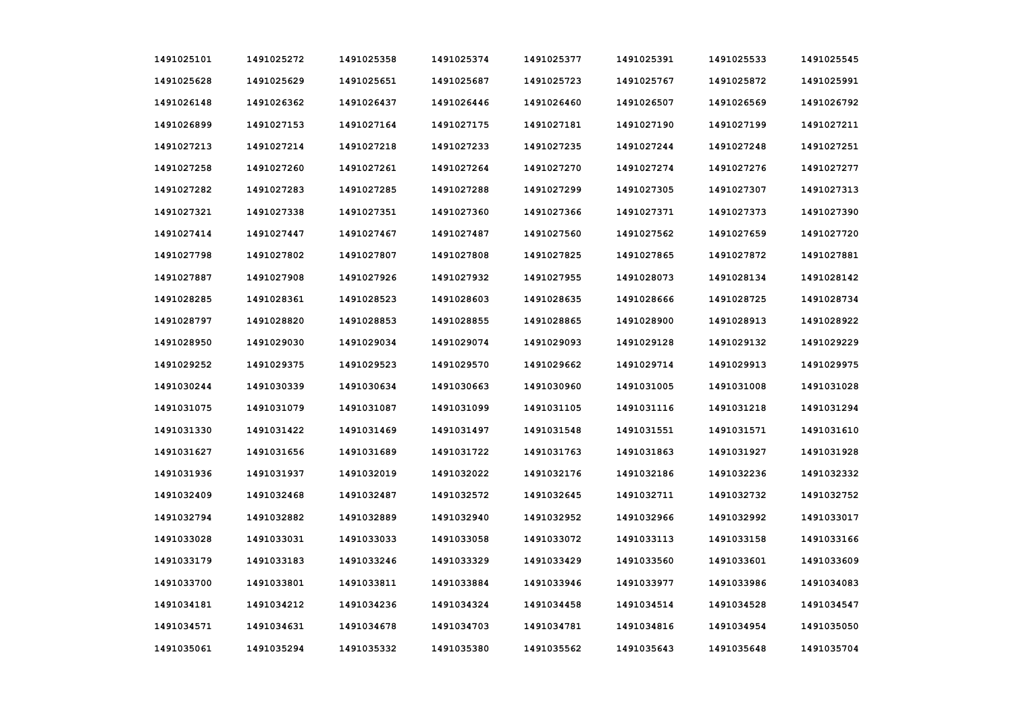| 1491025101 | 1491025272 | 1491025358 | 1491025374 | 1491025377 | 1491025391 | 1491025533 | 1491025545 |
|------------|------------|------------|------------|------------|------------|------------|------------|
| 1491025628 | 1491025629 | 1491025651 | 1491025687 | 1491025723 | 1491025767 | 1491025872 | 1491025991 |
| 1491026148 | 1491026362 | 1491026437 | 1491026446 | 1491026460 | 1491026507 | 1491026569 | 1491026792 |
| 1491026899 | 1491027153 | 1491027164 | 1491027175 | 1491027181 | 1491027190 | 1491027199 | 1491027211 |
| 1491027213 | 1491027214 | 1491027218 | 1491027233 | 1491027235 | 1491027244 | 1491027248 | 1491027251 |
| 1491027258 | 1491027260 | 1491027261 | 1491027264 | 1491027270 | 1491027274 | 1491027276 | 1491027277 |
| 1491027282 | 1491027283 | 1491027285 | 1491027288 | 1491027299 | 1491027305 | 1491027307 | 1491027313 |
| 1491027321 | 1491027338 | 1491027351 | 1491027360 | 1491027366 | 1491027371 | 1491027373 | 1491027390 |
| 1491027414 | 1491027447 | 1491027467 | 1491027487 | 1491027560 | 1491027562 | 1491027659 | 1491027720 |
| 1491027798 | 1491027802 | 1491027807 | 1491027808 | 1491027825 | 1491027865 | 1491027872 | 1491027881 |
| 1491027887 | 1491027908 | 1491027926 | 1491027932 | 1491027955 | 1491028073 | 1491028134 | 1491028142 |
| 1491028285 | 1491028361 | 1491028523 | 1491028603 | 1491028635 | 1491028666 | 1491028725 | 1491028734 |
| 1491028797 | 1491028820 | 1491028853 | 1491028855 | 1491028865 | 1491028900 | 1491028913 | 1491028922 |
| 1491028950 | 1491029030 | 1491029034 | 1491029074 | 1491029093 | 1491029128 | 1491029132 | 1491029229 |
| 1491029252 | 1491029375 | 1491029523 | 1491029570 | 1491029662 | 1491029714 | 1491029913 | 1491029975 |
| 1491030244 | 1491030339 | 1491030634 | 1491030663 | 1491030960 | 1491031005 | 1491031008 | 1491031028 |
| 1491031075 | 1491031079 | 1491031087 | 1491031099 | 1491031105 | 1491031116 | 1491031218 | 1491031294 |
| 1491031330 | 1491031422 | 1491031469 | 1491031497 | 1491031548 | 1491031551 | 1491031571 | 1491031610 |
| 1491031627 | 1491031656 | 1491031689 | 1491031722 | 1491031763 | 1491031863 | 1491031927 | 1491031928 |
| 1491031936 | 1491031937 | 1491032019 | 1491032022 | 1491032176 | 1491032186 | 1491032236 | 1491032332 |
| 1491032409 | 1491032468 | 1491032487 | 1491032572 | 1491032645 | 1491032711 | 1491032732 | 1491032752 |
| 1491032794 | 1491032882 | 1491032889 | 1491032940 | 1491032952 | 1491032966 | 1491032992 | 1491033017 |
| 1491033028 | 1491033031 | 1491033033 | 1491033058 | 1491033072 | 1491033113 | 1491033158 | 1491033166 |
| 1491033179 | 1491033183 | 1491033246 | 1491033329 | 1491033429 | 1491033560 | 1491033601 | 1491033609 |
| 1491033700 | 1491033801 | 1491033811 | 1491033884 | 1491033946 | 1491033977 | 1491033986 | 1491034083 |
| 1491034181 | 1491034212 | 1491034236 | 1491034324 | 1491034458 | 1491034514 | 1491034528 | 1491034547 |
| 1491034571 | 1491034631 | 1491034678 | 1491034703 | 1491034781 | 1491034816 | 1491034954 | 1491035050 |
| 1491035061 | 1491035294 | 1491035332 | 1491035380 | 1491035562 | 1491035643 | 1491035648 | 1491035704 |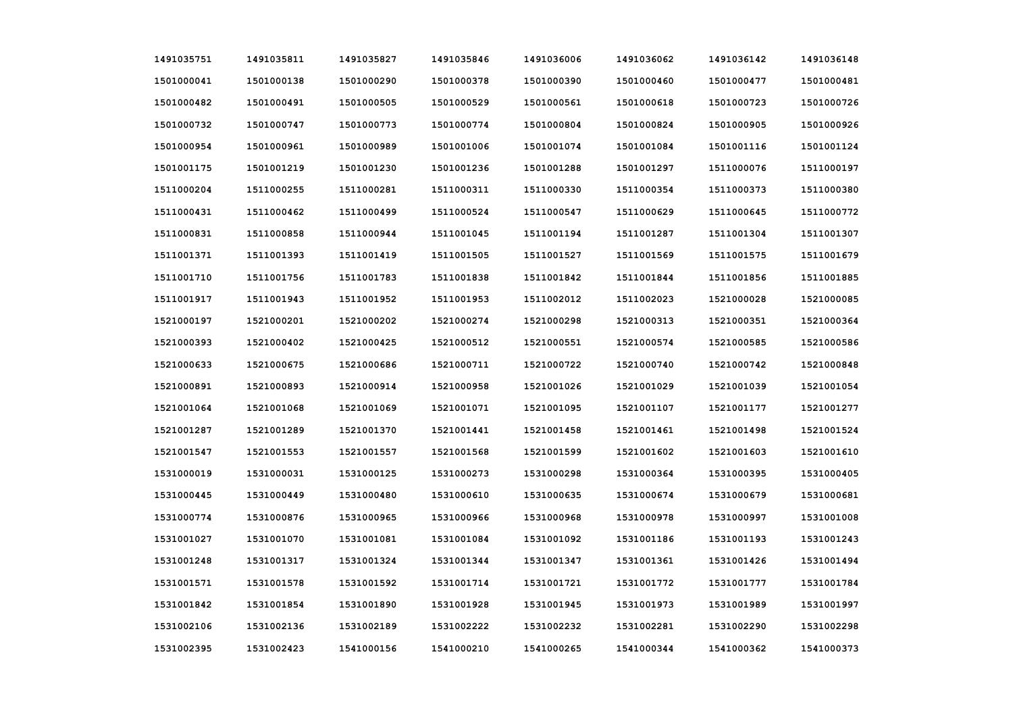| 1491035751 | 1491035811 | 1491035827 | 1491035846 | 1491036006 | 1491036062 | 1491036142 | 1491036148 |
|------------|------------|------------|------------|------------|------------|------------|------------|
| 1501000041 | 1501000138 | 1501000290 | 1501000378 | 1501000390 | 1501000460 | 1501000477 | 1501000481 |
| 1501000482 | 1501000491 | 1501000505 | 1501000529 | 1501000561 | 1501000618 | 1501000723 | 1501000726 |
| 1501000732 | 1501000747 | 1501000773 | 1501000774 | 1501000804 | 1501000824 | 1501000905 | 1501000926 |
| 1501000954 | 1501000961 | 1501000989 | 1501001006 | 1501001074 | 1501001084 | 1501001116 | 1501001124 |
| 1501001175 | 1501001219 | 1501001230 | 1501001236 | 1501001288 | 1501001297 | 1511000076 | 1511000197 |
| 1511000204 | 1511000255 | 1511000281 | 1511000311 | 1511000330 | 1511000354 | 1511000373 | 1511000380 |
| 1511000431 | 1511000462 | 1511000499 | 1511000524 | 1511000547 | 1511000629 | 1511000645 | 1511000772 |
| 1511000831 | 1511000858 | 1511000944 | 1511001045 | 1511001194 | 1511001287 | 1511001304 | 1511001307 |
| 1511001371 | 1511001393 | 1511001419 | 1511001505 | 1511001527 | 1511001569 | 1511001575 | 1511001679 |
| 1511001710 | 1511001756 | 1511001783 | 1511001838 | 1511001842 | 1511001844 | 1511001856 | 1511001885 |
| 1511001917 | 1511001943 | 1511001952 | 1511001953 | 1511002012 | 1511002023 | 1521000028 | 1521000085 |
| 1521000197 | 1521000201 | 1521000202 | 1521000274 | 1521000298 | 1521000313 | 1521000351 | 1521000364 |
| 1521000393 | 1521000402 | 1521000425 | 1521000512 | 1521000551 | 1521000574 | 1521000585 | 1521000586 |
| 1521000633 | 1521000675 | 1521000686 | 1521000711 | 1521000722 | 1521000740 | 1521000742 | 1521000848 |
| 1521000891 | 1521000893 | 1521000914 | 1521000958 | 1521001026 | 1521001029 | 1521001039 | 1521001054 |
| 1521001064 | 1521001068 | 1521001069 | 1521001071 | 1521001095 | 1521001107 | 1521001177 | 1521001277 |
| 1521001287 | 1521001289 | 1521001370 | 1521001441 | 1521001458 | 1521001461 | 1521001498 | 1521001524 |
| 1521001547 | 1521001553 | 1521001557 | 1521001568 | 1521001599 | 1521001602 | 1521001603 | 1521001610 |
| 1531000019 | 1531000031 | 1531000125 | 1531000273 | 1531000298 | 1531000364 | 1531000395 | 1531000405 |
| 1531000445 | 1531000449 | 1531000480 | 1531000610 | 1531000635 | 1531000674 | 1531000679 | 1531000681 |
| 1531000774 | 1531000876 | 1531000965 | 1531000966 | 1531000968 | 1531000978 | 1531000997 | 1531001008 |
| 1531001027 | 1531001070 | 1531001081 | 1531001084 | 1531001092 | 1531001186 | 1531001193 | 1531001243 |
| 1531001248 | 1531001317 | 1531001324 | 1531001344 | 1531001347 | 1531001361 | 1531001426 | 1531001494 |
| 1531001571 | 1531001578 | 1531001592 | 1531001714 | 1531001721 | 1531001772 | 1531001777 | 1531001784 |
| 1531001842 | 1531001854 | 1531001890 | 1531001928 | 1531001945 | 1531001973 | 1531001989 | 1531001997 |
| 1531002106 | 1531002136 | 1531002189 | 1531002222 | 1531002232 | 1531002281 | 1531002290 | 1531002298 |
| 1531002395 | 1531002423 | 1541000156 | 1541000210 | 1541000265 | 1541000344 | 1541000362 | 1541000373 |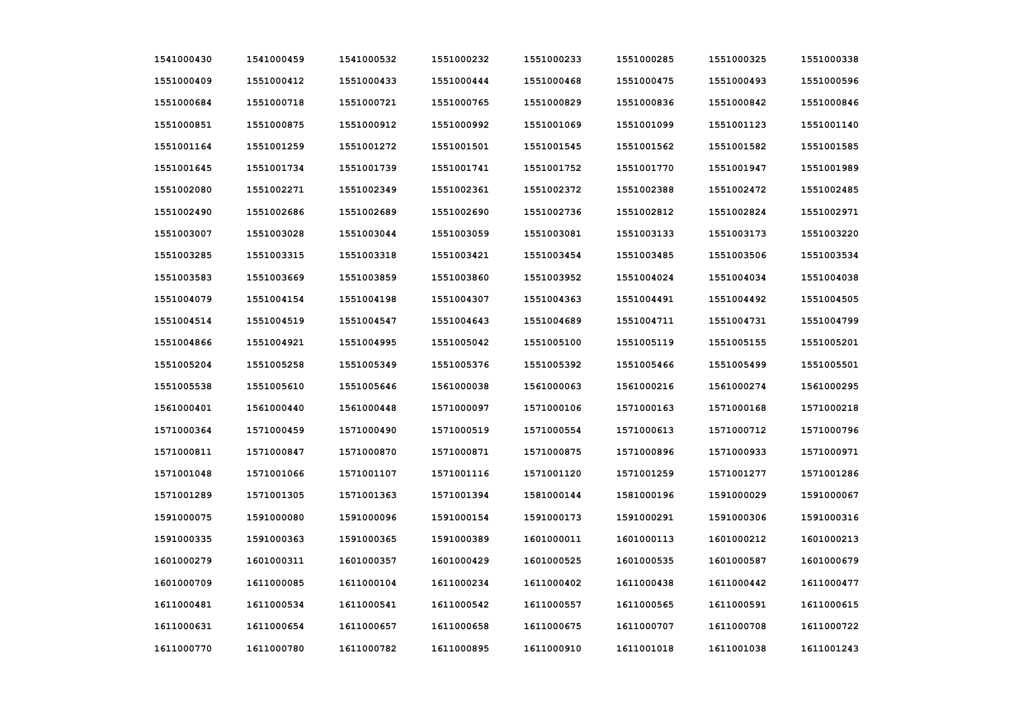| 1541000430 | 1541000459 | 1541000532 | 1551000232 | 1551000233 | 1551000285 | 1551000325 | 1551000338 |
|------------|------------|------------|------------|------------|------------|------------|------------|
| 1551000409 | 1551000412 | 1551000433 | 1551000444 | 1551000468 | 1551000475 | 1551000493 | 1551000596 |
| 1551000684 | 1551000718 | 1551000721 | 1551000765 | 1551000829 | 1551000836 | 1551000842 | 1551000846 |
| 1551000851 | 1551000875 | 1551000912 | 1551000992 | 1551001069 | 1551001099 | 1551001123 | 1551001140 |
| 1551001164 | 1551001259 | 1551001272 | 1551001501 | 1551001545 | 1551001562 | 1551001582 | 1551001585 |
| 1551001645 | 1551001734 | 1551001739 | 1551001741 | 1551001752 | 1551001770 | 1551001947 | 1551001989 |
| 1551002080 | 1551002271 | 1551002349 | 1551002361 | 1551002372 | 1551002388 | 1551002472 | 1551002485 |
| 1551002490 | 1551002686 | 1551002689 | 1551002690 | 1551002736 | 1551002812 | 1551002824 | 1551002971 |
| 1551003007 | 1551003028 | 1551003044 | 1551003059 | 1551003081 | 1551003133 | 1551003173 | 1551003220 |
| 1551003285 | 1551003315 | 1551003318 | 1551003421 | 1551003454 | 1551003485 | 1551003506 | 1551003534 |
| 1551003583 | 1551003669 | 1551003859 | 1551003860 | 1551003952 | 1551004024 | 1551004034 | 1551004038 |
| 1551004079 | 1551004154 | 1551004198 | 1551004307 | 1551004363 | 1551004491 | 1551004492 | 1551004505 |
| 1551004514 | 1551004519 | 1551004547 | 1551004643 | 1551004689 | 1551004711 | 1551004731 | 1551004799 |
| 1551004866 | 1551004921 | 1551004995 | 1551005042 | 1551005100 | 1551005119 | 1551005155 | 1551005201 |
| 1551005204 | 1551005258 | 1551005349 | 1551005376 | 1551005392 | 1551005466 | 1551005499 | 1551005501 |
| 1551005538 | 1551005610 | 1551005646 | 1561000038 | 1561000063 | 1561000216 | 1561000274 | 1561000295 |
| 1561000401 | 1561000440 | 1561000448 | 1571000097 | 1571000106 | 1571000163 | 1571000168 | 1571000218 |
| 1571000364 | 1571000459 | 1571000490 | 1571000519 | 1571000554 | 1571000613 | 1571000712 | 1571000796 |
| 1571000811 | 1571000847 | 1571000870 | 1571000871 | 1571000875 | 1571000896 | 1571000933 | 1571000971 |
| 1571001048 | 1571001066 | 1571001107 | 1571001116 | 1571001120 | 1571001259 | 1571001277 | 1571001286 |
| 1571001289 | 1571001305 | 1571001363 | 1571001394 | 1581000144 | 1581000196 | 1591000029 | 1591000067 |
| 1591000075 | 1591000080 | 1591000096 | 1591000154 | 1591000173 | 1591000291 | 1591000306 | 1591000316 |
| 1591000335 | 1591000363 | 1591000365 | 1591000389 | 1601000011 | 1601000113 | 1601000212 | 1601000213 |
| 1601000279 | 1601000311 | 1601000357 | 1601000429 | 1601000525 | 1601000535 | 1601000587 | 1601000679 |
| 1601000709 | 1611000085 | 1611000104 | 1611000234 | 1611000402 | 1611000438 | 1611000442 | 1611000477 |
| 1611000481 | 1611000534 | 1611000541 | 1611000542 | 1611000557 | 1611000565 | 1611000591 | 1611000615 |
| 1611000631 | 1611000654 | 1611000657 | 1611000658 | 1611000675 | 1611000707 | 1611000708 | 1611000722 |
| 1611000770 | 1611000780 | 1611000782 | 1611000895 | 1611000910 | 1611001018 | 1611001038 | 1611001243 |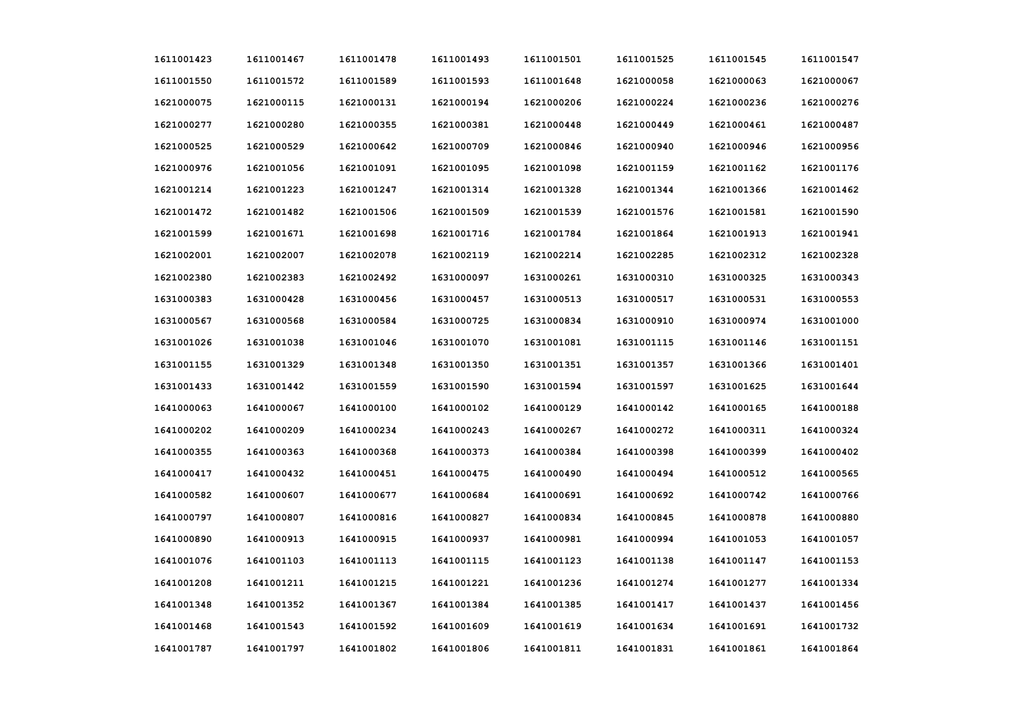| 1611001423 | 1611001467 | 1611001478 | 1611001493 | 1611001501 | 1611001525 | 1611001545 | 1611001547 |
|------------|------------|------------|------------|------------|------------|------------|------------|
| 1611001550 | 1611001572 | 1611001589 | 1611001593 | 1611001648 | 1621000058 | 1621000063 | 1621000067 |
| 1621000075 | 1621000115 | 1621000131 | 1621000194 | 1621000206 | 1621000224 | 1621000236 | 1621000276 |
| 1621000277 | 1621000280 | 1621000355 | 1621000381 | 1621000448 | 1621000449 | 1621000461 | 1621000487 |
| 1621000525 | 1621000529 | 1621000642 | 1621000709 | 1621000846 | 1621000940 | 1621000946 | 1621000956 |
| 1621000976 | 1621001056 | 1621001091 | 1621001095 | 1621001098 | 1621001159 | 1621001162 | 1621001176 |
| 1621001214 | 1621001223 | 1621001247 | 1621001314 | 1621001328 | 1621001344 | 1621001366 | 1621001462 |
| 1621001472 | 1621001482 | 1621001506 | 1621001509 | 1621001539 | 1621001576 | 1621001581 | 1621001590 |
| 1621001599 | 1621001671 | 1621001698 | 1621001716 | 1621001784 | 1621001864 | 1621001913 | 1621001941 |
| 1621002001 | 1621002007 | 1621002078 | 1621002119 | 1621002214 | 1621002285 | 1621002312 | 1621002328 |
| 1621002380 | 1621002383 | 1621002492 | 1631000097 | 1631000261 | 1631000310 | 1631000325 | 1631000343 |
| 1631000383 | 1631000428 | 1631000456 | 1631000457 | 1631000513 | 1631000517 | 1631000531 | 1631000553 |
| 1631000567 | 1631000568 | 1631000584 | 1631000725 | 1631000834 | 1631000910 | 1631000974 | 1631001000 |
| 1631001026 | 1631001038 | 1631001046 | 1631001070 | 1631001081 | 1631001115 | 1631001146 | 1631001151 |
| 1631001155 | 1631001329 | 1631001348 | 1631001350 | 1631001351 | 1631001357 | 1631001366 | 1631001401 |
| 1631001433 | 1631001442 | 1631001559 | 1631001590 | 1631001594 | 1631001597 | 1631001625 | 1631001644 |
| 1641000063 | 1641000067 | 1641000100 | 1641000102 | 1641000129 | 1641000142 | 1641000165 | 1641000188 |
| 1641000202 | 1641000209 | 1641000234 | 1641000243 | 1641000267 | 1641000272 | 1641000311 | 1641000324 |
| 1641000355 | 1641000363 | 1641000368 | 1641000373 | 1641000384 | 1641000398 | 1641000399 | 1641000402 |
| 1641000417 | 1641000432 | 1641000451 | 1641000475 | 1641000490 | 1641000494 | 1641000512 | 1641000565 |
| 1641000582 | 1641000607 | 1641000677 | 1641000684 | 1641000691 | 1641000692 | 1641000742 | 1641000766 |
| 1641000797 | 1641000807 | 1641000816 | 1641000827 | 1641000834 | 1641000845 | 1641000878 | 1641000880 |
| 1641000890 | 1641000913 | 1641000915 | 1641000937 | 1641000981 | 1641000994 | 1641001053 | 1641001057 |
| 1641001076 | 1641001103 | 1641001113 | 1641001115 | 1641001123 | 1641001138 | 1641001147 | 1641001153 |
| 1641001208 | 1641001211 | 1641001215 | 1641001221 | 1641001236 | 1641001274 | 1641001277 | 1641001334 |
| 1641001348 | 1641001352 | 1641001367 | 1641001384 | 1641001385 | 1641001417 | 1641001437 | 1641001456 |
| 1641001468 | 1641001543 | 1641001592 | 1641001609 | 1641001619 | 1641001634 | 1641001691 | 1641001732 |
| 1641001787 | 1641001797 | 1641001802 | 1641001806 | 1641001811 | 1641001831 | 1641001861 | 1641001864 |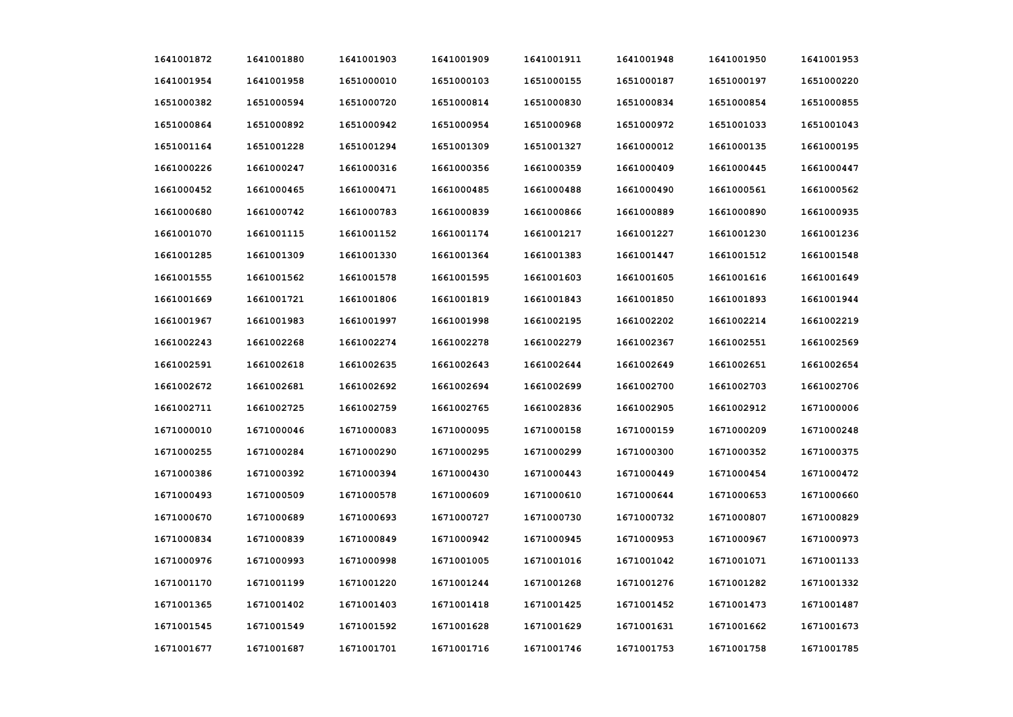| 1641001872 | 1641001880 | 1641001903 | 1641001909 | 1641001911 | 1641001948 | 1641001950 | 1641001953 |
|------------|------------|------------|------------|------------|------------|------------|------------|
| 1641001954 | 1641001958 | 1651000010 | 1651000103 | 1651000155 | 1651000187 | 1651000197 | 1651000220 |
| 1651000382 | 1651000594 | 1651000720 | 1651000814 | 1651000830 | 1651000834 | 1651000854 | 1651000855 |
| 1651000864 | 1651000892 | 1651000942 | 1651000954 | 1651000968 | 1651000972 | 1651001033 | 1651001043 |
| 1651001164 | 1651001228 | 1651001294 | 1651001309 | 1651001327 | 1661000012 | 1661000135 | 1661000195 |
| 1661000226 | 1661000247 | 1661000316 | 1661000356 | 1661000359 | 1661000409 | 1661000445 | 1661000447 |
| 1661000452 | 1661000465 | 1661000471 | 1661000485 | 1661000488 | 1661000490 | 1661000561 | 1661000562 |
| 1661000680 | 1661000742 | 1661000783 | 1661000839 | 1661000866 | 1661000889 | 1661000890 | 1661000935 |
| 1661001070 | 1661001115 | 1661001152 | 1661001174 | 1661001217 | 1661001227 | 1661001230 | 1661001236 |
| 1661001285 | 1661001309 | 1661001330 | 1661001364 | 1661001383 | 1661001447 | 1661001512 | 1661001548 |
| 1661001555 | 1661001562 | 1661001578 | 1661001595 | 1661001603 | 1661001605 | 1661001616 | 1661001649 |
| 1661001669 | 1661001721 | 1661001806 | 1661001819 | 1661001843 | 1661001850 | 1661001893 | 1661001944 |
| 1661001967 | 1661001983 | 1661001997 | 1661001998 | 1661002195 | 1661002202 | 1661002214 | 1661002219 |
| 1661002243 | 1661002268 | 1661002274 | 1661002278 | 1661002279 | 1661002367 | 1661002551 | 1661002569 |
| 1661002591 | 1661002618 | 1661002635 | 1661002643 | 1661002644 | 1661002649 | 1661002651 | 1661002654 |
| 1661002672 | 1661002681 | 1661002692 | 1661002694 | 1661002699 | 1661002700 | 1661002703 | 1661002706 |
| 1661002711 | 1661002725 | 1661002759 | 1661002765 | 1661002836 | 1661002905 | 1661002912 | 1671000006 |
| 1671000010 | 1671000046 | 1671000083 | 1671000095 | 1671000158 | 1671000159 | 1671000209 | 1671000248 |
| 1671000255 | 1671000284 | 1671000290 | 1671000295 | 1671000299 | 1671000300 | 1671000352 | 1671000375 |
| 1671000386 | 1671000392 | 1671000394 | 1671000430 | 1671000443 | 1671000449 | 1671000454 | 1671000472 |
| 1671000493 | 1671000509 | 1671000578 | 1671000609 | 1671000610 | 1671000644 | 1671000653 | 1671000660 |
| 1671000670 | 1671000689 | 1671000693 | 1671000727 | 1671000730 | 1671000732 | 1671000807 | 1671000829 |
| 1671000834 | 1671000839 | 1671000849 | 1671000942 | 1671000945 | 1671000953 | 1671000967 | 1671000973 |
| 1671000976 | 1671000993 | 1671000998 | 1671001005 | 1671001016 | 1671001042 | 1671001071 | 1671001133 |
| 1671001170 | 1671001199 | 1671001220 | 1671001244 | 1671001268 | 1671001276 | 1671001282 | 1671001332 |
| 1671001365 | 1671001402 | 1671001403 | 1671001418 | 1671001425 | 1671001452 | 1671001473 | 1671001487 |
| 1671001545 | 1671001549 | 1671001592 | 1671001628 | 1671001629 | 1671001631 | 1671001662 | 1671001673 |
| 1671001677 | 1671001687 | 1671001701 | 1671001716 | 1671001746 | 1671001753 | 1671001758 | 1671001785 |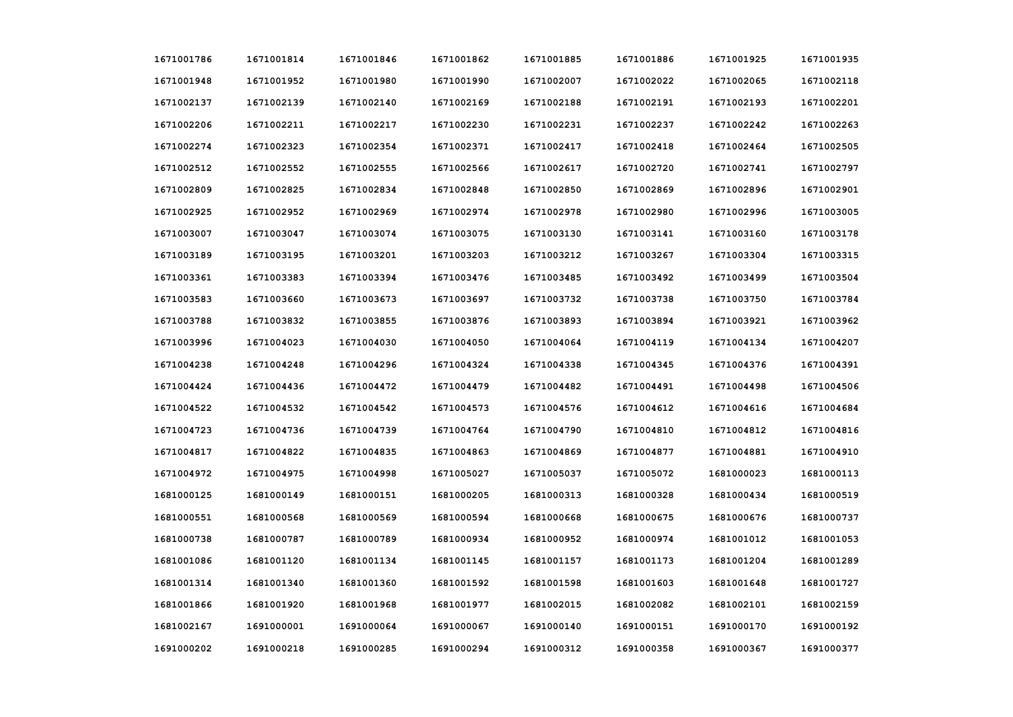| 1671001786 | 1671001814 | 1671001846 | 1671001862 | 1671001885 | 1671001886 | 1671001925 | 1671001935 |
|------------|------------|------------|------------|------------|------------|------------|------------|
| 1671001948 | 1671001952 | 1671001980 | 1671001990 | 1671002007 | 1671002022 | 1671002065 | 1671002118 |
| 1671002137 | 1671002139 | 1671002140 | 1671002169 | 1671002188 | 1671002191 | 1671002193 | 1671002201 |
| 1671002206 | 1671002211 | 1671002217 | 1671002230 | 1671002231 | 1671002237 | 1671002242 | 1671002263 |
| 1671002274 | 1671002323 | 1671002354 | 1671002371 | 1671002417 | 1671002418 | 1671002464 | 1671002505 |
| 1671002512 | 1671002552 | 1671002555 | 1671002566 | 1671002617 | 1671002720 | 1671002741 | 1671002797 |
| 1671002809 | 1671002825 | 1671002834 | 1671002848 | 1671002850 | 1671002869 | 1671002896 | 1671002901 |
| 1671002925 | 1671002952 | 1671002969 | 1671002974 | 1671002978 | 1671002980 | 1671002996 | 1671003005 |
| 1671003007 | 1671003047 | 1671003074 | 1671003075 | 1671003130 | 1671003141 | 1671003160 | 1671003178 |
| 1671003189 | 1671003195 | 1671003201 | 1671003203 | 1671003212 | 1671003267 | 1671003304 | 1671003315 |
| 1671003361 | 1671003383 | 1671003394 | 1671003476 | 1671003485 | 1671003492 | 1671003499 | 1671003504 |
| 1671003583 | 1671003660 | 1671003673 | 1671003697 | 1671003732 | 1671003738 | 1671003750 | 1671003784 |
| 1671003788 | 1671003832 | 1671003855 | 1671003876 | 1671003893 | 1671003894 | 1671003921 | 1671003962 |
| 1671003996 | 1671004023 | 1671004030 | 1671004050 | 1671004064 | 1671004119 | 1671004134 | 1671004207 |
| 1671004238 | 1671004248 | 1671004296 | 1671004324 | 1671004338 | 1671004345 | 1671004376 | 1671004391 |
| 1671004424 | 1671004436 | 1671004472 | 1671004479 | 1671004482 | 1671004491 | 1671004498 | 1671004506 |
| 1671004522 | 1671004532 | 1671004542 | 1671004573 | 1671004576 | 1671004612 | 1671004616 | 1671004684 |
| 1671004723 | 1671004736 | 1671004739 | 1671004764 | 1671004790 | 1671004810 | 1671004812 | 1671004816 |
| 1671004817 | 1671004822 | 1671004835 | 1671004863 | 1671004869 | 1671004877 | 1671004881 | 1671004910 |
| 1671004972 | 1671004975 | 1671004998 | 1671005027 | 1671005037 | 1671005072 | 1681000023 | 1681000113 |
| 1681000125 | 1681000149 | 1681000151 | 1681000205 | 1681000313 | 1681000328 | 1681000434 | 1681000519 |
| 1681000551 | 1681000568 | 1681000569 | 1681000594 | 1681000668 | 1681000675 | 1681000676 | 1681000737 |
| 1681000738 | 1681000787 | 1681000789 | 1681000934 | 1681000952 | 1681000974 | 1681001012 | 1681001053 |
| 1681001086 | 1681001120 | 1681001134 | 1681001145 | 1681001157 | 1681001173 | 1681001204 | 1681001289 |
| 1681001314 | 1681001340 | 1681001360 | 1681001592 | 1681001598 | 1681001603 | 1681001648 | 1681001727 |
| 1681001866 | 1681001920 | 1681001968 | 1681001977 | 1681002015 | 1681002082 | 1681002101 | 1681002159 |
| 1681002167 | 1691000001 | 1691000064 | 1691000067 | 1691000140 | 1691000151 | 1691000170 | 1691000192 |
| 1691000202 | 1691000218 | 1691000285 | 1691000294 | 1691000312 | 1691000358 | 1691000367 | 1691000377 |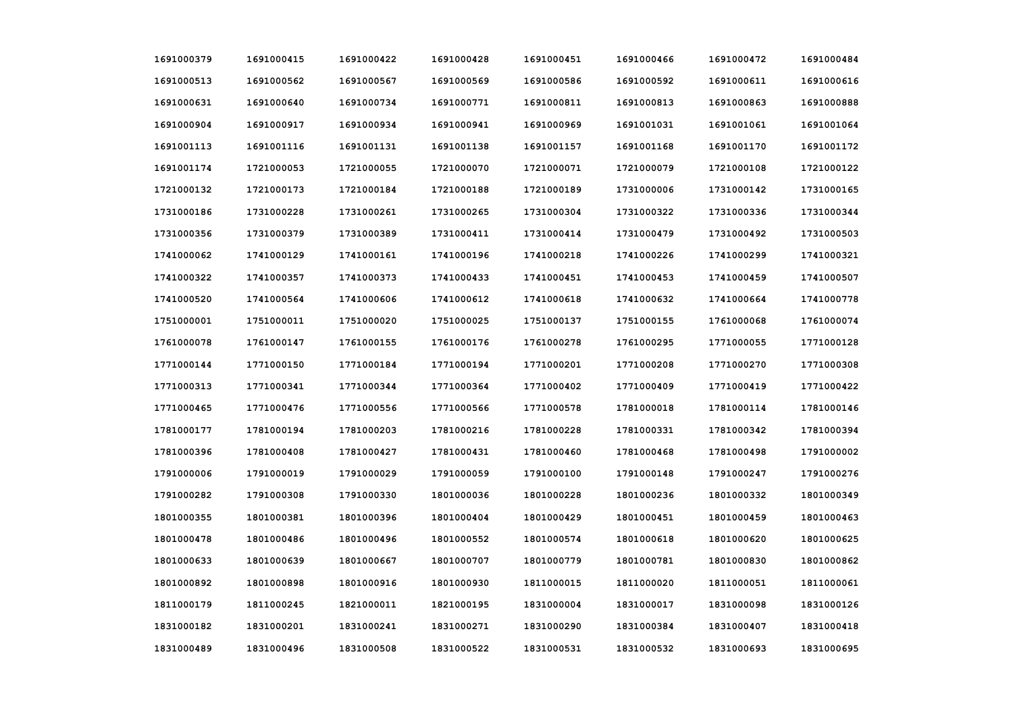| 1691000379 | 1691000415 | 1691000422 | 1691000428 | 1691000451 | 1691000466 | 1691000472 | 1691000484 |
|------------|------------|------------|------------|------------|------------|------------|------------|
| 1691000513 | 1691000562 | 1691000567 | 1691000569 | 1691000586 | 1691000592 | 1691000611 | 1691000616 |
| 1691000631 | 1691000640 | 1691000734 | 1691000771 | 1691000811 | 1691000813 | 1691000863 | 1691000888 |
| 1691000904 | 1691000917 | 1691000934 | 1691000941 | 1691000969 | 1691001031 | 1691001061 | 1691001064 |
| 1691001113 | 1691001116 | 1691001131 | 1691001138 | 1691001157 | 1691001168 | 1691001170 | 1691001172 |
| 1691001174 | 1721000053 | 1721000055 | 1721000070 | 1721000071 | 1721000079 | 1721000108 | 1721000122 |
| 1721000132 | 1721000173 | 1721000184 | 1721000188 | 1721000189 | 1731000006 | 1731000142 | 1731000165 |
| 1731000186 | 1731000228 | 1731000261 | 1731000265 | 1731000304 | 1731000322 | 1731000336 | 1731000344 |
| 1731000356 | 1731000379 | 1731000389 | 1731000411 | 1731000414 | 1731000479 | 1731000492 | 1731000503 |
| 1741000062 | 1741000129 | 1741000161 | 1741000196 | 1741000218 | 1741000226 | 1741000299 | 1741000321 |
| 1741000322 | 1741000357 | 1741000373 | 1741000433 | 1741000451 | 1741000453 | 1741000459 | 1741000507 |
| 1741000520 | 1741000564 | 1741000606 | 1741000612 | 1741000618 | 1741000632 | 1741000664 | 1741000778 |
| 1751000001 | 1751000011 | 1751000020 | 1751000025 | 1751000137 | 1751000155 | 1761000068 | 1761000074 |
| 1761000078 | 1761000147 | 1761000155 | 1761000176 | 1761000278 | 1761000295 | 1771000055 | 1771000128 |
| 1771000144 | 1771000150 | 1771000184 | 1771000194 | 1771000201 | 1771000208 | 1771000270 | 1771000308 |
| 1771000313 | 1771000341 | 1771000344 | 1771000364 | 1771000402 | 1771000409 | 1771000419 | 1771000422 |
| 1771000465 | 1771000476 | 1771000556 | 1771000566 | 1771000578 | 1781000018 | 1781000114 | 1781000146 |
| 1781000177 | 1781000194 | 1781000203 | 1781000216 | 1781000228 | 1781000331 | 1781000342 | 1781000394 |
| 1781000396 | 1781000408 | 1781000427 | 1781000431 | 1781000460 | 1781000468 | 1781000498 | 1791000002 |
| 1791000006 | 1791000019 | 1791000029 | 1791000059 | 1791000100 | 1791000148 | 1791000247 | 1791000276 |
| 1791000282 | 1791000308 | 1791000330 | 1801000036 | 1801000228 | 1801000236 | 1801000332 | 1801000349 |
| 1801000355 | 1801000381 | 1801000396 | 1801000404 | 1801000429 | 1801000451 | 1801000459 | 1801000463 |
| 1801000478 | 1801000486 | 1801000496 | 1801000552 | 1801000574 | 1801000618 | 1801000620 | 1801000625 |
| 1801000633 | 1801000639 | 1801000667 | 1801000707 | 1801000779 | 1801000781 | 1801000830 | 1801000862 |
| 1801000892 | 1801000898 | 1801000916 | 1801000930 | 1811000015 | 1811000020 | 1811000051 | 1811000061 |
| 1811000179 | 1811000245 | 1821000011 | 1821000195 | 1831000004 | 1831000017 | 1831000098 | 1831000126 |
| 1831000182 | 1831000201 | 1831000241 | 1831000271 | 1831000290 | 1831000384 | 1831000407 | 1831000418 |
| 1831000489 | 1831000496 | 1831000508 | 1831000522 | 1831000531 | 1831000532 | 1831000693 | 1831000695 |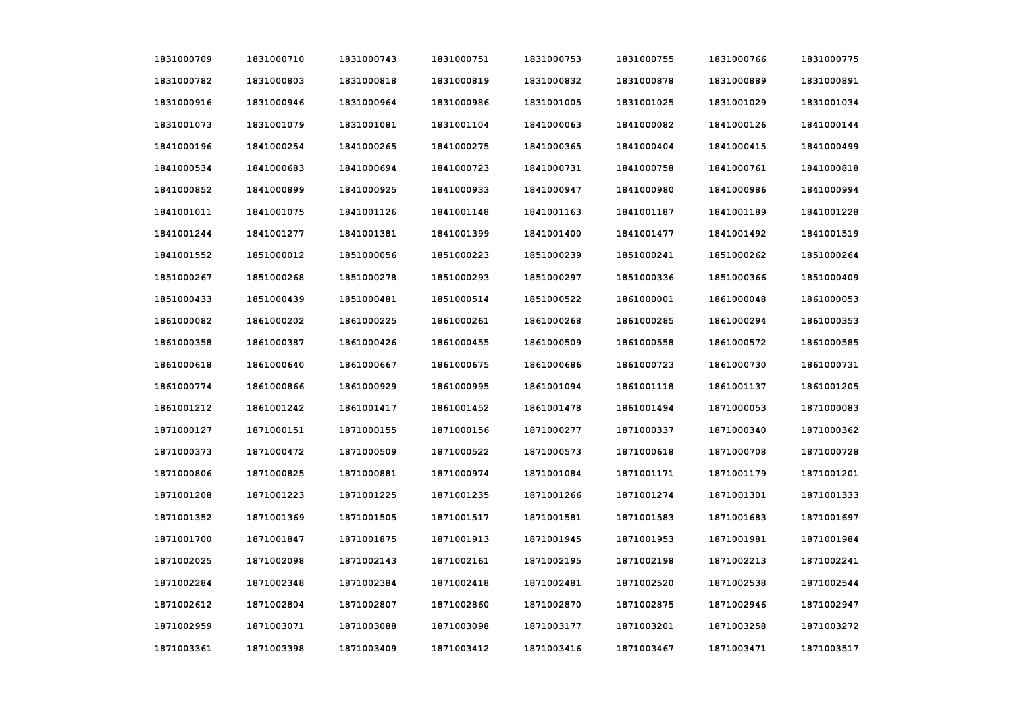| 1831000709 | 1831000710 | 1831000743 | 1831000751 | 1831000753 | 1831000755 | 1831000766 | 1831000775 |
|------------|------------|------------|------------|------------|------------|------------|------------|
| 1831000782 | 1831000803 | 1831000818 | 1831000819 | 1831000832 | 1831000878 | 1831000889 | 1831000891 |
| 1831000916 | 1831000946 | 1831000964 | 1831000986 | 1831001005 | 1831001025 | 1831001029 | 1831001034 |
| 1831001073 | 1831001079 | 1831001081 | 1831001104 | 1841000063 | 1841000082 | 1841000126 | 1841000144 |
| 1841000196 | 1841000254 | 1841000265 | 1841000275 | 1841000365 | 1841000404 | 1841000415 | 1841000499 |
| 1841000534 | 1841000683 | 1841000694 | 1841000723 | 1841000731 | 1841000758 | 1841000761 | 1841000818 |
| 1841000852 | 1841000899 | 1841000925 | 1841000933 | 1841000947 | 1841000980 | 1841000986 | 1841000994 |
| 1841001011 | 1841001075 | 1841001126 | 1841001148 | 1841001163 | 1841001187 | 1841001189 | 1841001228 |
| 1841001244 | 1841001277 | 1841001381 | 1841001399 | 1841001400 | 1841001477 | 1841001492 | 1841001519 |
| 1841001552 | 1851000012 | 1851000056 | 1851000223 | 1851000239 | 1851000241 | 1851000262 | 1851000264 |
| 1851000267 | 1851000268 | 1851000278 | 1851000293 | 1851000297 | 1851000336 | 1851000366 | 1851000409 |
| 1851000433 | 1851000439 | 1851000481 | 1851000514 | 1851000522 | 1861000001 | 1861000048 | 1861000053 |
| 1861000082 | 1861000202 | 1861000225 | 1861000261 | 1861000268 | 1861000285 | 1861000294 | 1861000353 |
| 1861000358 | 1861000387 | 1861000426 | 1861000455 | 1861000509 | 1861000558 | 1861000572 | 1861000585 |
| 1861000618 | 1861000640 | 1861000667 | 1861000675 | 1861000686 | 1861000723 | 1861000730 | 1861000731 |
| 1861000774 | 1861000866 | 1861000929 | 1861000995 | 1861001094 | 1861001118 | 1861001137 | 1861001205 |
| 1861001212 | 1861001242 | 1861001417 | 1861001452 | 1861001478 | 1861001494 | 1871000053 | 1871000083 |
| 1871000127 | 1871000151 | 1871000155 | 1871000156 | 1871000277 | 1871000337 | 1871000340 | 1871000362 |
| 1871000373 | 1871000472 | 1871000509 | 1871000522 | 1871000573 | 1871000618 | 1871000708 | 1871000728 |
| 1871000806 | 1871000825 | 1871000881 | 1871000974 | 1871001084 | 1871001171 | 1871001179 | 1871001201 |
| 1871001208 | 1871001223 | 1871001225 | 1871001235 | 1871001266 | 1871001274 | 1871001301 | 1871001333 |
| 1871001352 | 1871001369 | 1871001505 | 1871001517 | 1871001581 | 1871001583 | 1871001683 | 1871001697 |
| 1871001700 | 1871001847 | 1871001875 | 1871001913 | 1871001945 | 1871001953 | 1871001981 | 1871001984 |
| 1871002025 | 1871002098 | 1871002143 | 1871002161 | 1871002195 | 1871002198 | 1871002213 | 1871002241 |
| 1871002284 | 1871002348 | 1871002384 | 1871002418 | 1871002481 | 1871002520 | 1871002538 | 1871002544 |
| 1871002612 | 1871002804 | 1871002807 | 1871002860 | 1871002870 | 1871002875 | 1871002946 | 1871002947 |
| 1871002959 | 1871003071 | 1871003088 | 1871003098 | 1871003177 | 1871003201 | 1871003258 | 1871003272 |
| 1871003361 | 1871003398 | 1871003409 | 1871003412 | 1871003416 | 1871003467 | 1871003471 | 1871003517 |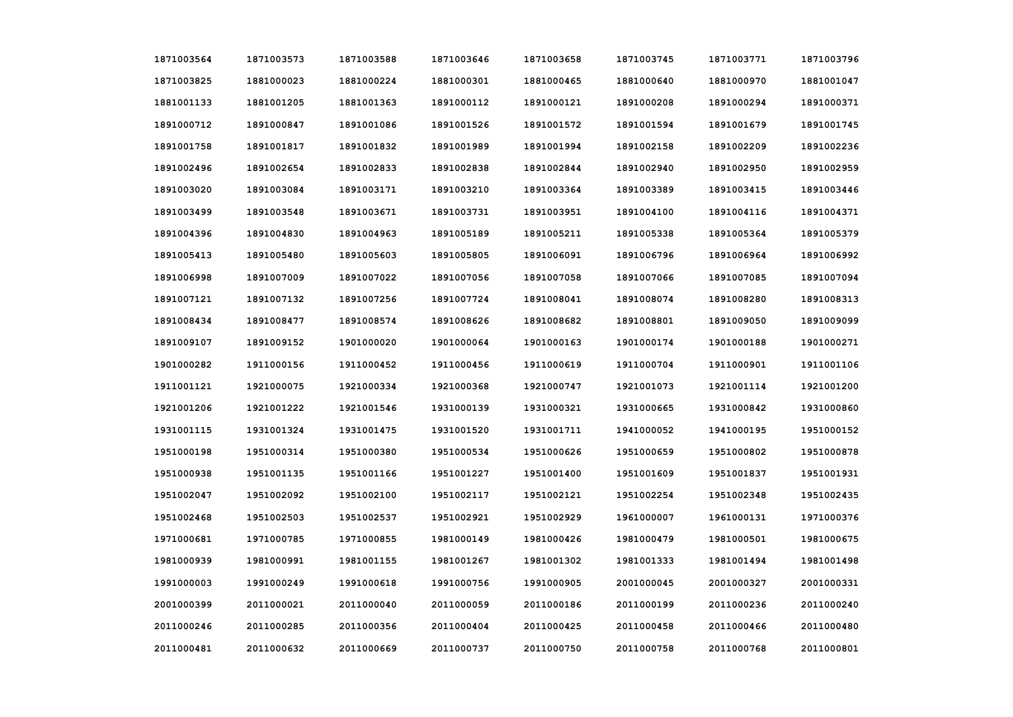| 1871003564 | 1871003573 | 1871003588 | 1871003646 | 1871003658 | 1871003745 | 1871003771 | 1871003796 |
|------------|------------|------------|------------|------------|------------|------------|------------|
| 1871003825 | 1881000023 | 1881000224 | 1881000301 | 1881000465 | 1881000640 | 1881000970 | 1881001047 |
| 1881001133 | 1881001205 | 1881001363 | 1891000112 | 1891000121 | 1891000208 | 1891000294 | 1891000371 |
| 1891000712 | 1891000847 | 1891001086 | 1891001526 | 1891001572 | 1891001594 | 1891001679 | 1891001745 |
| 1891001758 | 1891001817 | 1891001832 | 1891001989 | 1891001994 | 1891002158 | 1891002209 | 1891002236 |
| 1891002496 | 1891002654 | 1891002833 | 1891002838 | 1891002844 | 1891002940 | 1891002950 | 1891002959 |
| 1891003020 | 1891003084 | 1891003171 | 1891003210 | 1891003364 | 1891003389 | 1891003415 | 1891003446 |
| 1891003499 | 1891003548 | 1891003671 | 1891003731 | 1891003951 | 1891004100 | 1891004116 | 1891004371 |
| 1891004396 | 1891004830 | 1891004963 | 1891005189 | 1891005211 | 1891005338 | 1891005364 | 1891005379 |
| 1891005413 | 1891005480 | 1891005603 | 1891005805 | 1891006091 | 1891006796 | 1891006964 | 1891006992 |
| 1891006998 | 1891007009 | 1891007022 | 1891007056 | 1891007058 | 1891007066 | 1891007085 | 1891007094 |
| 1891007121 | 1891007132 | 1891007256 | 1891007724 | 1891008041 | 1891008074 | 1891008280 | 1891008313 |
| 1891008434 | 1891008477 | 1891008574 | 1891008626 | 1891008682 | 1891008801 | 1891009050 | 1891009099 |
| 1891009107 | 1891009152 | 1901000020 | 1901000064 | 1901000163 | 1901000174 | 1901000188 | 1901000271 |
| 1901000282 | 1911000156 | 1911000452 | 1911000456 | 1911000619 | 1911000704 | 1911000901 | 1911001106 |
| 1911001121 | 1921000075 | 1921000334 | 1921000368 | 1921000747 | 1921001073 | 1921001114 | 1921001200 |
| 1921001206 | 1921001222 | 1921001546 | 1931000139 | 1931000321 | 1931000665 | 1931000842 | 1931000860 |
| 1931001115 | 1931001324 | 1931001475 | 1931001520 | 1931001711 | 1941000052 | 1941000195 | 1951000152 |
| 1951000198 | 1951000314 | 1951000380 | 1951000534 | 1951000626 | 1951000659 | 1951000802 | 1951000878 |
| 1951000938 | 1951001135 | 1951001166 | 1951001227 | 1951001400 | 1951001609 | 1951001837 | 1951001931 |
| 1951002047 | 1951002092 | 1951002100 | 1951002117 | 1951002121 | 1951002254 | 1951002348 | 1951002435 |
| 1951002468 | 1951002503 | 1951002537 | 1951002921 | 1951002929 | 1961000007 | 1961000131 | 1971000376 |
| 1971000681 | 1971000785 | 1971000855 | 1981000149 | 1981000426 | 1981000479 | 1981000501 | 1981000675 |
| 1981000939 | 1981000991 | 1981001155 | 1981001267 | 1981001302 | 1981001333 | 1981001494 | 1981001498 |
| 1991000003 | 1991000249 | 1991000618 | 1991000756 | 1991000905 | 2001000045 | 2001000327 | 2001000331 |
| 2001000399 | 2011000021 | 2011000040 | 2011000059 | 2011000186 | 2011000199 | 2011000236 | 2011000240 |
| 2011000246 | 2011000285 | 2011000356 | 2011000404 | 2011000425 | 2011000458 | 2011000466 | 2011000480 |
| 2011000481 | 2011000632 | 2011000669 | 2011000737 | 2011000750 | 2011000758 | 2011000768 | 2011000801 |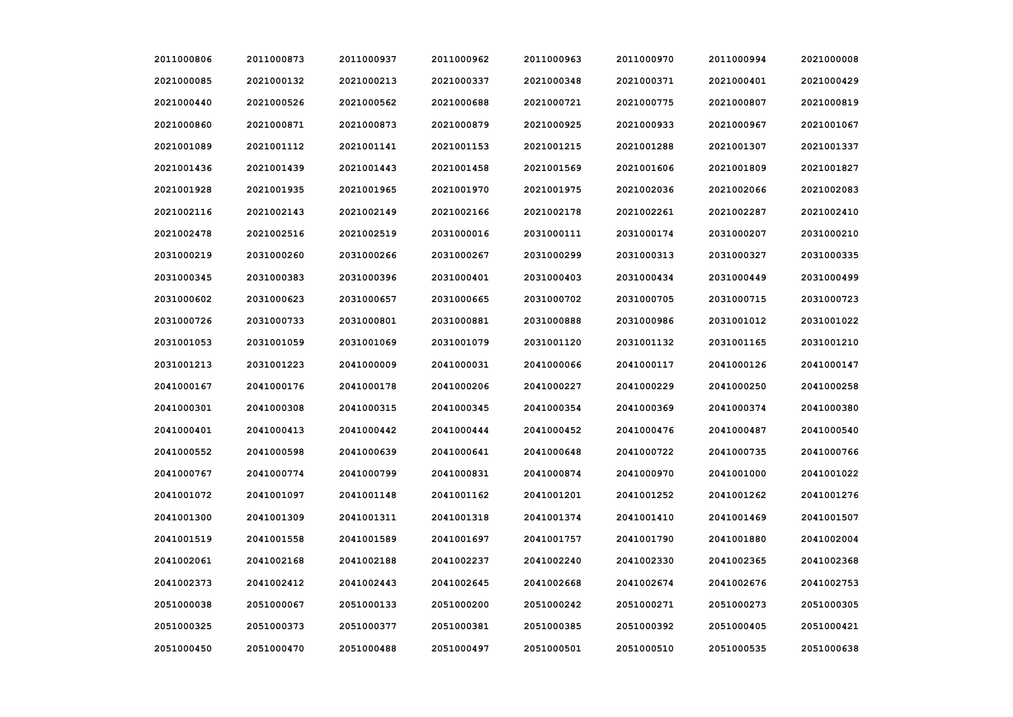| 2011000806 | 2011000873 | 2011000937 | 2011000962 | 2011000963 | 2011000970 | 2011000994 | 2021000008 |
|------------|------------|------------|------------|------------|------------|------------|------------|
| 2021000085 | 2021000132 | 2021000213 | 2021000337 | 2021000348 | 2021000371 | 2021000401 | 2021000429 |
| 2021000440 | 2021000526 | 2021000562 | 2021000688 | 2021000721 | 2021000775 | 2021000807 | 2021000819 |
| 2021000860 | 2021000871 | 2021000873 | 2021000879 | 2021000925 | 2021000933 | 2021000967 | 2021001067 |
| 2021001089 | 2021001112 | 2021001141 | 2021001153 | 2021001215 | 2021001288 | 2021001307 | 2021001337 |
| 2021001436 | 2021001439 | 2021001443 | 2021001458 | 2021001569 | 2021001606 | 2021001809 | 2021001827 |
| 2021001928 | 2021001935 | 2021001965 | 2021001970 | 2021001975 | 2021002036 | 2021002066 | 2021002083 |
| 2021002116 | 2021002143 | 2021002149 | 2021002166 | 2021002178 | 2021002261 | 2021002287 | 2021002410 |
| 2021002478 | 2021002516 | 2021002519 | 2031000016 | 2031000111 | 2031000174 | 2031000207 | 2031000210 |
| 2031000219 | 2031000260 | 2031000266 | 2031000267 | 2031000299 | 2031000313 | 2031000327 | 2031000335 |
| 2031000345 | 2031000383 | 2031000396 | 2031000401 | 2031000403 | 2031000434 | 2031000449 | 2031000499 |
| 2031000602 | 2031000623 | 2031000657 | 2031000665 | 2031000702 | 2031000705 | 2031000715 | 2031000723 |
| 2031000726 | 2031000733 | 2031000801 | 2031000881 | 2031000888 | 2031000986 | 2031001012 | 2031001022 |
| 2031001053 | 2031001059 | 2031001069 | 2031001079 | 2031001120 | 2031001132 | 2031001165 | 2031001210 |
| 2031001213 | 2031001223 | 2041000009 | 2041000031 | 2041000066 | 2041000117 | 2041000126 | 2041000147 |
| 2041000167 | 2041000176 | 2041000178 | 2041000206 | 2041000227 | 2041000229 | 2041000250 | 2041000258 |
| 2041000301 | 2041000308 | 2041000315 | 2041000345 | 2041000354 | 2041000369 | 2041000374 | 2041000380 |
| 2041000401 | 2041000413 | 2041000442 | 2041000444 | 2041000452 | 2041000476 | 2041000487 | 2041000540 |
| 2041000552 | 2041000598 | 2041000639 | 2041000641 | 2041000648 | 2041000722 | 2041000735 | 2041000766 |
| 2041000767 | 2041000774 | 2041000799 | 2041000831 | 2041000874 | 2041000970 | 2041001000 | 2041001022 |
| 2041001072 | 2041001097 | 2041001148 | 2041001162 | 2041001201 | 2041001252 | 2041001262 | 2041001276 |
| 2041001300 | 2041001309 | 2041001311 | 2041001318 | 2041001374 | 2041001410 | 2041001469 | 2041001507 |
| 2041001519 | 2041001558 | 2041001589 | 2041001697 | 2041001757 | 2041001790 | 2041001880 | 2041002004 |
| 2041002061 | 2041002168 | 2041002188 | 2041002237 | 2041002240 | 2041002330 | 2041002365 | 2041002368 |
| 2041002373 | 2041002412 | 2041002443 | 2041002645 | 2041002668 | 2041002674 | 2041002676 | 2041002753 |
| 2051000038 | 2051000067 | 2051000133 | 2051000200 | 2051000242 | 2051000271 | 2051000273 | 2051000305 |
| 2051000325 | 2051000373 | 2051000377 | 2051000381 | 2051000385 | 2051000392 | 2051000405 | 2051000421 |
| 2051000450 | 2051000470 | 2051000488 | 2051000497 | 2051000501 | 2051000510 | 2051000535 | 2051000638 |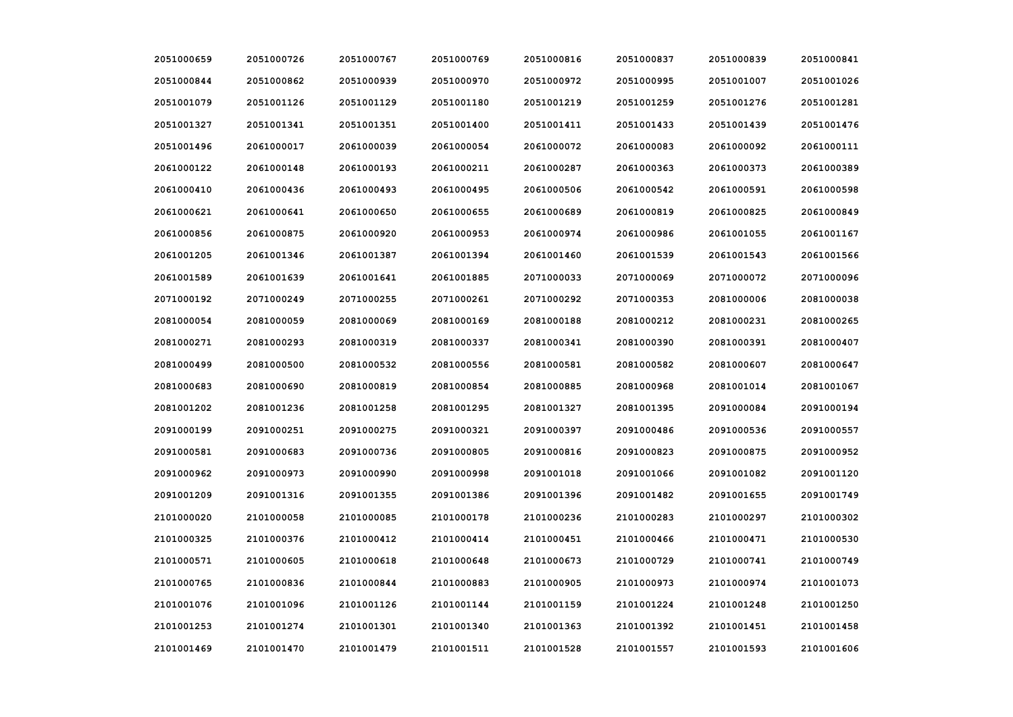| 2051000659 | 2051000726 | 2051000767 | 2051000769 | 2051000816 | 2051000837 | 2051000839 | 2051000841 |
|------------|------------|------------|------------|------------|------------|------------|------------|
| 2051000844 | 2051000862 | 2051000939 | 2051000970 | 2051000972 | 2051000995 | 2051001007 | 2051001026 |
| 2051001079 | 2051001126 | 2051001129 | 2051001180 | 2051001219 | 2051001259 | 2051001276 | 2051001281 |
| 2051001327 | 2051001341 | 2051001351 | 2051001400 | 2051001411 | 2051001433 | 2051001439 | 2051001476 |
| 2051001496 | 2061000017 | 2061000039 | 2061000054 | 2061000072 | 2061000083 | 2061000092 | 2061000111 |
| 2061000122 | 2061000148 | 2061000193 | 2061000211 | 2061000287 | 2061000363 | 2061000373 | 2061000389 |
| 2061000410 | 2061000436 | 2061000493 | 2061000495 | 2061000506 | 2061000542 | 2061000591 | 2061000598 |
| 2061000621 | 2061000641 | 2061000650 | 2061000655 | 2061000689 | 2061000819 | 2061000825 | 2061000849 |
| 2061000856 | 2061000875 | 2061000920 | 2061000953 | 2061000974 | 2061000986 | 2061001055 | 2061001167 |
| 2061001205 | 2061001346 | 2061001387 | 2061001394 | 2061001460 | 2061001539 | 2061001543 | 2061001566 |
| 2061001589 | 2061001639 | 2061001641 | 2061001885 | 2071000033 | 2071000069 | 2071000072 | 2071000096 |
| 2071000192 | 2071000249 | 2071000255 | 2071000261 | 2071000292 | 2071000353 | 2081000006 | 2081000038 |
| 2081000054 | 2081000059 | 2081000069 | 2081000169 | 2081000188 | 2081000212 | 2081000231 | 2081000265 |
| 2081000271 | 2081000293 | 2081000319 | 2081000337 | 2081000341 | 2081000390 | 2081000391 | 2081000407 |
| 2081000499 | 2081000500 | 2081000532 | 2081000556 | 2081000581 | 2081000582 | 2081000607 | 2081000647 |
| 2081000683 | 2081000690 | 2081000819 | 2081000854 | 2081000885 | 2081000968 | 2081001014 | 2081001067 |
| 2081001202 | 2081001236 | 2081001258 | 2081001295 | 2081001327 | 2081001395 | 2091000084 | 2091000194 |
| 2091000199 | 2091000251 | 2091000275 | 2091000321 | 2091000397 | 2091000486 | 2091000536 | 2091000557 |
| 2091000581 | 2091000683 | 2091000736 | 2091000805 | 2091000816 | 2091000823 | 2091000875 | 2091000952 |
| 2091000962 | 2091000973 | 2091000990 | 2091000998 | 2091001018 | 2091001066 | 2091001082 | 2091001120 |
| 2091001209 | 2091001316 | 2091001355 | 2091001386 | 2091001396 | 2091001482 | 2091001655 | 2091001749 |
| 2101000020 | 2101000058 | 2101000085 | 2101000178 | 2101000236 | 2101000283 | 2101000297 | 2101000302 |
| 2101000325 | 2101000376 | 2101000412 | 2101000414 | 2101000451 | 2101000466 | 2101000471 | 2101000530 |
| 2101000571 | 2101000605 | 2101000618 | 2101000648 | 2101000673 | 2101000729 | 2101000741 | 2101000749 |
| 2101000765 | 2101000836 | 2101000844 | 2101000883 | 2101000905 | 2101000973 | 2101000974 | 2101001073 |
| 2101001076 | 2101001096 | 2101001126 | 2101001144 | 2101001159 | 2101001224 | 2101001248 | 2101001250 |
| 2101001253 | 2101001274 | 2101001301 | 2101001340 | 2101001363 | 2101001392 | 2101001451 | 2101001458 |
| 2101001469 | 2101001470 | 2101001479 | 2101001511 | 2101001528 | 2101001557 | 2101001593 | 2101001606 |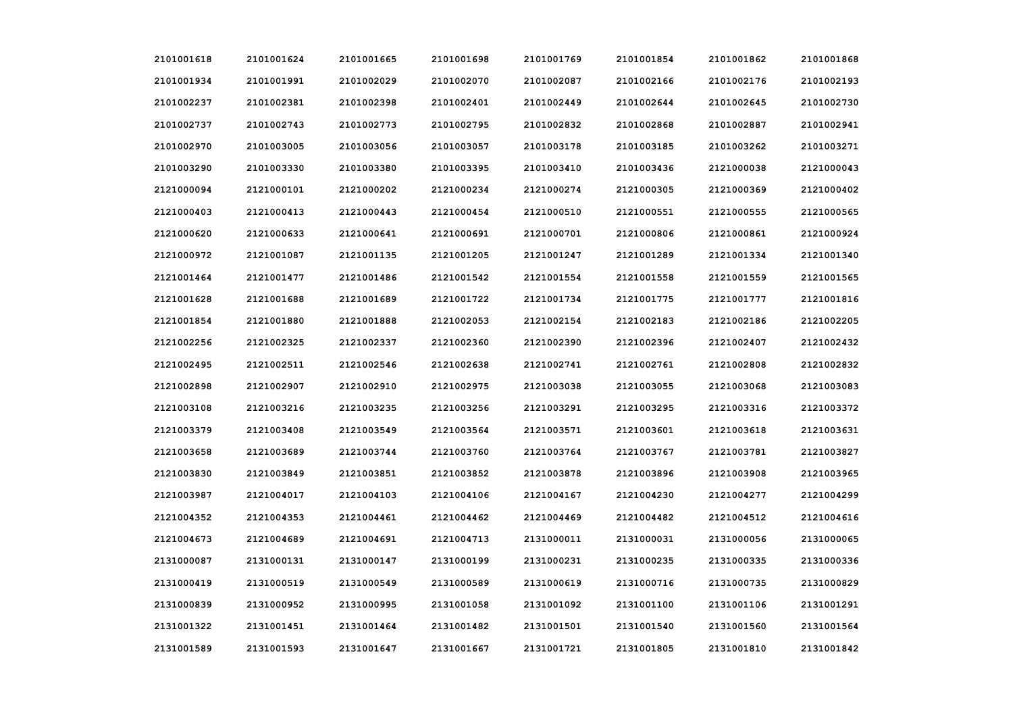| 2101001618 | 2101001624 | 2101001665 | 2101001698 | 2101001769 | 2101001854 | 2101001862 | 2101001868 |
|------------|------------|------------|------------|------------|------------|------------|------------|
| 2101001934 | 2101001991 | 2101002029 | 2101002070 | 2101002087 | 2101002166 | 2101002176 | 2101002193 |
| 2101002237 | 2101002381 | 2101002398 | 2101002401 | 2101002449 | 2101002644 | 2101002645 | 2101002730 |
| 2101002737 | 2101002743 | 2101002773 | 2101002795 | 2101002832 | 2101002868 | 2101002887 | 2101002941 |
| 2101002970 | 2101003005 | 2101003056 | 2101003057 | 2101003178 | 2101003185 | 2101003262 | 2101003271 |
| 2101003290 | 2101003330 | 2101003380 | 2101003395 | 2101003410 | 2101003436 | 2121000038 | 2121000043 |
| 2121000094 | 2121000101 | 2121000202 | 2121000234 | 2121000274 | 2121000305 | 2121000369 | 2121000402 |
| 2121000403 | 2121000413 | 2121000443 | 2121000454 | 2121000510 | 2121000551 | 2121000555 | 2121000565 |
| 2121000620 | 2121000633 | 2121000641 | 2121000691 | 2121000701 | 2121000806 | 2121000861 | 2121000924 |
| 2121000972 | 2121001087 | 2121001135 | 2121001205 | 2121001247 | 2121001289 | 2121001334 | 2121001340 |
| 2121001464 | 2121001477 | 2121001486 | 2121001542 | 2121001554 | 2121001558 | 2121001559 | 2121001565 |
| 2121001628 | 2121001688 | 2121001689 | 2121001722 | 2121001734 | 2121001775 | 2121001777 | 2121001816 |
| 2121001854 | 2121001880 | 2121001888 | 2121002053 | 2121002154 | 2121002183 | 2121002186 | 2121002205 |
| 2121002256 | 2121002325 | 2121002337 | 2121002360 | 2121002390 | 2121002396 | 2121002407 | 2121002432 |
| 2121002495 | 2121002511 | 2121002546 | 2121002638 | 2121002741 | 2121002761 | 2121002808 | 2121002832 |
| 2121002898 | 2121002907 | 2121002910 | 2121002975 | 2121003038 | 2121003055 | 2121003068 | 2121003083 |
| 2121003108 | 2121003216 | 2121003235 | 2121003256 | 2121003291 | 2121003295 | 2121003316 | 2121003372 |
| 2121003379 | 2121003408 | 2121003549 | 2121003564 | 2121003571 | 2121003601 | 2121003618 | 2121003631 |
| 2121003658 | 2121003689 | 2121003744 | 2121003760 | 2121003764 | 2121003767 | 2121003781 | 2121003827 |
| 2121003830 | 2121003849 | 2121003851 | 2121003852 | 2121003878 | 2121003896 | 2121003908 | 2121003965 |
| 2121003987 | 2121004017 | 2121004103 | 2121004106 | 2121004167 | 2121004230 | 2121004277 | 2121004299 |
| 2121004352 | 2121004353 | 2121004461 | 2121004462 | 2121004469 | 2121004482 | 2121004512 | 2121004616 |
| 2121004673 | 2121004689 | 2121004691 | 2121004713 | 2131000011 | 2131000031 | 2131000056 | 2131000065 |
| 2131000087 | 2131000131 | 2131000147 | 2131000199 | 2131000231 | 2131000235 | 2131000335 | 2131000336 |
| 2131000419 | 2131000519 | 2131000549 | 2131000589 | 2131000619 | 2131000716 | 2131000735 | 2131000829 |
| 2131000839 | 2131000952 | 2131000995 | 2131001058 | 2131001092 | 2131001100 | 2131001106 | 2131001291 |
| 2131001322 | 2131001451 | 2131001464 | 2131001482 | 2131001501 | 2131001540 | 2131001560 | 2131001564 |
| 2131001589 | 2131001593 | 2131001647 | 2131001667 | 2131001721 | 2131001805 | 2131001810 | 2131001842 |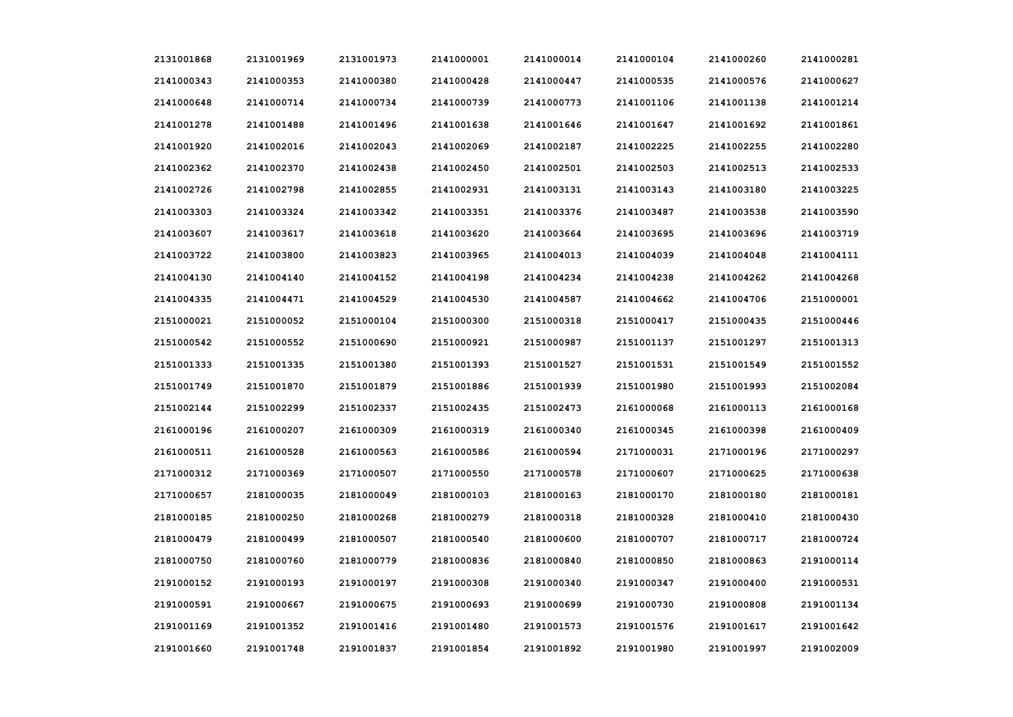| 2131001868 | 2131001969 | 2131001973 | 2141000001 | 2141000014 | 2141000104 | 2141000260 | 2141000281 |
|------------|------------|------------|------------|------------|------------|------------|------------|
| 2141000343 | 2141000353 | 2141000380 | 2141000428 | 2141000447 | 2141000535 | 2141000576 | 2141000627 |
| 2141000648 | 2141000714 | 2141000734 | 2141000739 | 2141000773 | 2141001106 | 2141001138 | 2141001214 |
| 2141001278 | 2141001488 | 2141001496 | 2141001638 | 2141001646 | 2141001647 | 2141001692 | 2141001861 |
| 2141001920 | 2141002016 | 2141002043 | 2141002069 | 2141002187 | 2141002225 | 2141002255 | 2141002280 |
| 2141002362 | 2141002370 | 2141002438 | 2141002450 | 2141002501 | 2141002503 | 2141002513 | 2141002533 |
| 2141002726 | 2141002798 | 2141002855 | 2141002931 | 2141003131 | 2141003143 | 2141003180 | 2141003225 |
| 2141003303 | 2141003324 | 2141003342 | 2141003351 | 2141003376 | 2141003487 | 2141003538 | 2141003590 |
| 2141003607 | 2141003617 | 2141003618 | 2141003620 | 2141003664 | 2141003695 | 2141003696 | 2141003719 |
| 2141003722 | 2141003800 | 2141003823 | 2141003965 | 2141004013 | 2141004039 | 2141004048 | 2141004111 |
| 2141004130 | 2141004140 | 2141004152 | 2141004198 | 2141004234 | 2141004238 | 2141004262 | 2141004268 |
| 2141004335 | 2141004471 | 2141004529 | 2141004530 | 2141004587 | 2141004662 | 2141004706 | 2151000001 |
| 2151000021 | 2151000052 | 2151000104 | 2151000300 | 2151000318 | 2151000417 | 2151000435 | 2151000446 |
| 2151000542 | 2151000552 | 2151000690 | 2151000921 | 2151000987 | 2151001137 | 2151001297 | 2151001313 |
| 2151001333 | 2151001335 | 2151001380 | 2151001393 | 2151001527 | 2151001531 | 2151001549 | 2151001552 |
| 2151001749 | 2151001870 | 2151001879 | 2151001886 | 2151001939 | 2151001980 | 2151001993 | 2151002084 |
| 2151002144 | 2151002299 | 2151002337 | 2151002435 | 2151002473 | 2161000068 | 2161000113 | 2161000168 |
| 2161000196 | 2161000207 | 2161000309 | 2161000319 | 2161000340 | 2161000345 | 2161000398 | 2161000409 |
| 2161000511 | 2161000528 | 2161000563 | 2161000586 | 2161000594 | 2171000031 | 2171000196 | 2171000297 |
| 2171000312 | 2171000369 | 2171000507 | 2171000550 | 2171000578 | 2171000607 | 2171000625 | 2171000638 |
| 2171000657 | 2181000035 | 2181000049 | 2181000103 | 2181000163 | 2181000170 | 2181000180 | 2181000181 |
| 2181000185 | 2181000250 | 2181000268 | 2181000279 | 2181000318 | 2181000328 | 2181000410 | 2181000430 |
| 2181000479 | 2181000499 | 2181000507 | 2181000540 | 2181000600 | 2181000707 | 2181000717 | 2181000724 |
| 2181000750 | 2181000760 | 2181000779 | 2181000836 | 2181000840 | 2181000850 | 2181000863 | 2191000114 |
| 2191000152 | 2191000193 | 2191000197 | 2191000308 | 2191000340 | 2191000347 | 2191000400 | 2191000531 |
| 2191000591 | 2191000667 | 2191000675 | 2191000693 | 2191000699 | 2191000730 | 2191000808 | 2191001134 |
| 2191001169 | 2191001352 | 2191001416 | 2191001480 | 2191001573 | 2191001576 | 2191001617 | 2191001642 |
| 2191001660 | 2191001748 | 2191001837 | 2191001854 | 2191001892 | 2191001980 | 2191001997 | 2191002009 |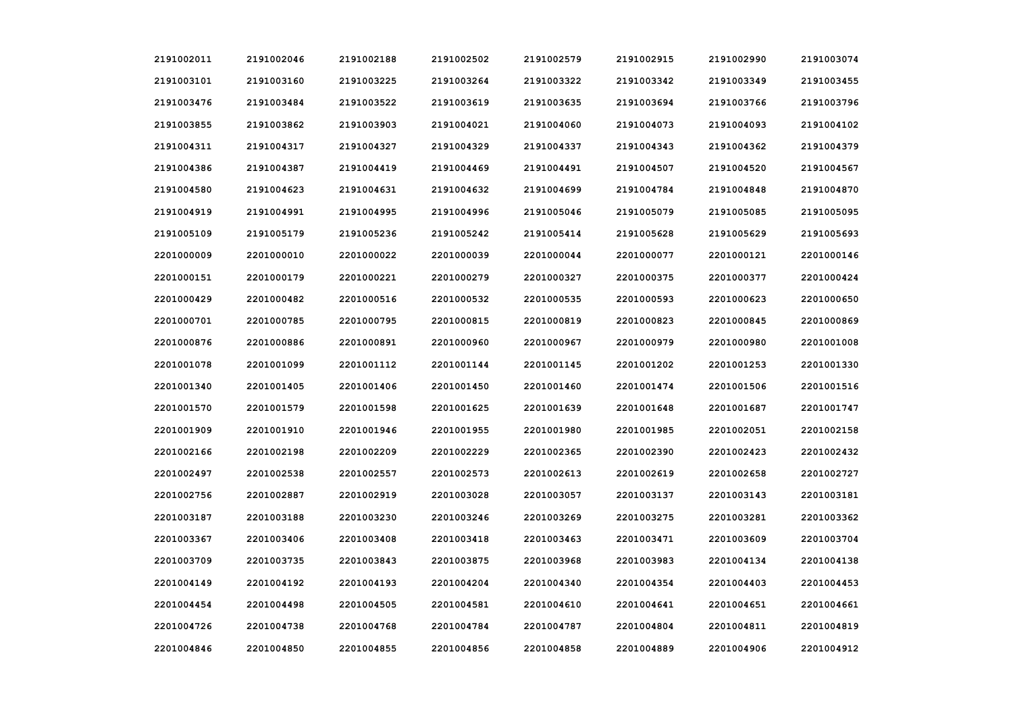| 2191002011 | 2191002046 | 2191002188 | 2191002502 | 2191002579 | 2191002915 | 2191002990 | 2191003074 |
|------------|------------|------------|------------|------------|------------|------------|------------|
| 2191003101 | 2191003160 | 2191003225 | 2191003264 | 2191003322 | 2191003342 | 2191003349 | 2191003455 |
| 2191003476 | 2191003484 | 2191003522 | 2191003619 | 2191003635 | 2191003694 | 2191003766 | 2191003796 |
| 2191003855 | 2191003862 | 2191003903 | 2191004021 | 2191004060 | 2191004073 | 2191004093 | 2191004102 |
| 2191004311 | 2191004317 | 2191004327 | 2191004329 | 2191004337 | 2191004343 | 2191004362 | 2191004379 |
| 2191004386 | 2191004387 | 2191004419 | 2191004469 | 2191004491 | 2191004507 | 2191004520 | 2191004567 |
| 2191004580 | 2191004623 | 2191004631 | 2191004632 | 2191004699 | 2191004784 | 2191004848 | 2191004870 |
| 2191004919 | 2191004991 | 2191004995 | 2191004996 | 2191005046 | 2191005079 | 2191005085 | 2191005095 |
| 2191005109 | 2191005179 | 2191005236 | 2191005242 | 2191005414 | 2191005628 | 2191005629 | 2191005693 |
| 2201000009 | 2201000010 | 2201000022 | 2201000039 | 2201000044 | 2201000077 | 2201000121 | 2201000146 |
| 2201000151 | 2201000179 | 2201000221 | 2201000279 | 2201000327 | 2201000375 | 2201000377 | 2201000424 |
| 2201000429 | 2201000482 | 2201000516 | 2201000532 | 2201000535 | 2201000593 | 2201000623 | 2201000650 |
| 2201000701 | 2201000785 | 2201000795 | 2201000815 | 2201000819 | 2201000823 | 2201000845 | 2201000869 |
| 2201000876 | 2201000886 | 2201000891 | 2201000960 | 2201000967 | 2201000979 | 2201000980 | 2201001008 |
| 2201001078 | 2201001099 | 2201001112 | 2201001144 | 2201001145 | 2201001202 | 2201001253 | 2201001330 |
| 2201001340 | 2201001405 | 2201001406 | 2201001450 | 2201001460 | 2201001474 | 2201001506 | 2201001516 |
| 2201001570 | 2201001579 | 2201001598 | 2201001625 | 2201001639 | 2201001648 | 2201001687 | 2201001747 |
| 2201001909 | 2201001910 | 2201001946 | 2201001955 | 2201001980 | 2201001985 | 2201002051 | 2201002158 |
| 2201002166 | 2201002198 | 2201002209 | 2201002229 | 2201002365 | 2201002390 | 2201002423 | 2201002432 |
| 2201002497 | 2201002538 | 2201002557 | 2201002573 | 2201002613 | 2201002619 | 2201002658 | 2201002727 |
| 2201002756 | 2201002887 | 2201002919 | 2201003028 | 2201003057 | 2201003137 | 2201003143 | 2201003181 |
| 2201003187 | 2201003188 | 2201003230 | 2201003246 | 2201003269 | 2201003275 | 2201003281 | 2201003362 |
| 2201003367 | 2201003406 | 2201003408 | 2201003418 | 2201003463 | 2201003471 | 2201003609 | 2201003704 |
| 2201003709 | 2201003735 | 2201003843 | 2201003875 | 2201003968 | 2201003983 | 2201004134 | 2201004138 |
| 2201004149 | 2201004192 | 2201004193 | 2201004204 | 2201004340 | 2201004354 | 2201004403 | 2201004453 |
| 2201004454 | 2201004498 | 2201004505 | 2201004581 | 2201004610 | 2201004641 | 2201004651 | 2201004661 |
| 2201004726 | 2201004738 | 2201004768 | 2201004784 | 2201004787 | 2201004804 | 2201004811 | 2201004819 |
| 2201004846 | 2201004850 | 2201004855 | 2201004856 | 2201004858 | 2201004889 | 2201004906 | 2201004912 |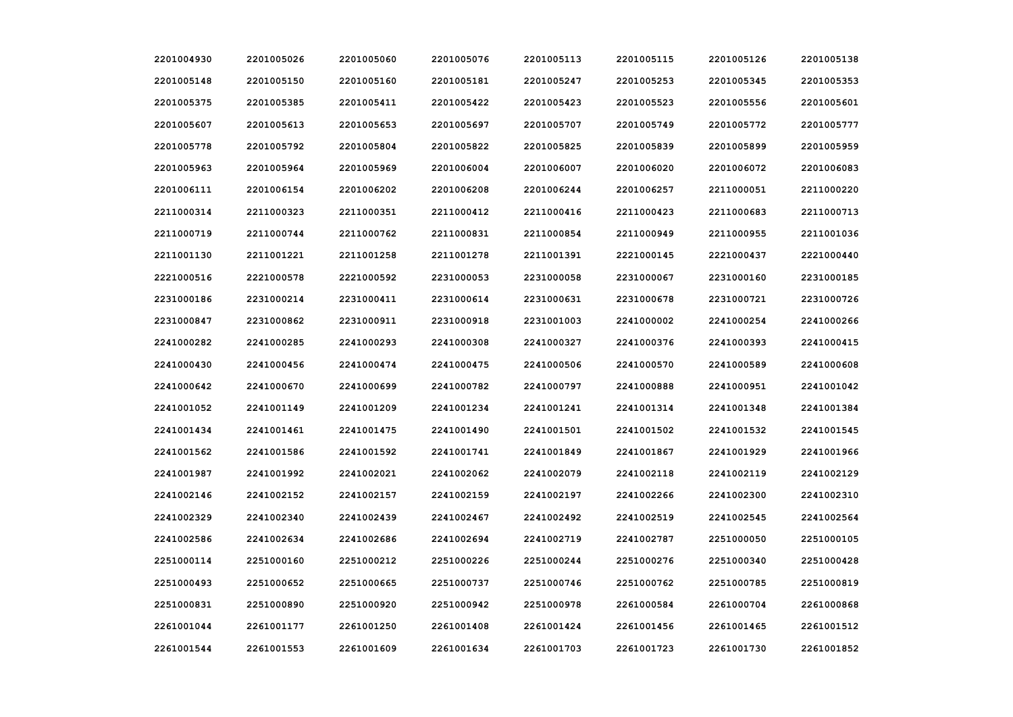| 2201004930 | 2201005026 | 2201005060 | 2201005076 | 2201005113 | 2201005115 | 2201005126 | 2201005138 |
|------------|------------|------------|------------|------------|------------|------------|------------|
| 2201005148 | 2201005150 | 2201005160 | 2201005181 | 2201005247 | 2201005253 | 2201005345 | 2201005353 |
| 2201005375 | 2201005385 | 2201005411 | 2201005422 | 2201005423 | 2201005523 | 2201005556 | 2201005601 |
| 2201005607 | 2201005613 | 2201005653 | 2201005697 | 2201005707 | 2201005749 | 2201005772 | 2201005777 |
| 2201005778 | 2201005792 | 2201005804 | 2201005822 | 2201005825 | 2201005839 | 2201005899 | 2201005959 |
| 2201005963 | 2201005964 | 2201005969 | 2201006004 | 2201006007 | 2201006020 | 2201006072 | 2201006083 |
| 2201006111 | 2201006154 | 2201006202 | 2201006208 | 2201006244 | 2201006257 | 2211000051 | 2211000220 |
| 2211000314 | 2211000323 | 2211000351 | 2211000412 | 2211000416 | 2211000423 | 2211000683 | 2211000713 |
| 2211000719 | 2211000744 | 2211000762 | 2211000831 | 2211000854 | 2211000949 | 2211000955 | 2211001036 |
| 2211001130 | 2211001221 | 2211001258 | 2211001278 | 2211001391 | 2221000145 | 2221000437 | 2221000440 |
| 2221000516 | 2221000578 | 2221000592 | 2231000053 | 2231000058 | 2231000067 | 2231000160 | 2231000185 |
| 2231000186 | 2231000214 | 2231000411 | 2231000614 | 2231000631 | 2231000678 | 2231000721 | 2231000726 |
| 2231000847 | 2231000862 | 2231000911 | 2231000918 | 2231001003 | 2241000002 | 2241000254 | 2241000266 |
| 2241000282 | 2241000285 | 2241000293 | 2241000308 | 2241000327 | 2241000376 | 2241000393 | 2241000415 |
| 2241000430 | 2241000456 | 2241000474 | 2241000475 | 2241000506 | 2241000570 | 2241000589 | 2241000608 |
| 2241000642 | 2241000670 | 2241000699 | 2241000782 | 2241000797 | 2241000888 | 2241000951 | 2241001042 |
| 2241001052 | 2241001149 | 2241001209 | 2241001234 | 2241001241 | 2241001314 | 2241001348 | 2241001384 |
| 2241001434 | 2241001461 | 2241001475 | 2241001490 | 2241001501 | 2241001502 | 2241001532 | 2241001545 |
| 2241001562 | 2241001586 | 2241001592 | 2241001741 | 2241001849 | 2241001867 | 2241001929 | 2241001966 |
| 2241001987 | 2241001992 | 2241002021 | 2241002062 | 2241002079 | 2241002118 | 2241002119 | 2241002129 |
| 2241002146 | 2241002152 | 2241002157 | 2241002159 | 2241002197 | 2241002266 | 2241002300 | 2241002310 |
| 2241002329 | 2241002340 | 2241002439 | 2241002467 | 2241002492 | 2241002519 | 2241002545 | 2241002564 |
| 2241002586 | 2241002634 | 2241002686 | 2241002694 | 2241002719 | 2241002787 | 2251000050 | 2251000105 |
| 2251000114 | 2251000160 | 2251000212 | 2251000226 | 2251000244 | 2251000276 | 2251000340 | 2251000428 |
| 2251000493 | 2251000652 | 2251000665 | 2251000737 | 2251000746 | 2251000762 | 2251000785 | 2251000819 |
| 2251000831 | 2251000890 | 2251000920 | 2251000942 | 2251000978 | 2261000584 | 2261000704 | 2261000868 |
| 2261001044 | 2261001177 | 2261001250 | 2261001408 | 2261001424 | 2261001456 | 2261001465 | 2261001512 |
| 2261001544 | 2261001553 | 2261001609 | 2261001634 | 2261001703 | 2261001723 | 2261001730 | 2261001852 |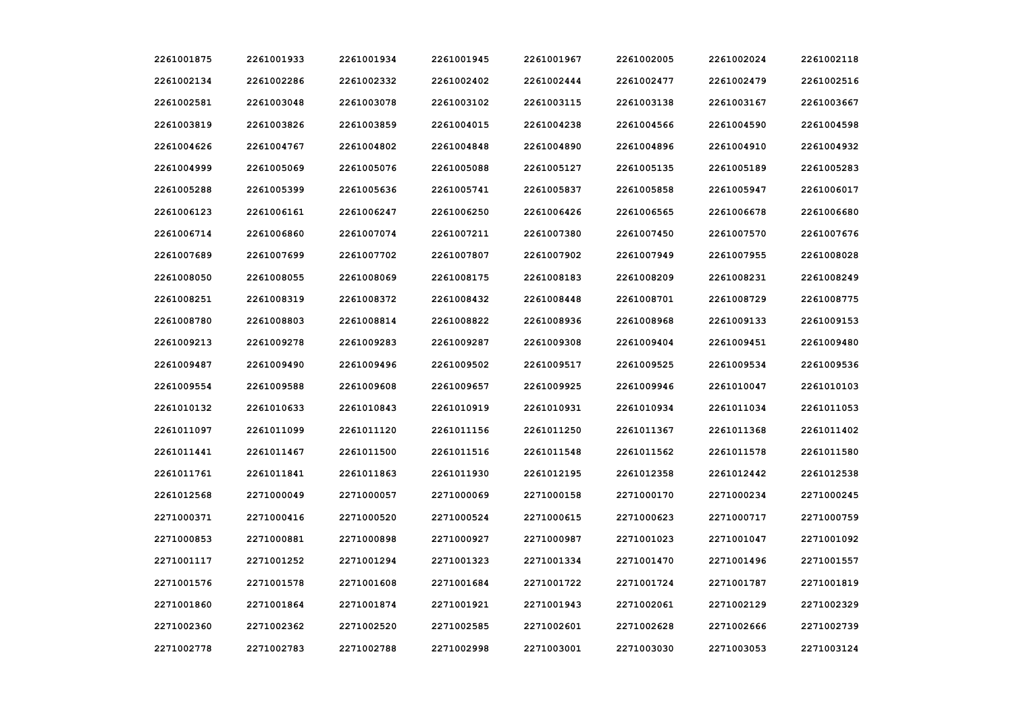| 2261001875 | 2261001933 | 2261001934 | 2261001945 | 2261001967 | 2261002005 | 2261002024 | 2261002118 |
|------------|------------|------------|------------|------------|------------|------------|------------|
| 2261002134 | 2261002286 | 2261002332 | 2261002402 | 2261002444 | 2261002477 | 2261002479 | 2261002516 |
| 2261002581 | 2261003048 | 2261003078 | 2261003102 | 2261003115 | 2261003138 | 2261003167 | 2261003667 |
| 2261003819 | 2261003826 | 2261003859 | 2261004015 | 2261004238 | 2261004566 | 2261004590 | 2261004598 |
| 2261004626 | 2261004767 | 2261004802 | 2261004848 | 2261004890 | 2261004896 | 2261004910 | 2261004932 |
| 2261004999 | 2261005069 | 2261005076 | 2261005088 | 2261005127 | 2261005135 | 2261005189 | 2261005283 |
| 2261005288 | 2261005399 | 2261005636 | 2261005741 | 2261005837 | 2261005858 | 2261005947 | 2261006017 |
| 2261006123 | 2261006161 | 2261006247 | 2261006250 | 2261006426 | 2261006565 | 2261006678 | 2261006680 |
| 2261006714 | 2261006860 | 2261007074 | 2261007211 | 2261007380 | 2261007450 | 2261007570 | 2261007676 |
| 2261007689 | 2261007699 | 2261007702 | 2261007807 | 2261007902 | 2261007949 | 2261007955 | 2261008028 |
| 2261008050 | 2261008055 | 2261008069 | 2261008175 | 2261008183 | 2261008209 | 2261008231 | 2261008249 |
| 2261008251 | 2261008319 | 2261008372 | 2261008432 | 2261008448 | 2261008701 | 2261008729 | 2261008775 |
| 2261008780 | 2261008803 | 2261008814 | 2261008822 | 2261008936 | 2261008968 | 2261009133 | 2261009153 |
| 2261009213 | 2261009278 | 2261009283 | 2261009287 | 2261009308 | 2261009404 | 2261009451 | 2261009480 |
| 2261009487 | 2261009490 | 2261009496 | 2261009502 | 2261009517 | 2261009525 | 2261009534 | 2261009536 |
| 2261009554 | 2261009588 | 2261009608 | 2261009657 | 2261009925 | 2261009946 | 2261010047 | 2261010103 |
| 2261010132 | 2261010633 | 2261010843 | 2261010919 | 2261010931 | 2261010934 | 2261011034 | 2261011053 |
| 2261011097 | 2261011099 | 2261011120 | 2261011156 | 2261011250 | 2261011367 | 2261011368 | 2261011402 |
| 2261011441 | 2261011467 | 2261011500 | 2261011516 | 2261011548 | 2261011562 | 2261011578 | 2261011580 |
| 2261011761 | 2261011841 | 2261011863 | 2261011930 | 2261012195 | 2261012358 | 2261012442 | 2261012538 |
| 2261012568 | 2271000049 | 2271000057 | 2271000069 | 2271000158 | 2271000170 | 2271000234 | 2271000245 |
| 2271000371 | 2271000416 | 2271000520 | 2271000524 | 2271000615 | 2271000623 | 2271000717 | 2271000759 |
| 2271000853 | 2271000881 | 2271000898 | 2271000927 | 2271000987 | 2271001023 | 2271001047 | 2271001092 |
| 2271001117 | 2271001252 | 2271001294 | 2271001323 | 2271001334 | 2271001470 | 2271001496 | 2271001557 |
| 2271001576 | 2271001578 | 2271001608 | 2271001684 | 2271001722 | 2271001724 | 2271001787 | 2271001819 |
| 2271001860 | 2271001864 | 2271001874 | 2271001921 | 2271001943 | 2271002061 | 2271002129 | 2271002329 |
| 2271002360 | 2271002362 | 2271002520 | 2271002585 | 2271002601 | 2271002628 | 2271002666 | 2271002739 |
| 2271002778 | 2271002783 | 2271002788 | 2271002998 | 2271003001 | 2271003030 | 2271003053 | 2271003124 |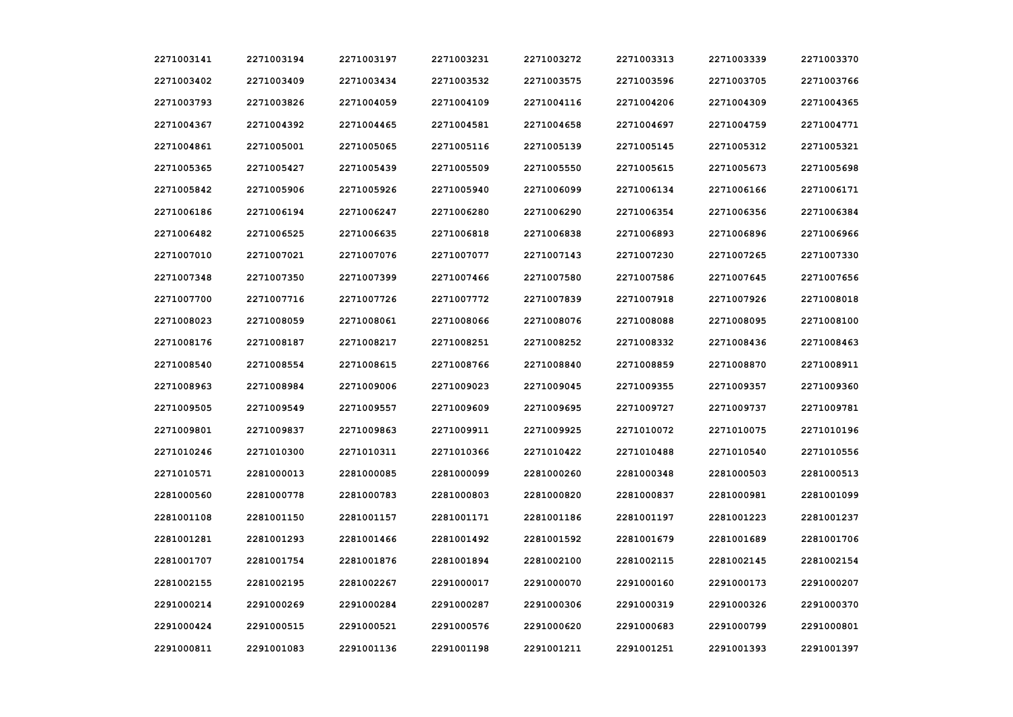| 2271003141 | 2271003194 | 2271003197 | 2271003231 | 2271003272 | 2271003313 | 2271003339 | 2271003370 |
|------------|------------|------------|------------|------------|------------|------------|------------|
| 2271003402 | 2271003409 | 2271003434 | 2271003532 | 2271003575 | 2271003596 | 2271003705 | 2271003766 |
| 2271003793 | 2271003826 | 2271004059 | 2271004109 | 2271004116 | 2271004206 | 2271004309 | 2271004365 |
| 2271004367 | 2271004392 | 2271004465 | 2271004581 | 2271004658 | 2271004697 | 2271004759 | 2271004771 |
| 2271004861 | 2271005001 | 2271005065 | 2271005116 | 2271005139 | 2271005145 | 2271005312 | 2271005321 |
| 2271005365 | 2271005427 | 2271005439 | 2271005509 | 2271005550 | 2271005615 | 2271005673 | 2271005698 |
| 2271005842 | 2271005906 | 2271005926 | 2271005940 | 2271006099 | 2271006134 | 2271006166 | 2271006171 |
| 2271006186 | 2271006194 | 2271006247 | 2271006280 | 2271006290 | 2271006354 | 2271006356 | 2271006384 |
| 2271006482 | 2271006525 | 2271006635 | 2271006818 | 2271006838 | 2271006893 | 2271006896 | 2271006966 |
| 2271007010 | 2271007021 | 2271007076 | 2271007077 | 2271007143 | 2271007230 | 2271007265 | 2271007330 |
| 2271007348 | 2271007350 | 2271007399 | 2271007466 | 2271007580 | 2271007586 | 2271007645 | 2271007656 |
| 2271007700 | 2271007716 | 2271007726 | 2271007772 | 2271007839 | 2271007918 | 2271007926 | 2271008018 |
| 2271008023 | 2271008059 | 2271008061 | 2271008066 | 2271008076 | 2271008088 | 2271008095 | 2271008100 |
| 2271008176 | 2271008187 | 2271008217 | 2271008251 | 2271008252 | 2271008332 | 2271008436 | 2271008463 |
| 2271008540 | 2271008554 | 2271008615 | 2271008766 | 2271008840 | 2271008859 | 2271008870 | 2271008911 |
| 2271008963 | 2271008984 | 2271009006 | 2271009023 | 2271009045 | 2271009355 | 2271009357 | 2271009360 |
| 2271009505 | 2271009549 | 2271009557 | 2271009609 | 2271009695 | 2271009727 | 2271009737 | 2271009781 |
| 2271009801 | 2271009837 | 2271009863 | 2271009911 | 2271009925 | 2271010072 | 2271010075 | 2271010196 |
| 2271010246 | 2271010300 | 2271010311 | 2271010366 | 2271010422 | 2271010488 | 2271010540 | 2271010556 |
| 2271010571 | 2281000013 | 2281000085 | 2281000099 | 2281000260 | 2281000348 | 2281000503 | 2281000513 |
| 2281000560 | 2281000778 | 2281000783 | 2281000803 | 2281000820 | 2281000837 | 2281000981 | 2281001099 |
| 2281001108 | 2281001150 | 2281001157 | 2281001171 | 2281001186 | 2281001197 | 2281001223 | 2281001237 |
| 2281001281 | 2281001293 | 2281001466 | 2281001492 | 2281001592 | 2281001679 | 2281001689 | 2281001706 |
| 2281001707 | 2281001754 | 2281001876 | 2281001894 | 2281002100 | 2281002115 | 2281002145 | 2281002154 |
| 2281002155 | 2281002195 | 2281002267 | 2291000017 | 2291000070 | 2291000160 | 2291000173 | 2291000207 |
| 2291000214 | 2291000269 | 2291000284 | 2291000287 | 2291000306 | 2291000319 | 2291000326 | 2291000370 |
| 2291000424 | 2291000515 | 2291000521 | 2291000576 | 2291000620 | 2291000683 | 2291000799 | 2291000801 |
| 2291000811 | 2291001083 | 2291001136 | 2291001198 | 2291001211 | 2291001251 | 2291001393 | 2291001397 |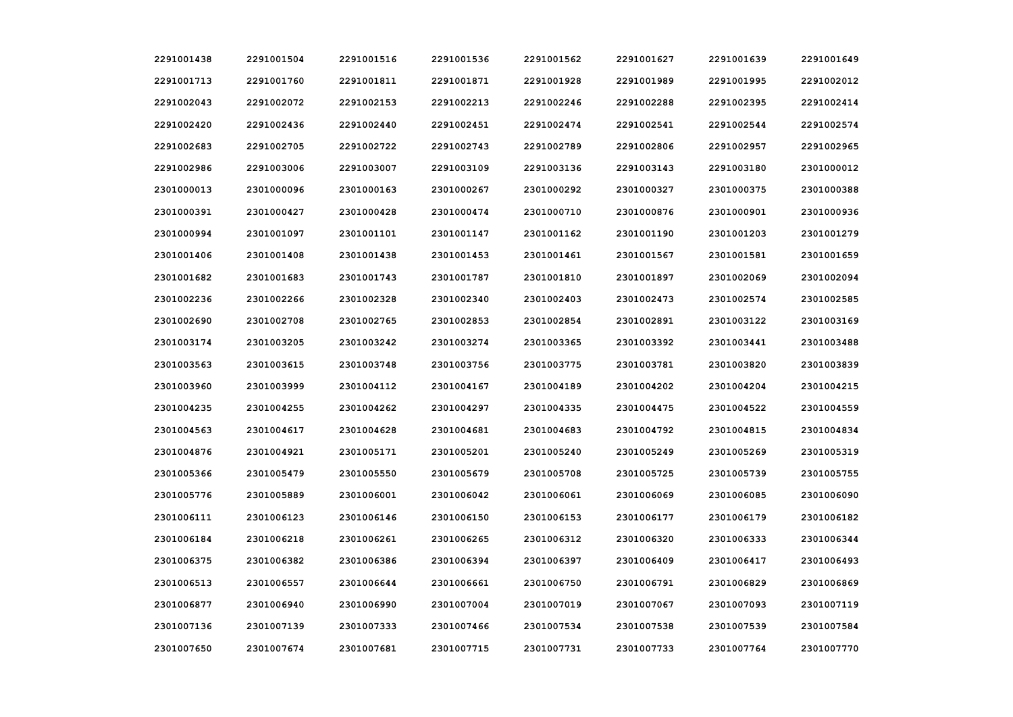| 2291001438 | 2291001504 | 2291001516 | 2291001536 | 2291001562 | 2291001627 | 2291001639 | 2291001649 |
|------------|------------|------------|------------|------------|------------|------------|------------|
| 2291001713 | 2291001760 | 2291001811 | 2291001871 | 2291001928 | 2291001989 | 2291001995 | 2291002012 |
| 2291002043 | 2291002072 | 2291002153 | 2291002213 | 2291002246 | 2291002288 | 2291002395 | 2291002414 |
| 2291002420 | 2291002436 | 2291002440 | 2291002451 | 2291002474 | 2291002541 | 2291002544 | 2291002574 |
| 2291002683 | 2291002705 | 2291002722 | 2291002743 | 2291002789 | 2291002806 | 2291002957 | 2291002965 |
| 2291002986 | 2291003006 | 2291003007 | 2291003109 | 2291003136 | 2291003143 | 2291003180 | 2301000012 |
| 2301000013 | 2301000096 | 2301000163 | 2301000267 | 2301000292 | 2301000327 | 2301000375 | 2301000388 |
| 2301000391 | 2301000427 | 2301000428 | 2301000474 | 2301000710 | 2301000876 | 2301000901 | 2301000936 |
| 2301000994 | 2301001097 | 2301001101 | 2301001147 | 2301001162 | 2301001190 | 2301001203 | 2301001279 |
| 2301001406 | 2301001408 | 2301001438 | 2301001453 | 2301001461 | 2301001567 | 2301001581 | 2301001659 |
| 2301001682 | 2301001683 | 2301001743 | 2301001787 | 2301001810 | 2301001897 | 2301002069 | 2301002094 |
| 2301002236 | 2301002266 | 2301002328 | 2301002340 | 2301002403 | 2301002473 | 2301002574 | 2301002585 |
| 2301002690 | 2301002708 | 2301002765 | 2301002853 | 2301002854 | 2301002891 | 2301003122 | 2301003169 |
| 2301003174 | 2301003205 | 2301003242 | 2301003274 | 2301003365 | 2301003392 | 2301003441 | 2301003488 |
| 2301003563 | 2301003615 | 2301003748 | 2301003756 | 2301003775 | 2301003781 | 2301003820 | 2301003839 |
| 2301003960 | 2301003999 | 2301004112 | 2301004167 | 2301004189 | 2301004202 | 2301004204 | 2301004215 |
| 2301004235 | 2301004255 | 2301004262 | 2301004297 | 2301004335 | 2301004475 | 2301004522 | 2301004559 |
| 2301004563 | 2301004617 | 2301004628 | 2301004681 | 2301004683 | 2301004792 | 2301004815 | 2301004834 |
| 2301004876 | 2301004921 | 2301005171 | 2301005201 | 2301005240 | 2301005249 | 2301005269 | 2301005319 |
| 2301005366 | 2301005479 | 2301005550 | 2301005679 | 2301005708 | 2301005725 | 2301005739 | 2301005755 |
| 2301005776 | 2301005889 | 2301006001 | 2301006042 | 2301006061 | 2301006069 | 2301006085 | 2301006090 |
| 2301006111 | 2301006123 | 2301006146 | 2301006150 | 2301006153 | 2301006177 | 2301006179 | 2301006182 |
| 2301006184 | 2301006218 | 2301006261 | 2301006265 | 2301006312 | 2301006320 | 2301006333 | 2301006344 |
| 2301006375 | 2301006382 | 2301006386 | 2301006394 | 2301006397 | 2301006409 | 2301006417 | 2301006493 |
| 2301006513 | 2301006557 | 2301006644 | 2301006661 | 2301006750 | 2301006791 | 2301006829 | 2301006869 |
| 2301006877 | 2301006940 | 2301006990 | 2301007004 | 2301007019 | 2301007067 | 2301007093 | 2301007119 |
| 2301007136 | 2301007139 | 2301007333 | 2301007466 | 2301007534 | 2301007538 | 2301007539 | 2301007584 |
| 2301007650 | 2301007674 | 2301007681 | 2301007715 | 2301007731 | 2301007733 | 2301007764 | 2301007770 |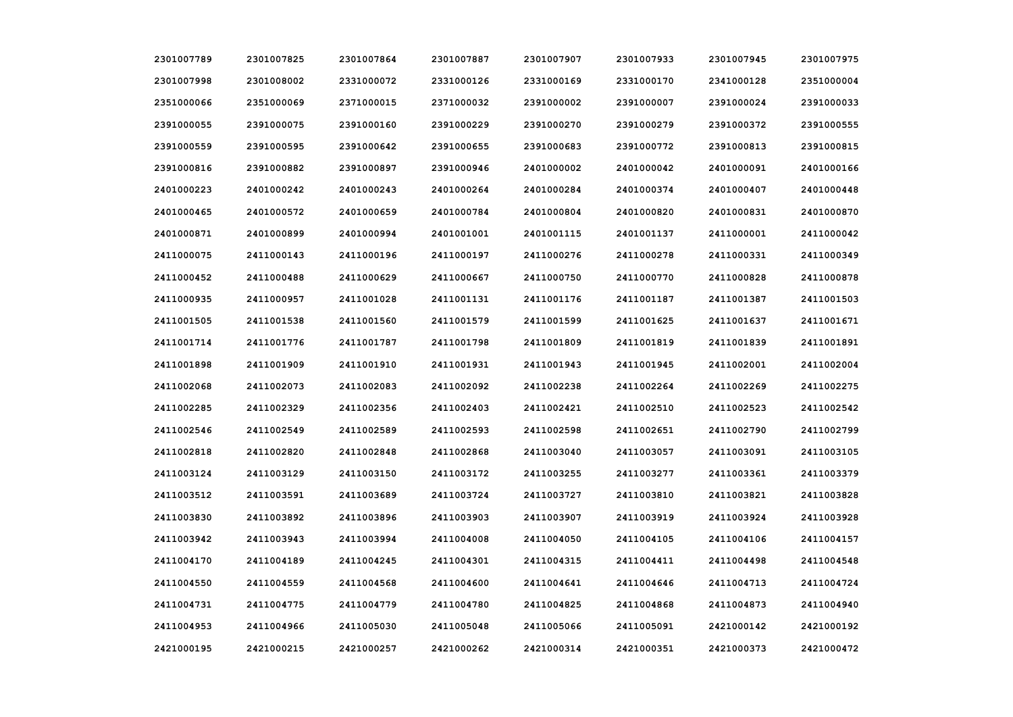| 2301007789 | 2301007825 | 2301007864 | 2301007887 | 2301007907 | 2301007933 | 2301007945 | 2301007975 |
|------------|------------|------------|------------|------------|------------|------------|------------|
| 2301007998 | 2301008002 | 2331000072 | 2331000126 | 2331000169 | 2331000170 | 2341000128 | 2351000004 |
| 2351000066 | 2351000069 | 2371000015 | 2371000032 | 2391000002 | 2391000007 | 2391000024 | 2391000033 |
| 2391000055 | 2391000075 | 2391000160 | 2391000229 | 2391000270 | 2391000279 | 2391000372 | 2391000555 |
| 2391000559 | 2391000595 | 2391000642 | 2391000655 | 2391000683 | 2391000772 | 2391000813 | 2391000815 |
| 2391000816 | 2391000882 | 2391000897 | 2391000946 | 2401000002 | 2401000042 | 2401000091 | 2401000166 |
| 2401000223 | 2401000242 | 2401000243 | 2401000264 | 2401000284 | 2401000374 | 2401000407 | 2401000448 |
| 2401000465 | 2401000572 | 2401000659 | 2401000784 | 2401000804 | 2401000820 | 2401000831 | 2401000870 |
| 2401000871 | 2401000899 | 2401000994 | 2401001001 | 2401001115 | 2401001137 | 2411000001 | 2411000042 |
| 2411000075 | 2411000143 | 2411000196 | 2411000197 | 2411000276 | 2411000278 | 2411000331 | 2411000349 |
| 2411000452 | 2411000488 | 2411000629 | 2411000667 | 2411000750 | 2411000770 | 2411000828 | 2411000878 |
| 2411000935 | 2411000957 | 2411001028 | 2411001131 | 2411001176 | 2411001187 | 2411001387 | 2411001503 |
| 2411001505 | 2411001538 | 2411001560 | 2411001579 | 2411001599 | 2411001625 | 2411001637 | 2411001671 |
| 2411001714 | 2411001776 | 2411001787 | 2411001798 | 2411001809 | 2411001819 | 2411001839 | 2411001891 |
| 2411001898 | 2411001909 | 2411001910 | 2411001931 | 2411001943 | 2411001945 | 2411002001 | 2411002004 |
| 2411002068 | 2411002073 | 2411002083 | 2411002092 | 2411002238 | 2411002264 | 2411002269 | 2411002275 |
| 2411002285 | 2411002329 | 2411002356 | 2411002403 | 2411002421 | 2411002510 | 2411002523 | 2411002542 |
| 2411002546 | 2411002549 | 2411002589 | 2411002593 | 2411002598 | 2411002651 | 2411002790 | 2411002799 |
| 2411002818 | 2411002820 | 2411002848 | 2411002868 | 2411003040 | 2411003057 | 2411003091 | 2411003105 |
| 2411003124 | 2411003129 | 2411003150 | 2411003172 | 2411003255 | 2411003277 | 2411003361 | 2411003379 |
| 2411003512 | 2411003591 | 2411003689 | 2411003724 | 2411003727 | 2411003810 | 2411003821 | 2411003828 |
| 2411003830 | 2411003892 | 2411003896 | 2411003903 | 2411003907 | 2411003919 | 2411003924 | 2411003928 |
| 2411003942 | 2411003943 | 2411003994 | 2411004008 | 2411004050 | 2411004105 | 2411004106 | 2411004157 |
| 2411004170 | 2411004189 | 2411004245 | 2411004301 | 2411004315 | 2411004411 | 2411004498 | 2411004548 |
| 2411004550 | 2411004559 | 2411004568 | 2411004600 | 2411004641 | 2411004646 | 2411004713 | 2411004724 |
| 2411004731 | 2411004775 | 2411004779 | 2411004780 | 2411004825 | 2411004868 | 2411004873 | 2411004940 |
| 2411004953 | 2411004966 | 2411005030 | 2411005048 | 2411005066 | 2411005091 | 2421000142 | 2421000192 |
| 2421000195 | 2421000215 | 2421000257 | 2421000262 | 2421000314 | 2421000351 | 2421000373 | 2421000472 |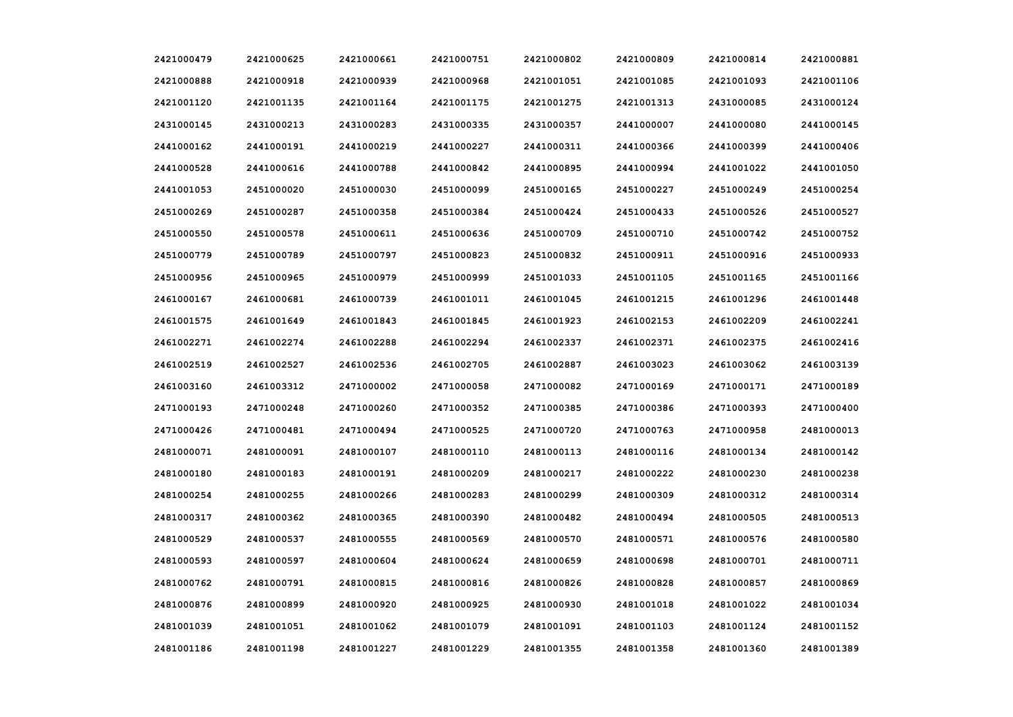| 2421000479 | 2421000625 | 2421000661 | 2421000751 | 2421000802 | 2421000809 | 2421000814 | 2421000881 |
|------------|------------|------------|------------|------------|------------|------------|------------|
| 2421000888 | 2421000918 | 2421000939 | 2421000968 | 2421001051 | 2421001085 | 2421001093 | 2421001106 |
| 2421001120 | 2421001135 | 2421001164 | 2421001175 | 2421001275 | 2421001313 | 2431000085 | 2431000124 |
| 2431000145 | 2431000213 | 2431000283 | 2431000335 | 2431000357 | 2441000007 | 2441000080 | 2441000145 |
| 2441000162 | 2441000191 | 2441000219 | 2441000227 | 2441000311 | 2441000366 | 2441000399 | 2441000406 |
| 2441000528 | 2441000616 | 2441000788 | 2441000842 | 2441000895 | 2441000994 | 2441001022 | 2441001050 |
| 2441001053 | 2451000020 | 2451000030 | 2451000099 | 2451000165 | 2451000227 | 2451000249 | 2451000254 |
| 2451000269 | 2451000287 | 2451000358 | 2451000384 | 2451000424 | 2451000433 | 2451000526 | 2451000527 |
| 2451000550 | 2451000578 | 2451000611 | 2451000636 | 2451000709 | 2451000710 | 2451000742 | 2451000752 |
| 2451000779 | 2451000789 | 2451000797 | 2451000823 | 2451000832 | 2451000911 | 2451000916 | 2451000933 |
| 2451000956 | 2451000965 | 2451000979 | 2451000999 | 2451001033 | 2451001105 | 2451001165 | 2451001166 |
| 2461000167 | 2461000681 | 2461000739 | 2461001011 | 2461001045 | 2461001215 | 2461001296 | 2461001448 |
| 2461001575 | 2461001649 | 2461001843 | 2461001845 | 2461001923 | 2461002153 | 2461002209 | 2461002241 |
| 2461002271 | 2461002274 | 2461002288 | 2461002294 | 2461002337 | 2461002371 | 2461002375 | 2461002416 |
| 2461002519 | 2461002527 | 2461002536 | 2461002705 | 2461002887 | 2461003023 | 2461003062 | 2461003139 |
| 2461003160 | 2461003312 | 2471000002 | 2471000058 | 2471000082 | 2471000169 | 2471000171 | 2471000189 |
| 2471000193 | 2471000248 | 2471000260 | 2471000352 | 2471000385 | 2471000386 | 2471000393 | 2471000400 |
| 2471000426 | 2471000481 | 2471000494 | 2471000525 | 2471000720 | 2471000763 | 2471000958 | 2481000013 |
| 2481000071 | 2481000091 | 2481000107 | 2481000110 | 2481000113 | 2481000116 | 2481000134 | 2481000142 |
| 2481000180 | 2481000183 | 2481000191 | 2481000209 | 2481000217 | 2481000222 | 2481000230 | 2481000238 |
| 2481000254 | 2481000255 | 2481000266 | 2481000283 | 2481000299 | 2481000309 | 2481000312 | 2481000314 |
| 2481000317 | 2481000362 | 2481000365 | 2481000390 | 2481000482 | 2481000494 | 2481000505 | 2481000513 |
| 2481000529 | 2481000537 | 2481000555 | 2481000569 | 2481000570 | 2481000571 | 2481000576 | 2481000580 |
| 2481000593 | 2481000597 | 2481000604 | 2481000624 | 2481000659 | 2481000698 | 2481000701 | 2481000711 |
| 2481000762 | 2481000791 | 2481000815 | 2481000816 | 2481000826 | 2481000828 | 2481000857 | 2481000869 |
| 2481000876 | 2481000899 | 2481000920 | 2481000925 | 2481000930 | 2481001018 | 2481001022 | 2481001034 |
| 2481001039 | 2481001051 | 2481001062 | 2481001079 | 2481001091 | 2481001103 | 2481001124 | 2481001152 |
| 2481001186 | 2481001198 | 2481001227 | 2481001229 | 2481001355 | 2481001358 | 2481001360 | 2481001389 |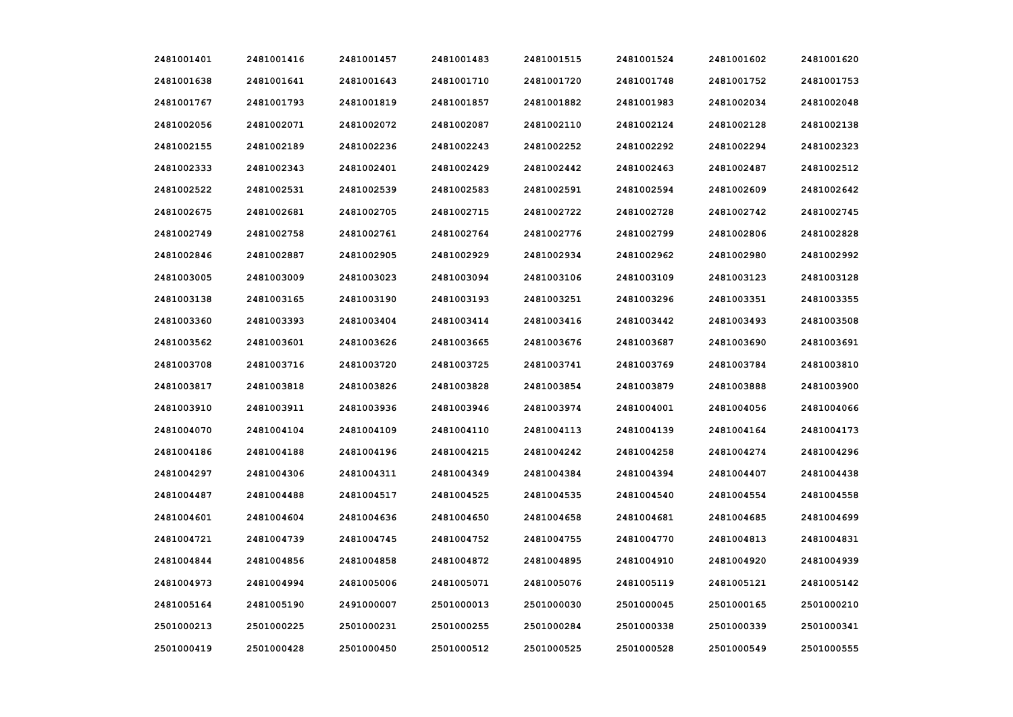| 2481001401 | 2481001416 | 2481001457 | 2481001483 | 2481001515 | 2481001524 | 2481001602 | 2481001620 |
|------------|------------|------------|------------|------------|------------|------------|------------|
| 2481001638 | 2481001641 | 2481001643 | 2481001710 | 2481001720 | 2481001748 | 2481001752 | 2481001753 |
| 2481001767 | 2481001793 | 2481001819 | 2481001857 | 2481001882 | 2481001983 | 2481002034 | 2481002048 |
| 2481002056 | 2481002071 | 2481002072 | 2481002087 | 2481002110 | 2481002124 | 2481002128 | 2481002138 |
| 2481002155 | 2481002189 | 2481002236 | 2481002243 | 2481002252 | 2481002292 | 2481002294 | 2481002323 |
| 2481002333 | 2481002343 | 2481002401 | 2481002429 | 2481002442 | 2481002463 | 2481002487 | 2481002512 |
| 2481002522 | 2481002531 | 2481002539 | 2481002583 | 2481002591 | 2481002594 | 2481002609 | 2481002642 |
| 2481002675 | 2481002681 | 2481002705 | 2481002715 | 2481002722 | 2481002728 | 2481002742 | 2481002745 |
| 2481002749 | 2481002758 | 2481002761 | 2481002764 | 2481002776 | 2481002799 | 2481002806 | 2481002828 |
| 2481002846 | 2481002887 | 2481002905 | 2481002929 | 2481002934 | 2481002962 | 2481002980 | 2481002992 |
| 2481003005 | 2481003009 | 2481003023 | 2481003094 | 2481003106 | 2481003109 | 2481003123 | 2481003128 |
| 2481003138 | 2481003165 | 2481003190 | 2481003193 | 2481003251 | 2481003296 | 2481003351 | 2481003355 |
| 2481003360 | 2481003393 | 2481003404 | 2481003414 | 2481003416 | 2481003442 | 2481003493 | 2481003508 |
| 2481003562 | 2481003601 | 2481003626 | 2481003665 | 2481003676 | 2481003687 | 2481003690 | 2481003691 |
| 2481003708 | 2481003716 | 2481003720 | 2481003725 | 2481003741 | 2481003769 | 2481003784 | 2481003810 |
| 2481003817 | 2481003818 | 2481003826 | 2481003828 | 2481003854 | 2481003879 | 2481003888 | 2481003900 |
| 2481003910 | 2481003911 | 2481003936 | 2481003946 | 2481003974 | 2481004001 | 2481004056 | 2481004066 |
| 2481004070 | 2481004104 | 2481004109 | 2481004110 | 2481004113 | 2481004139 | 2481004164 | 2481004173 |
| 2481004186 | 2481004188 | 2481004196 | 2481004215 | 2481004242 | 2481004258 | 2481004274 | 2481004296 |
| 2481004297 | 2481004306 | 2481004311 | 2481004349 | 2481004384 | 2481004394 | 2481004407 | 2481004438 |
| 2481004487 | 2481004488 | 2481004517 | 2481004525 | 2481004535 | 2481004540 | 2481004554 | 2481004558 |
| 2481004601 | 2481004604 | 2481004636 | 2481004650 | 2481004658 | 2481004681 | 2481004685 | 2481004699 |
| 2481004721 | 2481004739 | 2481004745 | 2481004752 | 2481004755 | 2481004770 | 2481004813 | 2481004831 |
| 2481004844 | 2481004856 | 2481004858 | 2481004872 | 2481004895 | 2481004910 | 2481004920 | 2481004939 |
| 2481004973 | 2481004994 | 2481005006 | 2481005071 | 2481005076 | 2481005119 | 2481005121 | 2481005142 |
| 2481005164 | 2481005190 | 2491000007 | 2501000013 | 2501000030 | 2501000045 | 2501000165 | 2501000210 |
| 2501000213 | 2501000225 | 2501000231 | 2501000255 | 2501000284 | 2501000338 | 2501000339 | 2501000341 |
| 2501000419 | 2501000428 | 2501000450 | 2501000512 | 2501000525 | 2501000528 | 2501000549 | 2501000555 |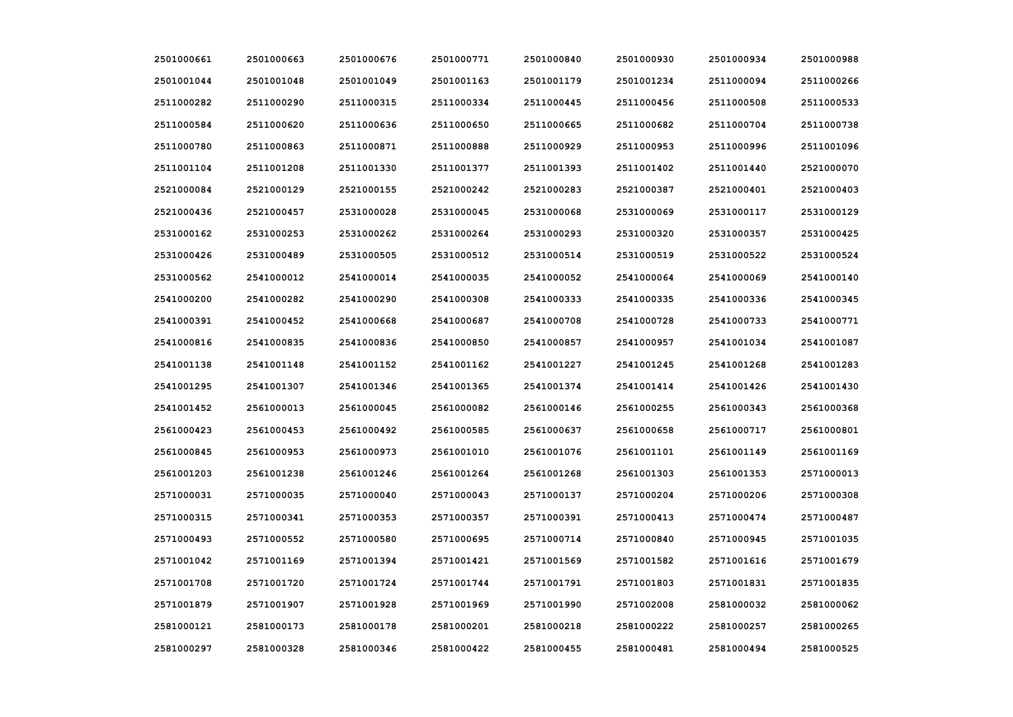| 2501000661 | 2501000663 | 2501000676 | 2501000771 | 2501000840 | 2501000930 | 2501000934 | 2501000988 |
|------------|------------|------------|------------|------------|------------|------------|------------|
| 2501001044 | 2501001048 | 2501001049 | 2501001163 | 2501001179 | 2501001234 | 2511000094 | 2511000266 |
| 2511000282 | 2511000290 | 2511000315 | 2511000334 | 2511000445 | 2511000456 | 2511000508 | 2511000533 |
| 2511000584 | 2511000620 | 2511000636 | 2511000650 | 2511000665 | 2511000682 | 2511000704 | 2511000738 |
| 2511000780 | 2511000863 | 2511000871 | 2511000888 | 2511000929 | 2511000953 | 2511000996 | 2511001096 |
| 2511001104 | 2511001208 | 2511001330 | 2511001377 | 2511001393 | 2511001402 | 2511001440 | 2521000070 |
| 2521000084 | 2521000129 | 2521000155 | 2521000242 | 2521000283 | 2521000387 | 2521000401 | 2521000403 |
| 2521000436 | 2521000457 | 2531000028 | 2531000045 | 2531000068 | 2531000069 | 2531000117 | 2531000129 |
| 2531000162 | 2531000253 | 2531000262 | 2531000264 | 2531000293 | 2531000320 | 2531000357 | 2531000425 |
| 2531000426 | 2531000489 | 2531000505 | 2531000512 | 2531000514 | 2531000519 | 2531000522 | 2531000524 |
| 2531000562 | 2541000012 | 2541000014 | 2541000035 | 2541000052 | 2541000064 | 2541000069 | 2541000140 |
| 2541000200 | 2541000282 | 2541000290 | 2541000308 | 2541000333 | 2541000335 | 2541000336 | 2541000345 |
| 2541000391 | 2541000452 | 2541000668 | 2541000687 | 2541000708 | 2541000728 | 2541000733 | 2541000771 |
| 2541000816 | 2541000835 | 2541000836 | 2541000850 | 2541000857 | 2541000957 | 2541001034 | 2541001087 |
| 2541001138 | 2541001148 | 2541001152 | 2541001162 | 2541001227 | 2541001245 | 2541001268 | 2541001283 |
| 2541001295 | 2541001307 | 2541001346 | 2541001365 | 2541001374 | 2541001414 | 2541001426 | 2541001430 |
| 2541001452 | 2561000013 | 2561000045 | 2561000082 | 2561000146 | 2561000255 | 2561000343 | 2561000368 |
| 2561000423 | 2561000453 | 2561000492 | 2561000585 | 2561000637 | 2561000658 | 2561000717 | 2561000801 |
| 2561000845 | 2561000953 | 2561000973 | 2561001010 | 2561001076 | 2561001101 | 2561001149 | 2561001169 |
| 2561001203 | 2561001238 | 2561001246 | 2561001264 | 2561001268 | 2561001303 | 2561001353 | 2571000013 |
| 2571000031 | 2571000035 | 2571000040 | 2571000043 | 2571000137 | 2571000204 | 2571000206 | 2571000308 |
| 2571000315 | 2571000341 | 2571000353 | 2571000357 | 2571000391 | 2571000413 | 2571000474 | 2571000487 |
| 2571000493 | 2571000552 | 2571000580 | 2571000695 | 2571000714 | 2571000840 | 2571000945 | 2571001035 |
| 2571001042 | 2571001169 | 2571001394 | 2571001421 | 2571001569 | 2571001582 | 2571001616 | 2571001679 |
| 2571001708 | 2571001720 | 2571001724 | 2571001744 | 2571001791 | 2571001803 | 2571001831 | 2571001835 |
| 2571001879 | 2571001907 | 2571001928 | 2571001969 | 2571001990 | 2571002008 | 2581000032 | 2581000062 |
| 2581000121 | 2581000173 | 2581000178 | 2581000201 | 2581000218 | 2581000222 | 2581000257 | 2581000265 |
| 2581000297 | 2581000328 | 2581000346 | 2581000422 | 2581000455 | 2581000481 | 2581000494 | 2581000525 |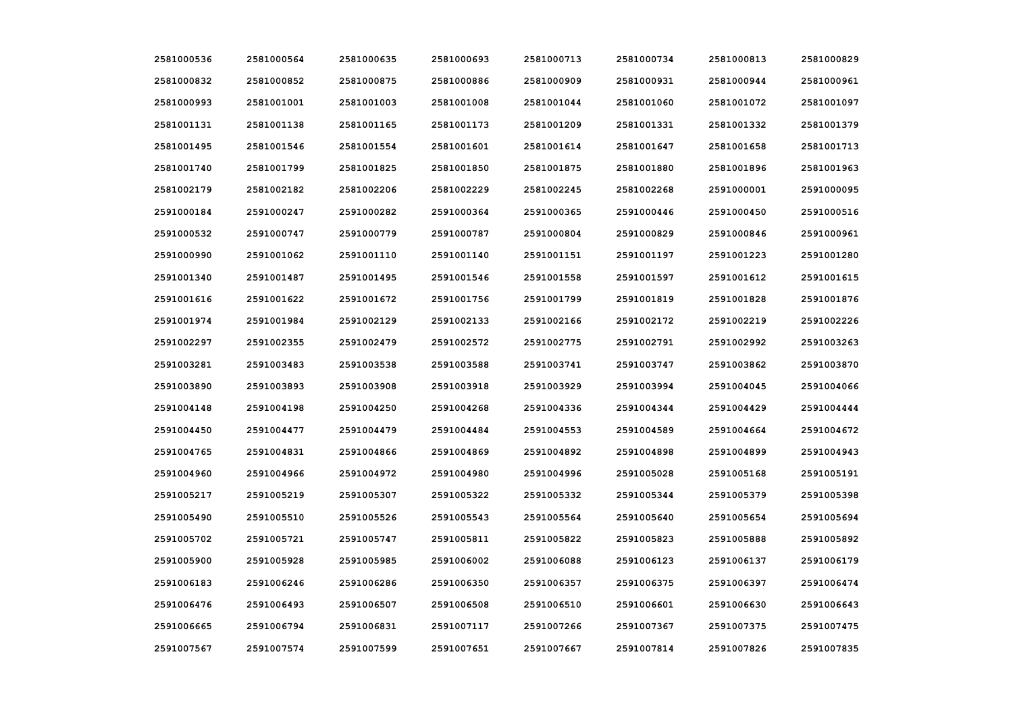| 2581000536 | 2581000564 | 2581000635 | 2581000693 | 2581000713 | 2581000734 | 2581000813 | 2581000829 |
|------------|------------|------------|------------|------------|------------|------------|------------|
| 2581000832 | 2581000852 | 2581000875 | 2581000886 | 2581000909 | 2581000931 | 2581000944 | 2581000961 |
| 2581000993 | 2581001001 | 2581001003 | 2581001008 | 2581001044 | 2581001060 | 2581001072 | 2581001097 |
| 2581001131 | 2581001138 | 2581001165 | 2581001173 | 2581001209 | 2581001331 | 2581001332 | 2581001379 |
| 2581001495 | 2581001546 | 2581001554 | 2581001601 | 2581001614 | 2581001647 | 2581001658 | 2581001713 |
| 2581001740 | 2581001799 | 2581001825 | 2581001850 | 2581001875 | 2581001880 | 2581001896 | 2581001963 |
| 2581002179 | 2581002182 | 2581002206 | 2581002229 | 2581002245 | 2581002268 | 2591000001 | 2591000095 |
| 2591000184 | 2591000247 | 2591000282 | 2591000364 | 2591000365 | 2591000446 | 2591000450 | 2591000516 |
| 2591000532 | 2591000747 | 2591000779 | 2591000787 | 2591000804 | 2591000829 | 2591000846 | 2591000961 |
| 2591000990 | 2591001062 | 2591001110 | 2591001140 | 2591001151 | 2591001197 | 2591001223 | 2591001280 |
| 2591001340 | 2591001487 | 2591001495 | 2591001546 | 2591001558 | 2591001597 | 2591001612 | 2591001615 |
| 2591001616 | 2591001622 | 2591001672 | 2591001756 | 2591001799 | 2591001819 | 2591001828 | 2591001876 |
| 2591001974 | 2591001984 | 2591002129 | 2591002133 | 2591002166 | 2591002172 | 2591002219 | 2591002226 |
| 2591002297 | 2591002355 | 2591002479 | 2591002572 | 2591002775 | 2591002791 | 2591002992 | 2591003263 |
| 2591003281 | 2591003483 | 2591003538 | 2591003588 | 2591003741 | 2591003747 | 2591003862 | 2591003870 |
| 2591003890 | 2591003893 | 2591003908 | 2591003918 | 2591003929 | 2591003994 | 2591004045 | 2591004066 |
| 2591004148 | 2591004198 | 2591004250 | 2591004268 | 2591004336 | 2591004344 | 2591004429 | 2591004444 |
| 2591004450 | 2591004477 | 2591004479 | 2591004484 | 2591004553 | 2591004589 | 2591004664 | 2591004672 |
| 2591004765 | 2591004831 | 2591004866 | 2591004869 | 2591004892 | 2591004898 | 2591004899 | 2591004943 |
| 2591004960 | 2591004966 | 2591004972 | 2591004980 | 2591004996 | 2591005028 | 2591005168 | 2591005191 |
| 2591005217 | 2591005219 | 2591005307 | 2591005322 | 2591005332 | 2591005344 | 2591005379 | 2591005398 |
| 2591005490 | 2591005510 | 2591005526 | 2591005543 | 2591005564 | 2591005640 | 2591005654 | 2591005694 |
| 2591005702 | 2591005721 | 2591005747 | 2591005811 | 2591005822 | 2591005823 | 2591005888 | 2591005892 |
| 2591005900 | 2591005928 | 2591005985 | 2591006002 | 2591006088 | 2591006123 | 2591006137 | 2591006179 |
| 2591006183 | 2591006246 | 2591006286 | 2591006350 | 2591006357 | 2591006375 | 2591006397 | 2591006474 |
| 2591006476 | 2591006493 | 2591006507 | 2591006508 | 2591006510 | 2591006601 | 2591006630 | 2591006643 |
| 2591006665 | 2591006794 | 2591006831 | 2591007117 | 2591007266 | 2591007367 | 2591007375 | 2591007475 |
| 2591007567 | 2591007574 | 2591007599 | 2591007651 | 2591007667 | 2591007814 | 2591007826 | 2591007835 |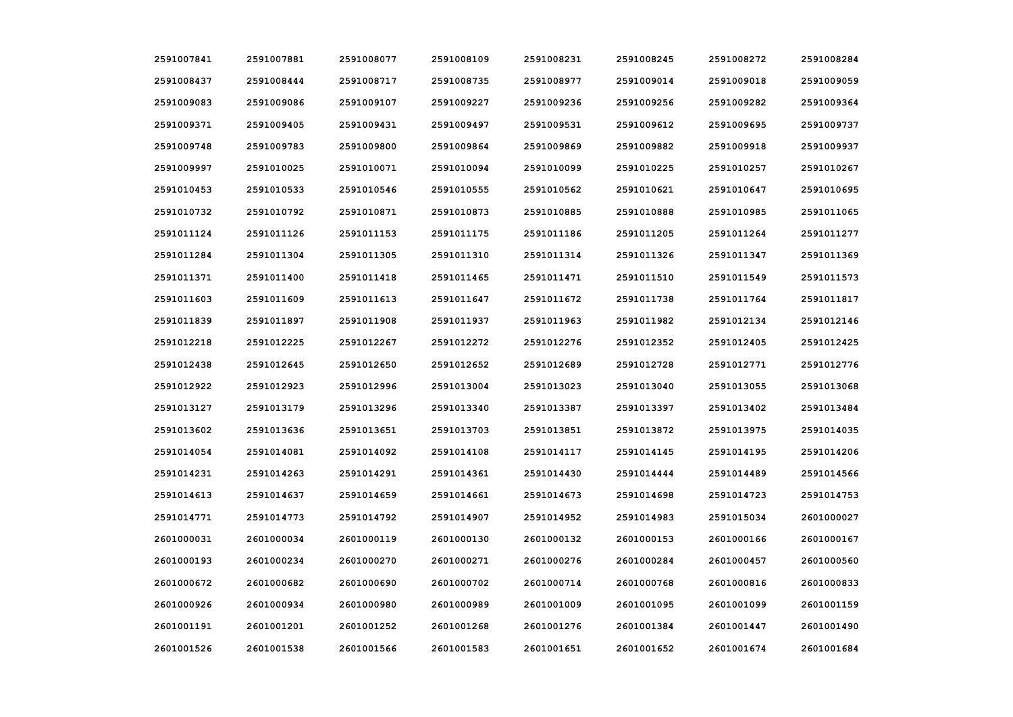| 2591007841 | 2591007881 | 2591008077 | 2591008109 | 2591008231 | 2591008245 | 2591008272 | 2591008284 |
|------------|------------|------------|------------|------------|------------|------------|------------|
| 2591008437 | 2591008444 | 2591008717 | 2591008735 | 2591008977 | 2591009014 | 2591009018 | 2591009059 |
| 2591009083 | 2591009086 | 2591009107 | 2591009227 | 2591009236 | 2591009256 | 2591009282 | 2591009364 |
| 2591009371 | 2591009405 | 2591009431 | 2591009497 | 2591009531 | 2591009612 | 2591009695 | 2591009737 |
| 2591009748 | 2591009783 | 2591009800 | 2591009864 | 2591009869 | 2591009882 | 2591009918 | 2591009937 |
| 2591009997 | 2591010025 | 2591010071 | 2591010094 | 2591010099 | 2591010225 | 2591010257 | 2591010267 |
| 2591010453 | 2591010533 | 2591010546 | 2591010555 | 2591010562 | 2591010621 | 2591010647 | 2591010695 |
| 2591010732 | 2591010792 | 2591010871 | 2591010873 | 2591010885 | 2591010888 | 2591010985 | 2591011065 |
| 2591011124 | 2591011126 | 2591011153 | 2591011175 | 2591011186 | 2591011205 | 2591011264 | 2591011277 |
| 2591011284 | 2591011304 | 2591011305 | 2591011310 | 2591011314 | 2591011326 | 2591011347 | 2591011369 |
| 2591011371 | 2591011400 | 2591011418 | 2591011465 | 2591011471 | 2591011510 | 2591011549 | 2591011573 |
| 2591011603 | 2591011609 | 2591011613 | 2591011647 | 2591011672 | 2591011738 | 2591011764 | 2591011817 |
| 2591011839 | 2591011897 | 2591011908 | 2591011937 | 2591011963 | 2591011982 | 2591012134 | 2591012146 |
| 2591012218 | 2591012225 | 2591012267 | 2591012272 | 2591012276 | 2591012352 | 2591012405 | 2591012425 |
| 2591012438 | 2591012645 | 2591012650 | 2591012652 | 2591012689 | 2591012728 | 2591012771 | 2591012776 |
| 2591012922 | 2591012923 | 2591012996 | 2591013004 | 2591013023 | 2591013040 | 2591013055 | 2591013068 |
| 2591013127 | 2591013179 | 2591013296 | 2591013340 | 2591013387 | 2591013397 | 2591013402 | 2591013484 |
| 2591013602 | 2591013636 | 2591013651 | 2591013703 | 2591013851 | 2591013872 | 2591013975 | 2591014035 |
| 2591014054 | 2591014081 | 2591014092 | 2591014108 | 2591014117 | 2591014145 | 2591014195 | 2591014206 |
| 2591014231 | 2591014263 | 2591014291 | 2591014361 | 2591014430 | 2591014444 | 2591014489 | 2591014566 |
| 2591014613 | 2591014637 | 2591014659 | 2591014661 | 2591014673 | 2591014698 | 2591014723 | 2591014753 |
| 2591014771 | 2591014773 | 2591014792 | 2591014907 | 2591014952 | 2591014983 | 2591015034 | 2601000027 |
| 2601000031 | 2601000034 | 2601000119 | 2601000130 | 2601000132 | 2601000153 | 2601000166 | 2601000167 |
| 2601000193 | 2601000234 | 2601000270 | 2601000271 | 2601000276 | 2601000284 | 2601000457 | 2601000560 |
| 2601000672 | 2601000682 | 2601000690 | 2601000702 | 2601000714 | 2601000768 | 2601000816 | 2601000833 |
| 2601000926 | 2601000934 | 2601000980 | 2601000989 | 2601001009 | 2601001095 | 2601001099 | 2601001159 |
| 2601001191 | 2601001201 | 2601001252 | 2601001268 | 2601001276 | 2601001384 | 2601001447 | 2601001490 |
| 2601001526 | 2601001538 | 2601001566 | 2601001583 | 2601001651 | 2601001652 | 2601001674 | 2601001684 |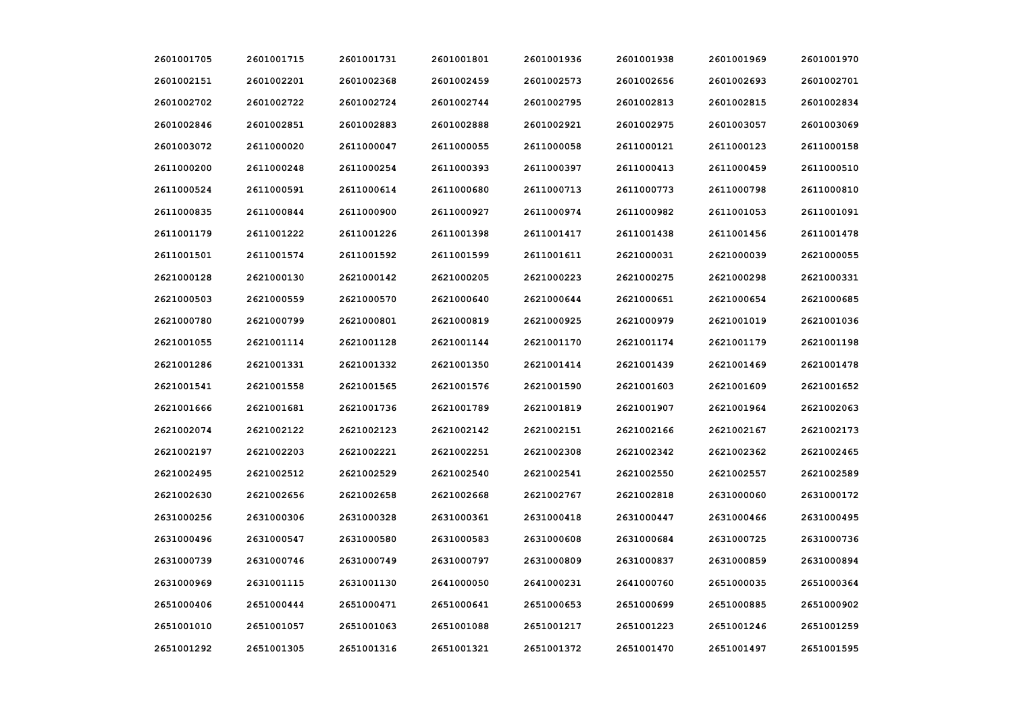| 2601001705 | 2601001715 | 2601001731 | 2601001801 | 2601001936 | 2601001938 | 2601001969 | 2601001970 |
|------------|------------|------------|------------|------------|------------|------------|------------|
| 2601002151 | 2601002201 | 2601002368 | 2601002459 | 2601002573 | 2601002656 | 2601002693 | 2601002701 |
| 2601002702 | 2601002722 | 2601002724 | 2601002744 | 2601002795 | 2601002813 | 2601002815 | 2601002834 |
| 2601002846 | 2601002851 | 2601002883 | 2601002888 | 2601002921 | 2601002975 | 2601003057 | 2601003069 |
| 2601003072 | 2611000020 | 2611000047 | 2611000055 | 2611000058 | 2611000121 | 2611000123 | 2611000158 |
| 2611000200 | 2611000248 | 2611000254 | 2611000393 | 2611000397 | 2611000413 | 2611000459 | 2611000510 |
| 2611000524 | 2611000591 | 2611000614 | 2611000680 | 2611000713 | 2611000773 | 2611000798 | 2611000810 |
| 2611000835 | 2611000844 | 2611000900 | 2611000927 | 2611000974 | 2611000982 | 2611001053 | 2611001091 |
| 2611001179 | 2611001222 | 2611001226 | 2611001398 | 2611001417 | 2611001438 | 2611001456 | 2611001478 |
| 2611001501 | 2611001574 | 2611001592 | 2611001599 | 2611001611 | 2621000031 | 2621000039 | 2621000055 |
| 2621000128 | 2621000130 | 2621000142 | 2621000205 | 2621000223 | 2621000275 | 2621000298 | 2621000331 |
| 2621000503 | 2621000559 | 2621000570 | 2621000640 | 2621000644 | 2621000651 | 2621000654 | 2621000685 |
| 2621000780 | 2621000799 | 2621000801 | 2621000819 | 2621000925 | 2621000979 | 2621001019 | 2621001036 |
| 2621001055 | 2621001114 | 2621001128 | 2621001144 | 2621001170 | 2621001174 | 2621001179 | 2621001198 |
| 2621001286 | 2621001331 | 2621001332 | 2621001350 | 2621001414 | 2621001439 | 2621001469 | 2621001478 |
| 2621001541 | 2621001558 | 2621001565 | 2621001576 | 2621001590 | 2621001603 | 2621001609 | 2621001652 |
| 2621001666 | 2621001681 | 2621001736 | 2621001789 | 2621001819 | 2621001907 | 2621001964 | 2621002063 |
| 2621002074 | 2621002122 | 2621002123 | 2621002142 | 2621002151 | 2621002166 | 2621002167 | 2621002173 |
| 2621002197 | 2621002203 | 2621002221 | 2621002251 | 2621002308 | 2621002342 | 2621002362 | 2621002465 |
| 2621002495 | 2621002512 | 2621002529 | 2621002540 | 2621002541 | 2621002550 | 2621002557 | 2621002589 |
| 2621002630 | 2621002656 | 2621002658 | 2621002668 | 2621002767 | 2621002818 | 2631000060 | 2631000172 |
| 2631000256 | 2631000306 | 2631000328 | 2631000361 | 2631000418 | 2631000447 | 2631000466 | 2631000495 |
| 2631000496 | 2631000547 | 2631000580 | 2631000583 | 2631000608 | 2631000684 | 2631000725 | 2631000736 |
| 2631000739 | 2631000746 | 2631000749 | 2631000797 | 2631000809 | 2631000837 | 2631000859 | 2631000894 |
| 2631000969 | 2631001115 | 2631001130 | 2641000050 | 2641000231 | 2641000760 | 2651000035 | 2651000364 |
| 2651000406 | 2651000444 | 2651000471 | 2651000641 | 2651000653 | 2651000699 | 2651000885 | 2651000902 |
| 2651001010 | 2651001057 | 2651001063 | 2651001088 | 2651001217 | 2651001223 | 2651001246 | 2651001259 |
| 2651001292 | 2651001305 | 2651001316 | 2651001321 | 2651001372 | 2651001470 | 2651001497 | 2651001595 |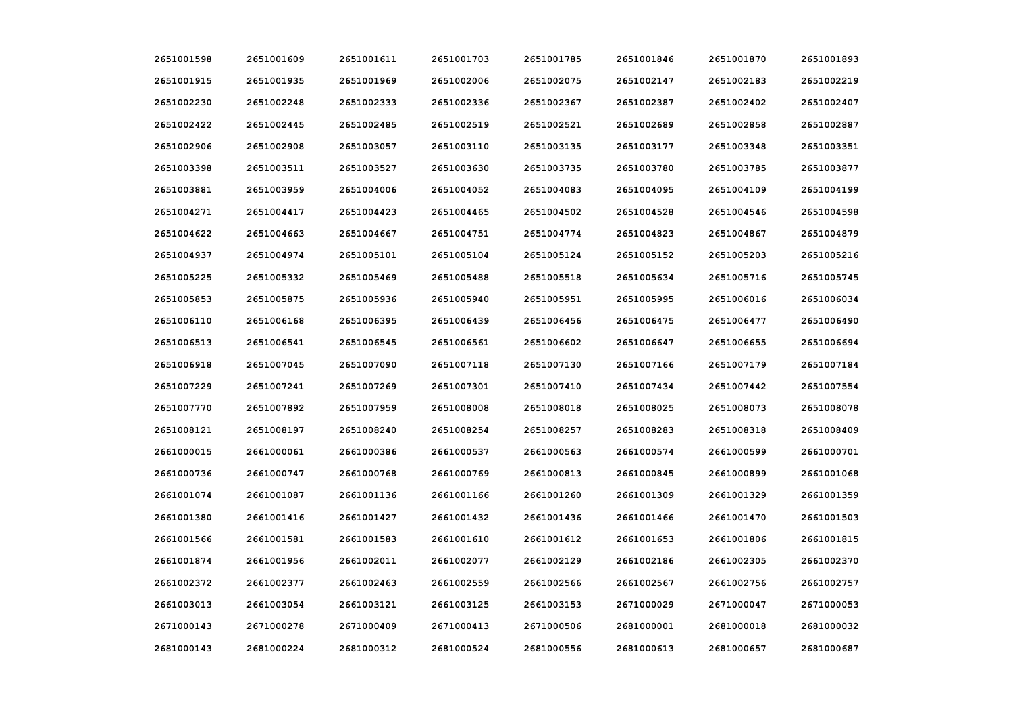| 2651001598 | 2651001609 | 2651001611 | 2651001703 | 2651001785 | 2651001846 | 2651001870 | 2651001893 |
|------------|------------|------------|------------|------------|------------|------------|------------|
| 2651001915 | 2651001935 | 2651001969 | 2651002006 | 2651002075 | 2651002147 | 2651002183 | 2651002219 |
| 2651002230 | 2651002248 | 2651002333 | 2651002336 | 2651002367 | 2651002387 | 2651002402 | 2651002407 |
| 2651002422 | 2651002445 | 2651002485 | 2651002519 | 2651002521 | 2651002689 | 2651002858 | 2651002887 |
| 2651002906 | 2651002908 | 2651003057 | 2651003110 | 2651003135 | 2651003177 | 2651003348 | 2651003351 |
| 2651003398 | 2651003511 | 2651003527 | 2651003630 | 2651003735 | 2651003780 | 2651003785 | 2651003877 |
| 2651003881 | 2651003959 | 2651004006 | 2651004052 | 2651004083 | 2651004095 | 2651004109 | 2651004199 |
| 2651004271 | 2651004417 | 2651004423 | 2651004465 | 2651004502 | 2651004528 | 2651004546 | 2651004598 |
| 2651004622 | 2651004663 | 2651004667 | 2651004751 | 2651004774 | 2651004823 | 2651004867 | 2651004879 |
| 2651004937 | 2651004974 | 2651005101 | 2651005104 | 2651005124 | 2651005152 | 2651005203 | 2651005216 |
| 2651005225 | 2651005332 | 2651005469 | 2651005488 | 2651005518 | 2651005634 | 2651005716 | 2651005745 |
| 2651005853 | 2651005875 | 2651005936 | 2651005940 | 2651005951 | 2651005995 | 2651006016 | 2651006034 |
| 2651006110 | 2651006168 | 2651006395 | 2651006439 | 2651006456 | 2651006475 | 2651006477 | 2651006490 |
| 2651006513 | 2651006541 | 2651006545 | 2651006561 | 2651006602 | 2651006647 | 2651006655 | 2651006694 |
| 2651006918 | 2651007045 | 2651007090 | 2651007118 | 2651007130 | 2651007166 | 2651007179 | 2651007184 |
| 2651007229 | 2651007241 | 2651007269 | 2651007301 | 2651007410 | 2651007434 | 2651007442 | 2651007554 |
| 2651007770 | 2651007892 | 2651007959 | 2651008008 | 2651008018 | 2651008025 | 2651008073 | 2651008078 |
| 2651008121 | 2651008197 | 2651008240 | 2651008254 | 2651008257 | 2651008283 | 2651008318 | 2651008409 |
| 2661000015 | 2661000061 | 2661000386 | 2661000537 | 2661000563 | 2661000574 | 2661000599 | 2661000701 |
| 2661000736 | 2661000747 | 2661000768 | 2661000769 | 2661000813 | 2661000845 | 2661000899 | 2661001068 |
| 2661001074 | 2661001087 | 2661001136 | 2661001166 | 2661001260 | 2661001309 | 2661001329 | 2661001359 |
| 2661001380 | 2661001416 | 2661001427 | 2661001432 | 2661001436 | 2661001466 | 2661001470 | 2661001503 |
| 2661001566 | 2661001581 | 2661001583 | 2661001610 | 2661001612 | 2661001653 | 2661001806 | 2661001815 |
| 2661001874 | 2661001956 | 2661002011 | 2661002077 | 2661002129 | 2661002186 | 2661002305 | 2661002370 |
| 2661002372 | 2661002377 | 2661002463 | 2661002559 | 2661002566 | 2661002567 | 2661002756 | 2661002757 |
| 2661003013 | 2661003054 | 2661003121 | 2661003125 | 2661003153 | 2671000029 | 2671000047 | 2671000053 |
| 2671000143 | 2671000278 | 2671000409 | 2671000413 | 2671000506 | 2681000001 | 2681000018 | 2681000032 |
| 2681000143 | 2681000224 | 2681000312 | 2681000524 | 2681000556 | 2681000613 | 2681000657 | 2681000687 |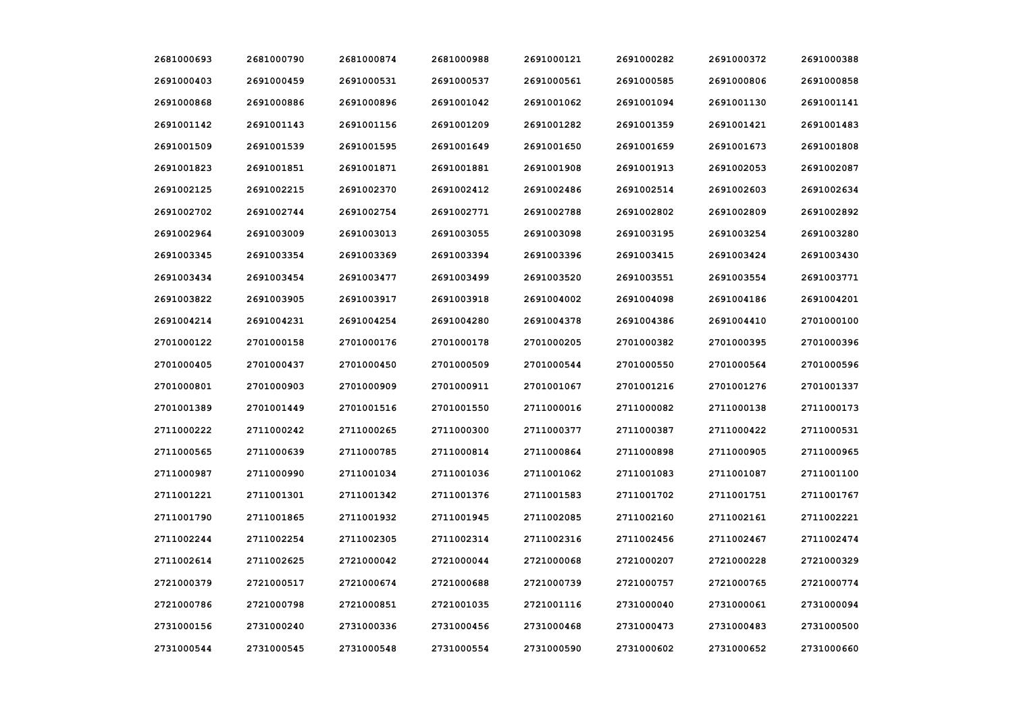| 2681000693 | 2681000790 | 2681000874 | 2681000988 | 2691000121 | 2691000282 | 2691000372 | 2691000388 |
|------------|------------|------------|------------|------------|------------|------------|------------|
| 2691000403 | 2691000459 | 2691000531 | 2691000537 | 2691000561 | 2691000585 | 2691000806 | 2691000858 |
| 2691000868 | 2691000886 | 2691000896 | 2691001042 | 2691001062 | 2691001094 | 2691001130 | 2691001141 |
| 2691001142 | 2691001143 | 2691001156 | 2691001209 | 2691001282 | 2691001359 | 2691001421 | 2691001483 |
| 2691001509 | 2691001539 | 2691001595 | 2691001649 | 2691001650 | 2691001659 | 2691001673 | 2691001808 |
| 2691001823 | 2691001851 | 2691001871 | 2691001881 | 2691001908 | 2691001913 | 2691002053 | 2691002087 |
| 2691002125 | 2691002215 | 2691002370 | 2691002412 | 2691002486 | 2691002514 | 2691002603 | 2691002634 |
| 2691002702 | 2691002744 | 2691002754 | 2691002771 | 2691002788 | 2691002802 | 2691002809 | 2691002892 |
| 2691002964 | 2691003009 | 2691003013 | 2691003055 | 2691003098 | 2691003195 | 2691003254 | 2691003280 |
| 2691003345 | 2691003354 | 2691003369 | 2691003394 | 2691003396 | 2691003415 | 2691003424 | 2691003430 |
| 2691003434 | 2691003454 | 2691003477 | 2691003499 | 2691003520 | 2691003551 | 2691003554 | 2691003771 |
| 2691003822 | 2691003905 | 2691003917 | 2691003918 | 2691004002 | 2691004098 | 2691004186 | 2691004201 |
| 2691004214 | 2691004231 | 2691004254 | 2691004280 | 2691004378 | 2691004386 | 2691004410 | 2701000100 |
| 2701000122 | 2701000158 | 2701000176 | 2701000178 | 2701000205 | 2701000382 | 2701000395 | 2701000396 |
| 2701000405 | 2701000437 | 2701000450 | 2701000509 | 2701000544 | 2701000550 | 2701000564 | 2701000596 |
| 2701000801 | 2701000903 | 2701000909 | 2701000911 | 2701001067 | 2701001216 | 2701001276 | 2701001337 |
| 2701001389 | 2701001449 | 2701001516 | 2701001550 | 2711000016 | 2711000082 | 2711000138 | 2711000173 |
| 2711000222 | 2711000242 | 2711000265 | 2711000300 | 2711000377 | 2711000387 | 2711000422 | 2711000531 |
| 2711000565 | 2711000639 | 2711000785 | 2711000814 | 2711000864 | 2711000898 | 2711000905 | 2711000965 |
| 2711000987 | 2711000990 | 2711001034 | 2711001036 | 2711001062 | 2711001083 | 2711001087 | 2711001100 |
| 2711001221 | 2711001301 | 2711001342 | 2711001376 | 2711001583 | 2711001702 | 2711001751 | 2711001767 |
| 2711001790 | 2711001865 | 2711001932 | 2711001945 | 2711002085 | 2711002160 | 2711002161 | 2711002221 |
| 2711002244 | 2711002254 | 2711002305 | 2711002314 | 2711002316 | 2711002456 | 2711002467 | 2711002474 |
| 2711002614 | 2711002625 | 2721000042 | 2721000044 | 2721000068 | 2721000207 | 2721000228 | 2721000329 |
| 2721000379 | 2721000517 | 2721000674 | 2721000688 | 2721000739 | 2721000757 | 2721000765 | 2721000774 |
| 2721000786 | 2721000798 | 2721000851 | 2721001035 | 2721001116 | 2731000040 | 2731000061 | 2731000094 |
| 2731000156 | 2731000240 | 2731000336 | 2731000456 | 2731000468 | 2731000473 | 2731000483 | 2731000500 |
| 2731000544 | 2731000545 | 2731000548 | 2731000554 | 2731000590 | 2731000602 | 2731000652 | 2731000660 |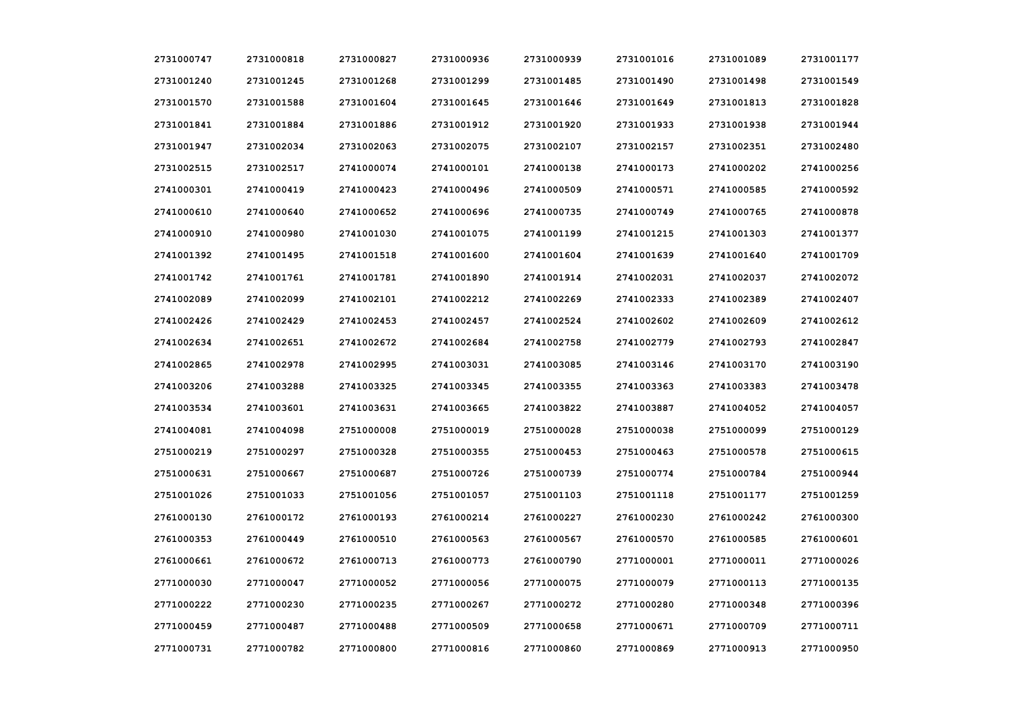| 2731000747 | 2731000818 | 2731000827 | 2731000936 | 2731000939 | 2731001016 | 2731001089 | 2731001177 |
|------------|------------|------------|------------|------------|------------|------------|------------|
| 2731001240 | 2731001245 | 2731001268 | 2731001299 | 2731001485 | 2731001490 | 2731001498 | 2731001549 |
| 2731001570 | 2731001588 | 2731001604 | 2731001645 | 2731001646 | 2731001649 | 2731001813 | 2731001828 |
| 2731001841 | 2731001884 | 2731001886 | 2731001912 | 2731001920 | 2731001933 | 2731001938 | 2731001944 |
| 2731001947 | 2731002034 | 2731002063 | 2731002075 | 2731002107 | 2731002157 | 2731002351 | 2731002480 |
| 2731002515 | 2731002517 | 2741000074 | 2741000101 | 2741000138 | 2741000173 | 2741000202 | 2741000256 |
| 2741000301 | 2741000419 | 2741000423 | 2741000496 | 2741000509 | 2741000571 | 2741000585 | 2741000592 |
| 2741000610 | 2741000640 | 2741000652 | 2741000696 | 2741000735 | 2741000749 | 2741000765 | 2741000878 |
| 2741000910 | 2741000980 | 2741001030 | 2741001075 | 2741001199 | 2741001215 | 2741001303 | 2741001377 |
| 2741001392 | 2741001495 | 2741001518 | 2741001600 | 2741001604 | 2741001639 | 2741001640 | 2741001709 |
| 2741001742 | 2741001761 | 2741001781 | 2741001890 | 2741001914 | 2741002031 | 2741002037 | 2741002072 |
| 2741002089 | 2741002099 | 2741002101 | 2741002212 | 2741002269 | 2741002333 | 2741002389 | 2741002407 |
| 2741002426 | 2741002429 | 2741002453 | 2741002457 | 2741002524 | 2741002602 | 2741002609 | 2741002612 |
| 2741002634 | 2741002651 | 2741002672 | 2741002684 | 2741002758 | 2741002779 | 2741002793 | 2741002847 |
| 2741002865 | 2741002978 | 2741002995 | 2741003031 | 2741003085 | 2741003146 | 2741003170 | 2741003190 |
| 2741003206 | 2741003288 | 2741003325 | 2741003345 | 2741003355 | 2741003363 | 2741003383 | 2741003478 |
| 2741003534 | 2741003601 | 2741003631 | 2741003665 | 2741003822 | 2741003887 | 2741004052 | 2741004057 |
| 2741004081 | 2741004098 | 2751000008 | 2751000019 | 2751000028 | 2751000038 | 2751000099 | 2751000129 |
| 2751000219 | 2751000297 | 2751000328 | 2751000355 | 2751000453 | 2751000463 | 2751000578 | 2751000615 |
| 2751000631 | 2751000667 | 2751000687 | 2751000726 | 2751000739 | 2751000774 | 2751000784 | 2751000944 |
| 2751001026 | 2751001033 | 2751001056 | 2751001057 | 2751001103 | 2751001118 | 2751001177 | 2751001259 |
| 2761000130 | 2761000172 | 2761000193 | 2761000214 | 2761000227 | 2761000230 | 2761000242 | 2761000300 |
| 2761000353 | 2761000449 | 2761000510 | 2761000563 | 2761000567 | 2761000570 | 2761000585 | 2761000601 |
| 2761000661 | 2761000672 | 2761000713 | 2761000773 | 2761000790 | 2771000001 | 2771000011 | 2771000026 |
| 2771000030 | 2771000047 | 2771000052 | 2771000056 | 2771000075 | 2771000079 | 2771000113 | 2771000135 |
| 2771000222 | 2771000230 | 2771000235 | 2771000267 | 2771000272 | 2771000280 | 2771000348 | 2771000396 |
| 2771000459 | 2771000487 | 2771000488 | 2771000509 | 2771000658 | 2771000671 | 2771000709 | 2771000711 |
| 2771000731 | 2771000782 | 2771000800 | 2771000816 | 2771000860 | 2771000869 | 2771000913 | 2771000950 |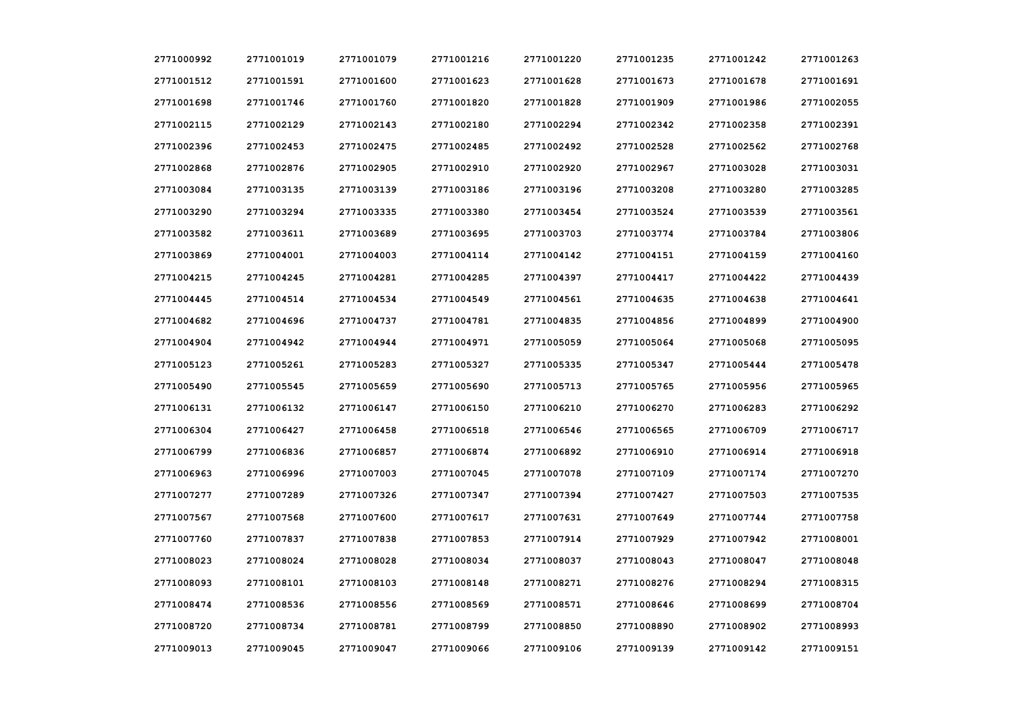| 2771000992 | 2771001019 | 2771001079 | 2771001216 | 2771001220 | 2771001235 | 2771001242 | 2771001263 |
|------------|------------|------------|------------|------------|------------|------------|------------|
| 2771001512 | 2771001591 | 2771001600 | 2771001623 | 2771001628 | 2771001673 | 2771001678 | 2771001691 |
| 2771001698 | 2771001746 | 2771001760 | 2771001820 | 2771001828 | 2771001909 | 2771001986 | 2771002055 |
| 2771002115 | 2771002129 | 2771002143 | 2771002180 | 2771002294 | 2771002342 | 2771002358 | 2771002391 |
| 2771002396 | 2771002453 | 2771002475 | 2771002485 | 2771002492 | 2771002528 | 2771002562 | 2771002768 |
| 2771002868 | 2771002876 | 2771002905 | 2771002910 | 2771002920 | 2771002967 | 2771003028 | 2771003031 |
| 2771003084 | 2771003135 | 2771003139 | 2771003186 | 2771003196 | 2771003208 | 2771003280 | 2771003285 |
| 2771003290 | 2771003294 | 2771003335 | 2771003380 | 2771003454 | 2771003524 | 2771003539 | 2771003561 |
| 2771003582 | 2771003611 | 2771003689 | 2771003695 | 2771003703 | 2771003774 | 2771003784 | 2771003806 |
| 2771003869 | 2771004001 | 2771004003 | 2771004114 | 2771004142 | 2771004151 | 2771004159 | 2771004160 |
| 2771004215 | 2771004245 | 2771004281 | 2771004285 | 2771004397 | 2771004417 | 2771004422 | 2771004439 |
| 2771004445 | 2771004514 | 2771004534 | 2771004549 | 2771004561 | 2771004635 | 2771004638 | 2771004641 |
| 2771004682 | 2771004696 | 2771004737 | 2771004781 | 2771004835 | 2771004856 | 2771004899 | 2771004900 |
| 2771004904 | 2771004942 | 2771004944 | 2771004971 | 2771005059 | 2771005064 | 2771005068 | 2771005095 |
| 2771005123 | 2771005261 | 2771005283 | 2771005327 | 2771005335 | 2771005347 | 2771005444 | 2771005478 |
| 2771005490 | 2771005545 | 2771005659 | 2771005690 | 2771005713 | 2771005765 | 2771005956 | 2771005965 |
| 2771006131 | 2771006132 | 2771006147 | 2771006150 | 2771006210 | 2771006270 | 2771006283 | 2771006292 |
| 2771006304 | 2771006427 | 2771006458 | 2771006518 | 2771006546 | 2771006565 | 2771006709 | 2771006717 |
| 2771006799 | 2771006836 | 2771006857 | 2771006874 | 2771006892 | 2771006910 | 2771006914 | 2771006918 |
| 2771006963 | 2771006996 | 2771007003 | 2771007045 | 2771007078 | 2771007109 | 2771007174 | 2771007270 |
| 2771007277 | 2771007289 | 2771007326 | 2771007347 | 2771007394 | 2771007427 | 2771007503 | 2771007535 |
| 2771007567 | 2771007568 | 2771007600 | 2771007617 | 2771007631 | 2771007649 | 2771007744 | 2771007758 |
| 2771007760 | 2771007837 | 2771007838 | 2771007853 | 2771007914 | 2771007929 | 2771007942 | 2771008001 |
| 2771008023 | 2771008024 | 2771008028 | 2771008034 | 2771008037 | 2771008043 | 2771008047 | 2771008048 |
| 2771008093 | 2771008101 | 2771008103 | 2771008148 | 2771008271 | 2771008276 | 2771008294 | 2771008315 |
| 2771008474 | 2771008536 | 2771008556 | 2771008569 | 2771008571 | 2771008646 | 2771008699 | 2771008704 |
| 2771008720 | 2771008734 | 2771008781 | 2771008799 | 2771008850 | 2771008890 | 2771008902 | 2771008993 |
| 2771009013 | 2771009045 | 2771009047 | 2771009066 | 2771009106 | 2771009139 | 2771009142 | 2771009151 |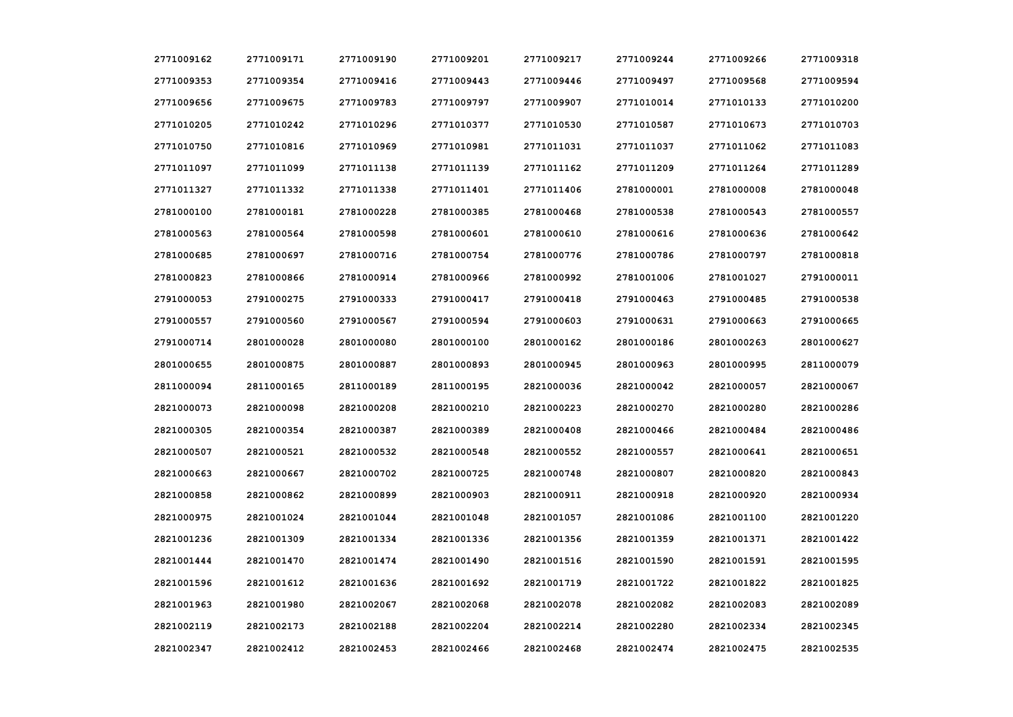| 2771009162 | 2771009171 | 2771009190 | 2771009201 | 2771009217 | 2771009244 | 2771009266 | 2771009318 |
|------------|------------|------------|------------|------------|------------|------------|------------|
| 2771009353 | 2771009354 | 2771009416 | 2771009443 | 2771009446 | 2771009497 | 2771009568 | 2771009594 |
| 2771009656 | 2771009675 | 2771009783 | 2771009797 | 2771009907 | 2771010014 | 2771010133 | 2771010200 |
| 2771010205 | 2771010242 | 2771010296 | 2771010377 | 2771010530 | 2771010587 | 2771010673 | 2771010703 |
| 2771010750 | 2771010816 | 2771010969 | 2771010981 | 2771011031 | 2771011037 | 2771011062 | 2771011083 |
| 2771011097 | 2771011099 | 2771011138 | 2771011139 | 2771011162 | 2771011209 | 2771011264 | 2771011289 |
| 2771011327 | 2771011332 | 2771011338 | 2771011401 | 2771011406 | 2781000001 | 2781000008 | 2781000048 |
| 2781000100 | 2781000181 | 2781000228 | 2781000385 | 2781000468 | 2781000538 | 2781000543 | 2781000557 |
| 2781000563 | 2781000564 | 2781000598 | 2781000601 | 2781000610 | 2781000616 | 2781000636 | 2781000642 |
| 2781000685 | 2781000697 | 2781000716 | 2781000754 | 2781000776 | 2781000786 | 2781000797 | 2781000818 |
| 2781000823 | 2781000866 | 2781000914 | 2781000966 | 2781000992 | 2781001006 | 2781001027 | 2791000011 |
| 2791000053 | 2791000275 | 2791000333 | 2791000417 | 2791000418 | 2791000463 | 2791000485 | 2791000538 |
| 2791000557 | 2791000560 | 2791000567 | 2791000594 | 2791000603 | 2791000631 | 2791000663 | 2791000665 |
| 2791000714 | 2801000028 | 2801000080 | 2801000100 | 2801000162 | 2801000186 | 2801000263 | 2801000627 |
| 2801000655 | 2801000875 | 2801000887 | 2801000893 | 2801000945 | 2801000963 | 2801000995 | 2811000079 |
| 2811000094 | 2811000165 | 2811000189 | 2811000195 | 2821000036 | 2821000042 | 2821000057 | 2821000067 |
| 2821000073 | 2821000098 | 2821000208 | 2821000210 | 2821000223 | 2821000270 | 2821000280 | 2821000286 |
| 2821000305 | 2821000354 | 2821000387 | 2821000389 | 2821000408 | 2821000466 | 2821000484 | 2821000486 |
| 2821000507 | 2821000521 | 2821000532 | 2821000548 | 2821000552 | 2821000557 | 2821000641 | 2821000651 |
| 2821000663 | 2821000667 | 2821000702 | 2821000725 | 2821000748 | 2821000807 | 2821000820 | 2821000843 |
| 2821000858 | 2821000862 | 2821000899 | 2821000903 | 2821000911 | 2821000918 | 2821000920 | 2821000934 |
| 2821000975 | 2821001024 | 2821001044 | 2821001048 | 2821001057 | 2821001086 | 2821001100 | 2821001220 |
| 2821001236 | 2821001309 | 2821001334 | 2821001336 | 2821001356 | 2821001359 | 2821001371 | 2821001422 |
| 2821001444 | 2821001470 | 2821001474 | 2821001490 | 2821001516 | 2821001590 | 2821001591 | 2821001595 |
| 2821001596 | 2821001612 | 2821001636 | 2821001692 | 2821001719 | 2821001722 | 2821001822 | 2821001825 |
| 2821001963 | 2821001980 | 2821002067 | 2821002068 | 2821002078 | 2821002082 | 2821002083 | 2821002089 |
| 2821002119 | 2821002173 | 2821002188 | 2821002204 | 2821002214 | 2821002280 | 2821002334 | 2821002345 |
| 2821002347 | 2821002412 | 2821002453 | 2821002466 | 2821002468 | 2821002474 | 2821002475 | 2821002535 |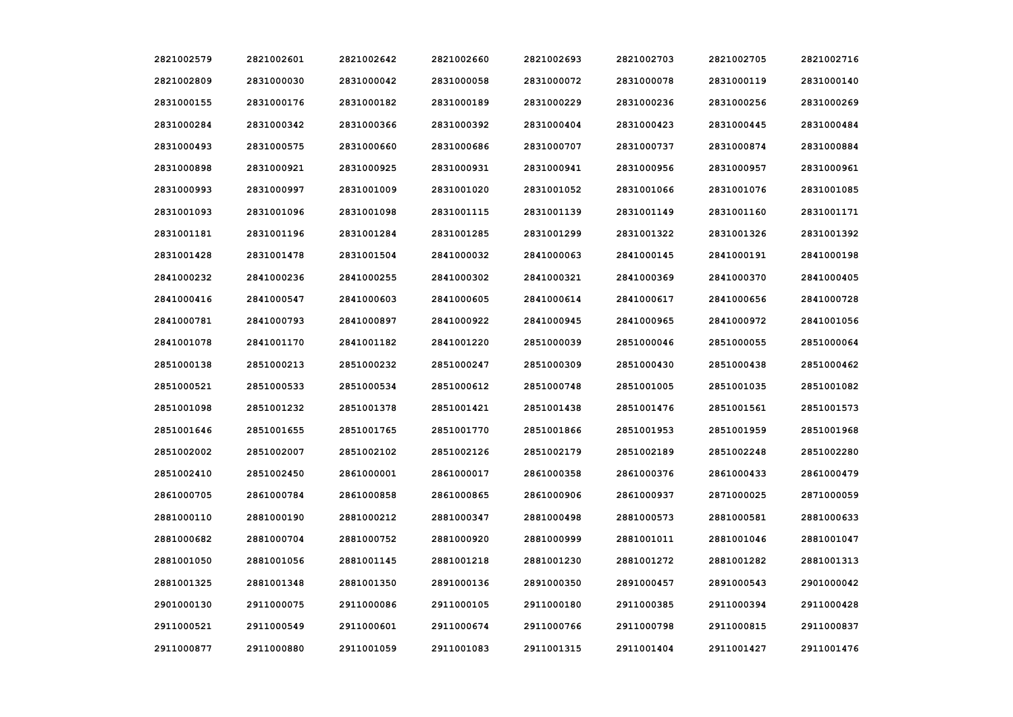| 2821002579 | 2821002601 | 2821002642 | 2821002660 | 2821002693 | 2821002703 | 2821002705 | 2821002716 |
|------------|------------|------------|------------|------------|------------|------------|------------|
| 2821002809 | 2831000030 | 2831000042 | 2831000058 | 2831000072 | 2831000078 | 2831000119 | 2831000140 |
| 2831000155 | 2831000176 | 2831000182 | 2831000189 | 2831000229 | 2831000236 | 2831000256 | 2831000269 |
| 2831000284 | 2831000342 | 2831000366 | 2831000392 | 2831000404 | 2831000423 | 2831000445 | 2831000484 |
| 2831000493 | 2831000575 | 2831000660 | 2831000686 | 2831000707 | 2831000737 | 2831000874 | 2831000884 |
| 2831000898 | 2831000921 | 2831000925 | 2831000931 | 2831000941 | 2831000956 | 2831000957 | 2831000961 |
| 2831000993 | 2831000997 | 2831001009 | 2831001020 | 2831001052 | 2831001066 | 2831001076 | 2831001085 |
| 2831001093 | 2831001096 | 2831001098 | 2831001115 | 2831001139 | 2831001149 | 2831001160 | 2831001171 |
| 2831001181 | 2831001196 | 2831001284 | 2831001285 | 2831001299 | 2831001322 | 2831001326 | 2831001392 |
| 2831001428 | 2831001478 | 2831001504 | 2841000032 | 2841000063 | 2841000145 | 2841000191 | 2841000198 |
| 2841000232 | 2841000236 | 2841000255 | 2841000302 | 2841000321 | 2841000369 | 2841000370 | 2841000405 |
| 2841000416 | 2841000547 | 2841000603 | 2841000605 | 2841000614 | 2841000617 | 2841000656 | 2841000728 |
| 2841000781 | 2841000793 | 2841000897 | 2841000922 | 2841000945 | 2841000965 | 2841000972 | 2841001056 |
| 2841001078 | 2841001170 | 2841001182 | 2841001220 | 2851000039 | 2851000046 | 2851000055 | 2851000064 |
| 2851000138 | 2851000213 | 2851000232 | 2851000247 | 2851000309 | 2851000430 | 2851000438 | 2851000462 |
| 2851000521 | 2851000533 | 2851000534 | 2851000612 | 2851000748 | 2851001005 | 2851001035 | 2851001082 |
| 2851001098 | 2851001232 | 2851001378 | 2851001421 | 2851001438 | 2851001476 | 2851001561 | 2851001573 |
| 2851001646 | 2851001655 | 2851001765 | 2851001770 | 2851001866 | 2851001953 | 2851001959 | 2851001968 |
| 2851002002 | 2851002007 | 2851002102 | 2851002126 | 2851002179 | 2851002189 | 2851002248 | 2851002280 |
| 2851002410 | 2851002450 | 2861000001 | 2861000017 | 2861000358 | 2861000376 | 2861000433 | 2861000479 |
| 2861000705 | 2861000784 | 2861000858 | 2861000865 | 2861000906 | 2861000937 | 2871000025 | 2871000059 |
| 2881000110 | 2881000190 | 2881000212 | 2881000347 | 2881000498 | 2881000573 | 2881000581 | 2881000633 |
| 2881000682 | 2881000704 | 2881000752 | 2881000920 | 2881000999 | 2881001011 | 2881001046 | 2881001047 |
| 2881001050 | 2881001056 | 2881001145 | 2881001218 | 2881001230 | 2881001272 | 2881001282 | 2881001313 |
| 2881001325 | 2881001348 | 2881001350 | 2891000136 | 2891000350 | 2891000457 | 2891000543 | 2901000042 |
| 2901000130 | 2911000075 | 2911000086 | 2911000105 | 2911000180 | 2911000385 | 2911000394 | 2911000428 |
| 2911000521 | 2911000549 | 2911000601 | 2911000674 | 2911000766 | 2911000798 | 2911000815 | 2911000837 |
| 2911000877 | 2911000880 | 2911001059 | 2911001083 | 2911001315 | 2911001404 | 2911001427 | 2911001476 |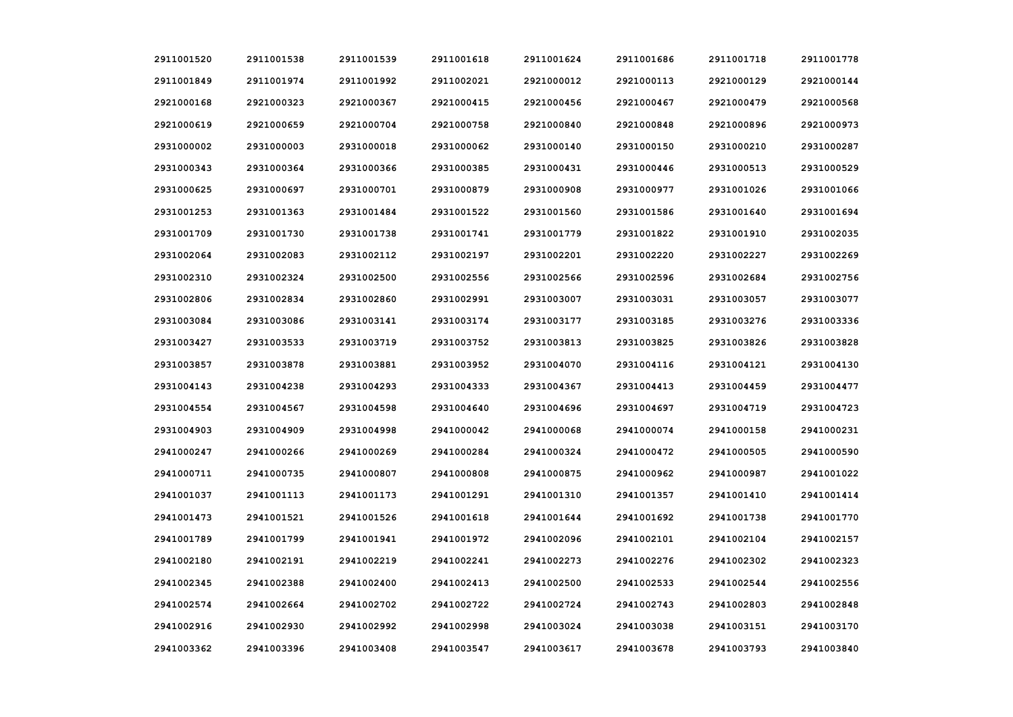| 2911001520 | 2911001538 | 2911001539 | 2911001618 | 2911001624 | 2911001686 | 2911001718 | 2911001778 |
|------------|------------|------------|------------|------------|------------|------------|------------|
| 2911001849 | 2911001974 | 2911001992 | 2911002021 | 2921000012 | 2921000113 | 2921000129 | 2921000144 |
| 2921000168 | 2921000323 | 2921000367 | 2921000415 | 2921000456 | 2921000467 | 2921000479 | 2921000568 |
| 2921000619 | 2921000659 | 2921000704 | 2921000758 | 2921000840 | 2921000848 | 2921000896 | 2921000973 |
| 2931000002 | 2931000003 | 2931000018 | 2931000062 | 2931000140 | 2931000150 | 2931000210 | 2931000287 |
| 2931000343 | 2931000364 | 2931000366 | 2931000385 | 2931000431 | 2931000446 | 2931000513 | 2931000529 |
| 2931000625 | 2931000697 | 2931000701 | 2931000879 | 2931000908 | 2931000977 | 2931001026 | 2931001066 |
| 2931001253 | 2931001363 | 2931001484 | 2931001522 | 2931001560 | 2931001586 | 2931001640 | 2931001694 |
| 2931001709 | 2931001730 | 2931001738 | 2931001741 | 2931001779 | 2931001822 | 2931001910 | 2931002035 |
| 2931002064 | 2931002083 | 2931002112 | 2931002197 | 2931002201 | 2931002220 | 2931002227 | 2931002269 |
| 2931002310 | 2931002324 | 2931002500 | 2931002556 | 2931002566 | 2931002596 | 2931002684 | 2931002756 |
| 2931002806 | 2931002834 | 2931002860 | 2931002991 | 2931003007 | 2931003031 | 2931003057 | 2931003077 |
| 2931003084 | 2931003086 | 2931003141 | 2931003174 | 2931003177 | 2931003185 | 2931003276 | 2931003336 |
| 2931003427 | 2931003533 | 2931003719 | 2931003752 | 2931003813 | 2931003825 | 2931003826 | 2931003828 |
| 2931003857 | 2931003878 | 2931003881 | 2931003952 | 2931004070 | 2931004116 | 2931004121 | 2931004130 |
| 2931004143 | 2931004238 | 2931004293 | 2931004333 | 2931004367 | 2931004413 | 2931004459 | 2931004477 |
| 2931004554 | 2931004567 | 2931004598 | 2931004640 | 2931004696 | 2931004697 | 2931004719 | 2931004723 |
| 2931004903 | 2931004909 | 2931004998 | 2941000042 | 2941000068 | 2941000074 | 2941000158 | 2941000231 |
| 2941000247 | 2941000266 | 2941000269 | 2941000284 | 2941000324 | 2941000472 | 2941000505 | 2941000590 |
| 2941000711 | 2941000735 | 2941000807 | 2941000808 | 2941000875 | 2941000962 | 2941000987 | 2941001022 |
| 2941001037 | 2941001113 | 2941001173 | 2941001291 | 2941001310 | 2941001357 | 2941001410 | 2941001414 |
| 2941001473 | 2941001521 | 2941001526 | 2941001618 | 2941001644 | 2941001692 | 2941001738 | 2941001770 |
| 2941001789 | 2941001799 | 2941001941 | 2941001972 | 2941002096 | 2941002101 | 2941002104 | 2941002157 |
| 2941002180 | 2941002191 | 2941002219 | 2941002241 | 2941002273 | 2941002276 | 2941002302 | 2941002323 |
| 2941002345 | 2941002388 | 2941002400 | 2941002413 | 2941002500 | 2941002533 | 2941002544 | 2941002556 |
| 2941002574 | 2941002664 | 2941002702 | 2941002722 | 2941002724 | 2941002743 | 2941002803 | 2941002848 |
| 2941002916 | 2941002930 | 2941002992 | 2941002998 | 2941003024 | 2941003038 | 2941003151 | 2941003170 |
| 2941003362 | 2941003396 | 2941003408 | 2941003547 | 2941003617 | 2941003678 | 2941003793 | 2941003840 |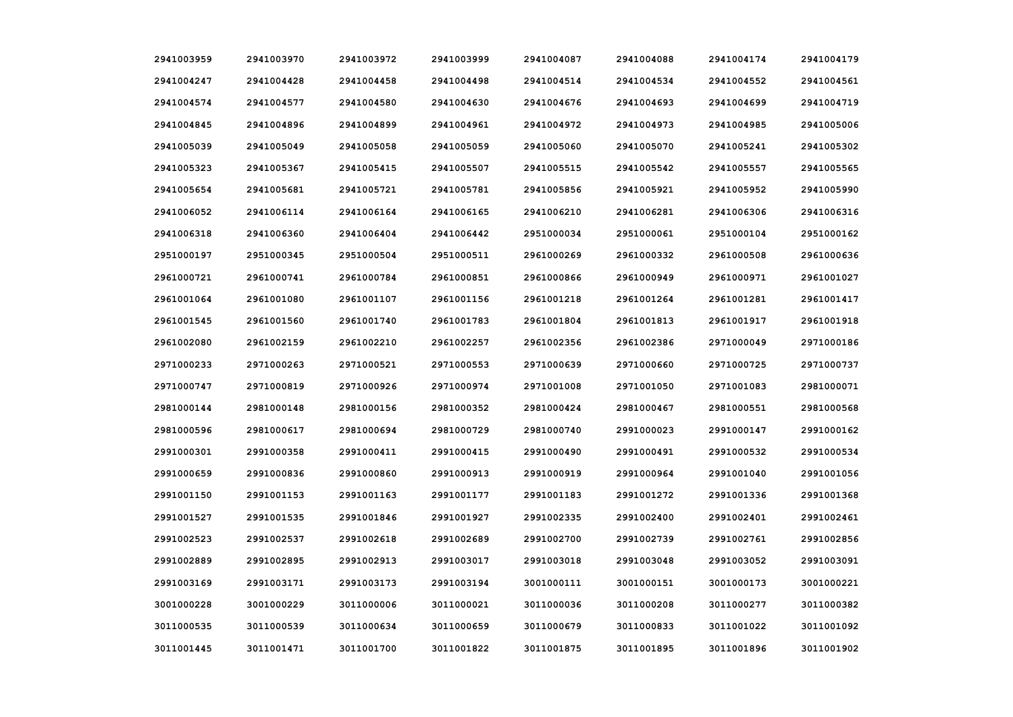| 2941003959 | 2941003970 | 2941003972 | 2941003999 | 2941004087 | 2941004088 | 2941004174 | 2941004179 |
|------------|------------|------------|------------|------------|------------|------------|------------|
| 2941004247 | 2941004428 | 2941004458 | 2941004498 | 2941004514 | 2941004534 | 2941004552 | 2941004561 |
| 2941004574 | 2941004577 | 2941004580 | 2941004630 | 2941004676 | 2941004693 | 2941004699 | 2941004719 |
| 2941004845 | 2941004896 | 2941004899 | 2941004961 | 2941004972 | 2941004973 | 2941004985 | 2941005006 |
| 2941005039 | 2941005049 | 2941005058 | 2941005059 | 2941005060 | 2941005070 | 2941005241 | 2941005302 |
| 2941005323 | 2941005367 | 2941005415 | 2941005507 | 2941005515 | 2941005542 | 2941005557 | 2941005565 |
| 2941005654 | 2941005681 | 2941005721 | 2941005781 | 2941005856 | 2941005921 | 2941005952 | 2941005990 |
| 2941006052 | 2941006114 | 2941006164 | 2941006165 | 2941006210 | 2941006281 | 2941006306 | 2941006316 |
| 2941006318 | 2941006360 | 2941006404 | 2941006442 | 2951000034 | 2951000061 | 2951000104 | 2951000162 |
| 2951000197 | 2951000345 | 2951000504 | 2951000511 | 2961000269 | 2961000332 | 2961000508 | 2961000636 |
| 2961000721 | 2961000741 | 2961000784 | 2961000851 | 2961000866 | 2961000949 | 2961000971 | 2961001027 |
| 2961001064 | 2961001080 | 2961001107 | 2961001156 | 2961001218 | 2961001264 | 2961001281 | 2961001417 |
| 2961001545 | 2961001560 | 2961001740 | 2961001783 | 2961001804 | 2961001813 | 2961001917 | 2961001918 |
| 2961002080 | 2961002159 | 2961002210 | 2961002257 | 2961002356 | 2961002386 | 2971000049 | 2971000186 |
| 2971000233 | 2971000263 | 2971000521 | 2971000553 | 2971000639 | 2971000660 | 2971000725 | 2971000737 |
| 2971000747 | 2971000819 | 2971000926 | 2971000974 | 2971001008 | 2971001050 | 2971001083 | 2981000071 |
| 2981000144 | 2981000148 | 2981000156 | 2981000352 | 2981000424 | 2981000467 | 2981000551 | 2981000568 |
| 2981000596 | 2981000617 | 2981000694 | 2981000729 | 2981000740 | 2991000023 | 2991000147 | 2991000162 |
| 2991000301 | 2991000358 | 2991000411 | 2991000415 | 2991000490 | 2991000491 | 2991000532 | 2991000534 |
| 2991000659 | 2991000836 | 2991000860 | 2991000913 | 2991000919 | 2991000964 | 2991001040 | 2991001056 |
| 2991001150 | 2991001153 | 2991001163 | 2991001177 | 2991001183 | 2991001272 | 2991001336 | 2991001368 |
| 2991001527 | 2991001535 | 2991001846 | 2991001927 | 2991002335 | 2991002400 | 2991002401 | 2991002461 |
| 2991002523 | 2991002537 | 2991002618 | 2991002689 | 2991002700 | 2991002739 | 2991002761 | 2991002856 |
| 2991002889 | 2991002895 | 2991002913 | 2991003017 | 2991003018 | 2991003048 | 2991003052 | 2991003091 |
| 2991003169 | 2991003171 | 2991003173 | 2991003194 | 3001000111 | 3001000151 | 3001000173 | 3001000221 |
| 3001000228 | 3001000229 | 3011000006 | 3011000021 | 3011000036 | 3011000208 | 3011000277 | 3011000382 |
| 3011000535 | 3011000539 | 3011000634 | 3011000659 | 3011000679 | 3011000833 | 3011001022 | 3011001092 |
| 3011001445 | 3011001471 | 3011001700 | 3011001822 | 3011001875 | 3011001895 | 3011001896 | 3011001902 |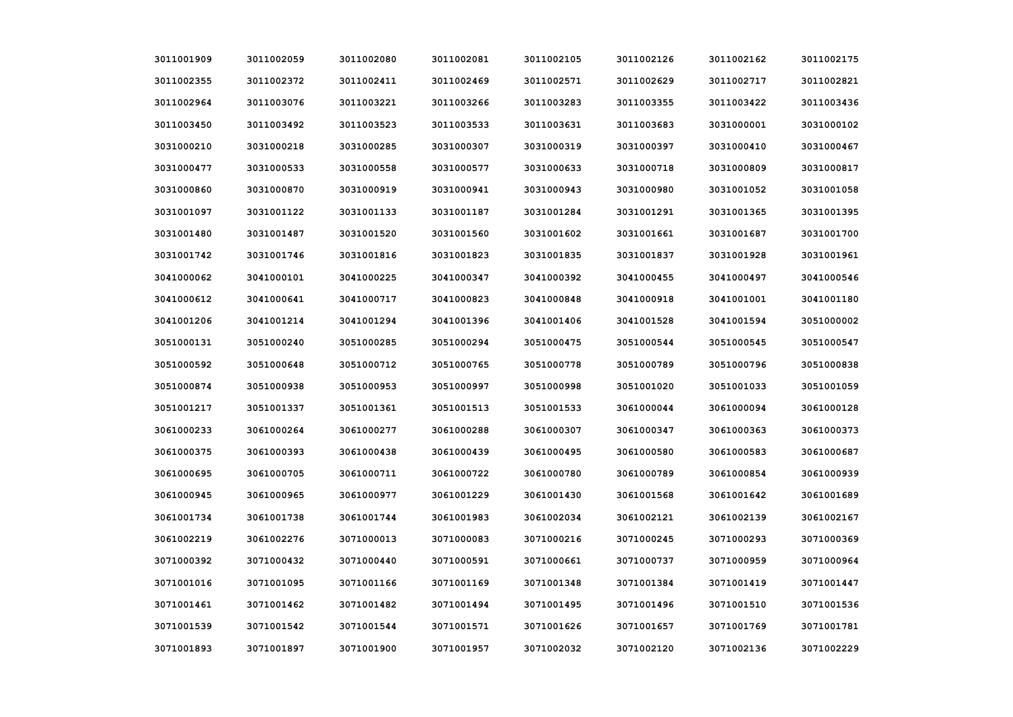| 3011001909 | 3011002059 | 3011002080 | 3011002081 | 3011002105 | 3011002126 | 3011002162 | 3011002175 |
|------------|------------|------------|------------|------------|------------|------------|------------|
| 3011002355 | 3011002372 | 3011002411 | 3011002469 | 3011002571 | 3011002629 | 3011002717 | 3011002821 |
| 3011002964 | 3011003076 | 3011003221 | 3011003266 | 3011003283 | 3011003355 | 3011003422 | 3011003436 |
| 3011003450 | 3011003492 | 3011003523 | 3011003533 | 3011003631 | 3011003683 | 3031000001 | 3031000102 |
| 3031000210 | 3031000218 | 3031000285 | 3031000307 | 3031000319 | 3031000397 | 3031000410 | 3031000467 |
| 3031000477 | 3031000533 | 3031000558 | 3031000577 | 3031000633 | 3031000718 | 3031000809 | 3031000817 |
| 3031000860 | 3031000870 | 3031000919 | 3031000941 | 3031000943 | 3031000980 | 3031001052 | 3031001058 |
| 3031001097 | 3031001122 | 3031001133 | 3031001187 | 3031001284 | 3031001291 | 3031001365 | 3031001395 |
| 3031001480 | 3031001487 | 3031001520 | 3031001560 | 3031001602 | 3031001661 | 3031001687 | 3031001700 |
| 3031001742 | 3031001746 | 3031001816 | 3031001823 | 3031001835 | 3031001837 | 3031001928 | 3031001961 |
| 3041000062 | 3041000101 | 3041000225 | 3041000347 | 3041000392 | 3041000455 | 3041000497 | 3041000546 |
| 3041000612 | 3041000641 | 3041000717 | 3041000823 | 3041000848 | 3041000918 | 3041001001 | 3041001180 |
| 3041001206 | 3041001214 | 3041001294 | 3041001396 | 3041001406 | 3041001528 | 3041001594 | 3051000002 |
| 3051000131 | 3051000240 | 3051000285 | 3051000294 | 3051000475 | 3051000544 | 3051000545 | 3051000547 |
| 3051000592 | 3051000648 | 3051000712 | 3051000765 | 3051000778 | 3051000789 | 3051000796 | 3051000838 |
| 3051000874 | 3051000938 | 3051000953 | 3051000997 | 3051000998 | 3051001020 | 3051001033 | 3051001059 |
| 3051001217 | 3051001337 | 3051001361 | 3051001513 | 3051001533 | 3061000044 | 3061000094 | 3061000128 |
| 3061000233 | 3061000264 | 3061000277 | 3061000288 | 3061000307 | 3061000347 | 3061000363 | 3061000373 |
| 3061000375 | 3061000393 | 3061000438 | 3061000439 | 3061000495 | 3061000580 | 3061000583 | 3061000687 |
| 3061000695 | 3061000705 | 3061000711 | 3061000722 | 3061000780 | 3061000789 | 3061000854 | 3061000939 |
| 3061000945 | 3061000965 | 3061000977 | 3061001229 | 3061001430 | 3061001568 | 3061001642 | 3061001689 |
| 3061001734 | 3061001738 | 3061001744 | 3061001983 | 3061002034 | 3061002121 | 3061002139 | 3061002167 |
| 3061002219 | 3061002276 | 3071000013 | 3071000083 | 3071000216 | 3071000245 | 3071000293 | 3071000369 |
| 3071000392 | 3071000432 | 3071000440 | 3071000591 | 3071000661 | 3071000737 | 3071000959 | 3071000964 |
| 3071001016 | 3071001095 | 3071001166 | 3071001169 | 3071001348 | 3071001384 | 3071001419 | 3071001447 |
| 3071001461 | 3071001462 | 3071001482 | 3071001494 | 3071001495 | 3071001496 | 3071001510 | 3071001536 |
| 3071001539 | 3071001542 | 3071001544 | 3071001571 | 3071001626 | 3071001657 | 3071001769 | 3071001781 |
| 3071001893 | 3071001897 | 3071001900 | 3071001957 | 3071002032 | 3071002120 | 3071002136 | 3071002229 |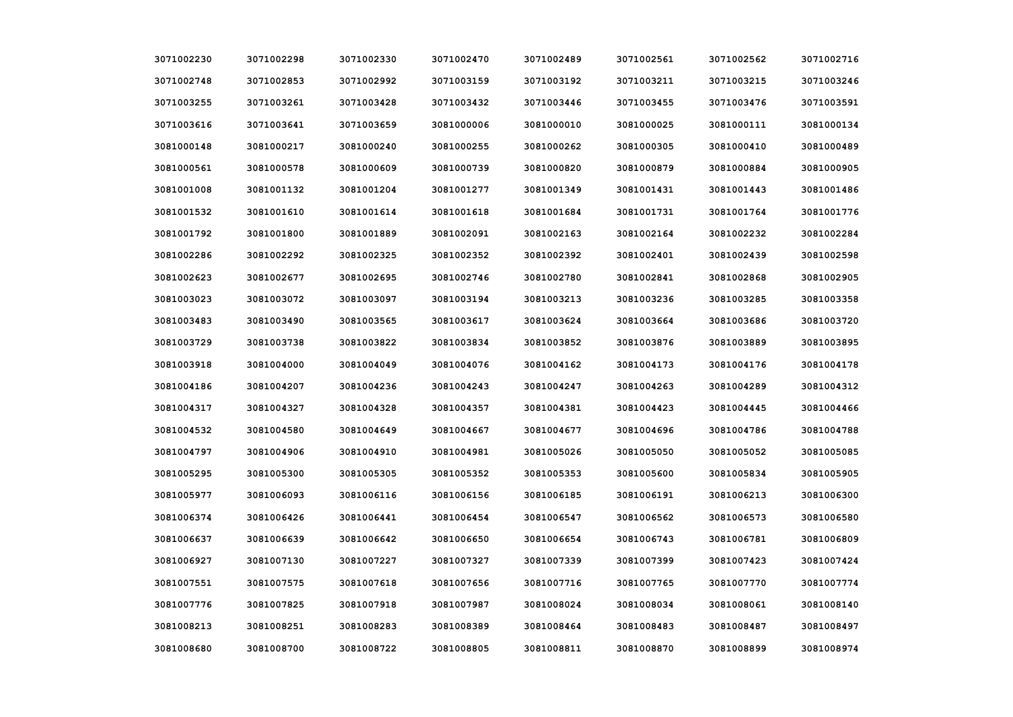| 3071002230 | 3071002298 | 3071002330 | 3071002470 | 3071002489 | 3071002561 | 3071002562 | 3071002716 |
|------------|------------|------------|------------|------------|------------|------------|------------|
| 3071002748 | 3071002853 | 3071002992 | 3071003159 | 3071003192 | 3071003211 | 3071003215 | 3071003246 |
| 3071003255 | 3071003261 | 3071003428 | 3071003432 | 3071003446 | 3071003455 | 3071003476 | 3071003591 |
| 3071003616 | 3071003641 | 3071003659 | 3081000006 | 3081000010 | 3081000025 | 3081000111 | 3081000134 |
| 3081000148 | 3081000217 | 3081000240 | 3081000255 | 3081000262 | 3081000305 | 3081000410 | 3081000489 |
| 3081000561 | 3081000578 | 3081000609 | 3081000739 | 3081000820 | 3081000879 | 3081000884 | 3081000905 |
| 3081001008 | 3081001132 | 3081001204 | 3081001277 | 3081001349 | 3081001431 | 3081001443 | 3081001486 |
| 3081001532 | 3081001610 | 3081001614 | 3081001618 | 3081001684 | 3081001731 | 3081001764 | 3081001776 |
| 3081001792 | 3081001800 | 3081001889 | 3081002091 | 3081002163 | 3081002164 | 3081002232 | 3081002284 |
| 3081002286 | 3081002292 | 3081002325 | 3081002352 | 3081002392 | 3081002401 | 3081002439 | 3081002598 |
| 3081002623 | 3081002677 | 3081002695 | 3081002746 | 3081002780 | 3081002841 | 3081002868 | 3081002905 |
| 3081003023 | 3081003072 | 3081003097 | 3081003194 | 3081003213 | 3081003236 | 3081003285 | 3081003358 |
| 3081003483 | 3081003490 | 3081003565 | 3081003617 | 3081003624 | 3081003664 | 3081003686 | 3081003720 |
| 3081003729 | 3081003738 | 3081003822 | 3081003834 | 3081003852 | 3081003876 | 3081003889 | 3081003895 |
| 3081003918 | 3081004000 | 3081004049 | 3081004076 | 3081004162 | 3081004173 | 3081004176 | 3081004178 |
| 3081004186 | 3081004207 | 3081004236 | 3081004243 | 3081004247 | 3081004263 | 3081004289 | 3081004312 |
| 3081004317 | 3081004327 | 3081004328 | 3081004357 | 3081004381 | 3081004423 | 3081004445 | 3081004466 |
| 3081004532 | 3081004580 | 3081004649 | 3081004667 | 3081004677 | 3081004696 | 3081004786 | 3081004788 |
| 3081004797 | 3081004906 | 3081004910 | 3081004981 | 3081005026 | 3081005050 | 3081005052 | 3081005085 |
| 3081005295 | 3081005300 | 3081005305 | 3081005352 | 3081005353 | 3081005600 | 3081005834 | 3081005905 |
| 3081005977 | 3081006093 | 3081006116 | 3081006156 | 3081006185 | 3081006191 | 3081006213 | 3081006300 |
| 3081006374 | 3081006426 | 3081006441 | 3081006454 | 3081006547 | 3081006562 | 3081006573 | 3081006580 |
| 3081006637 | 3081006639 | 3081006642 | 3081006650 | 3081006654 | 3081006743 | 3081006781 | 3081006809 |
| 3081006927 | 3081007130 | 3081007227 | 3081007327 | 3081007339 | 3081007399 | 3081007423 | 3081007424 |
| 3081007551 | 3081007575 | 3081007618 | 3081007656 | 3081007716 | 3081007765 | 3081007770 | 3081007774 |
| 3081007776 | 3081007825 | 3081007918 | 3081007987 | 3081008024 | 3081008034 | 3081008061 | 3081008140 |
| 3081008213 | 3081008251 | 3081008283 | 3081008389 | 3081008464 | 3081008483 | 3081008487 | 3081008497 |
| 3081008680 | 3081008700 | 3081008722 | 3081008805 | 3081008811 | 3081008870 | 3081008899 | 3081008974 |